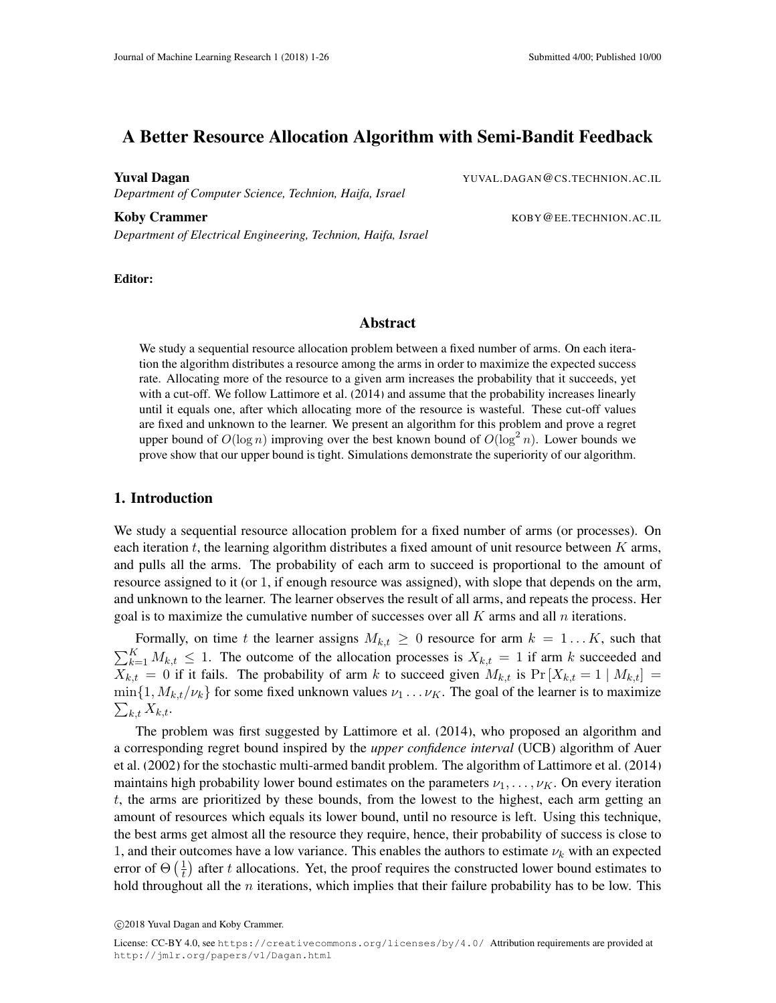# A Better Resource Allocation Algorithm with Semi-Bandit Feedback

*Department of Computer Science, Technion, Haifa, Israel*

Koby Crammer **KOBY @EE.TECHNION.AC.IL** *Department of Electrical Engineering, Technion, Haifa, Israel*

**Yuval Dagan** YUVAL.DAGAN@CS.TECHNION.AC.IL

Editor:

# Abstract

We study a sequential resource allocation problem between a fixed number of arms. On each iteration the algorithm distributes a resource among the arms in order to maximize the expected success rate. Allocating more of the resource to a given arm increases the probability that it succeeds, yet with a cut-off. We follow [Lattimore et al.](#page-12-0) [\(2014\)](#page-12-0) and assume that the probability increases linearly until it equals one, after which allocating more of the resource is wasteful. These cut-off values are fixed and unknown to the learner. We present an algorithm for this problem and prove a regret upper bound of  $O(\log n)$  improving over the best known bound of  $O(\log^2 n)$ . Lower bounds we prove show that our upper bound is tight. Simulations demonstrate the superiority of our algorithm.

### <span id="page-0-0"></span>1. Introduction

We study a sequential resource allocation problem for a fixed number of arms (or processes). On each iteration t, the learning algorithm distributes a fixed amount of unit resource between  $K$  arms, and pulls all the arms. The probability of each arm to succeed is proportional to the amount of resource assigned to it (or 1, if enough resource was assigned), with slope that depends on the arm, and unknown to the learner. The learner observes the result of all arms, and repeats the process. Her goal is to maximize the cumulative number of successes over all  $K$  arms and all  $n$  iterations.

Formally, on time t the learner assigns  $M_{k,t} \geq 0$  resource for arm  $k = 1...K$ , such that  $\sum_{k=1}^{K} M_{k,t} \leq 1$ . The outcome of the allocation processes is  $X_{k,t} = 1$  if arm k succeeded and  $X_{k,t} = 0$  if it fails. The probability of arm k to succeed given  $M_{k,t}$  is  $Pr[X_{k,t} = 1 | M_{k,t}] =$  $\min\{1, M_{k,t}/\nu_k\}$  for some fixed unknown values  $\nu_1 \dots \nu_K$ . The goal of the learner is to maximize  $\sum_{k,t} X_{k,t}.$ 

The problem was first suggested by [Lattimore et al.](#page-12-0) [\(2014\)](#page-12-0), who proposed an algorithm and a corresponding regret bound inspired by the *upper confidence interval* (UCB) algorithm of [Auer](#page-12-1) [et al.](#page-12-1) [\(2002\)](#page-12-1) for the stochastic multi-armed bandit problem. The algorithm of [Lattimore et al.](#page-12-0) [\(2014\)](#page-12-0) maintains high probability lower bound estimates on the parameters  $\nu_1, \dots, \nu_K$ . On every iteration t, the arms are prioritized by these bounds, from the lowest to the highest, each arm getting an amount of resources which equals its lower bound, until no resource is left. Using this technique, the best arms get almost all the resource they require, hence, their probability of success is close to 1, and their outcomes have a low variance. This enables the authors to estimate  $\nu_k$  with an expected error of  $\Theta\left(\frac{1}{t}\right)$  $\frac{1}{t}$ ) after t allocations. Yet, the proof requires the constructed lower bound estimates to hold throughout all the  $n$  iterations, which implies that their failure probability has to be low. This

c 2018 Yuval Dagan and Koby Crammer.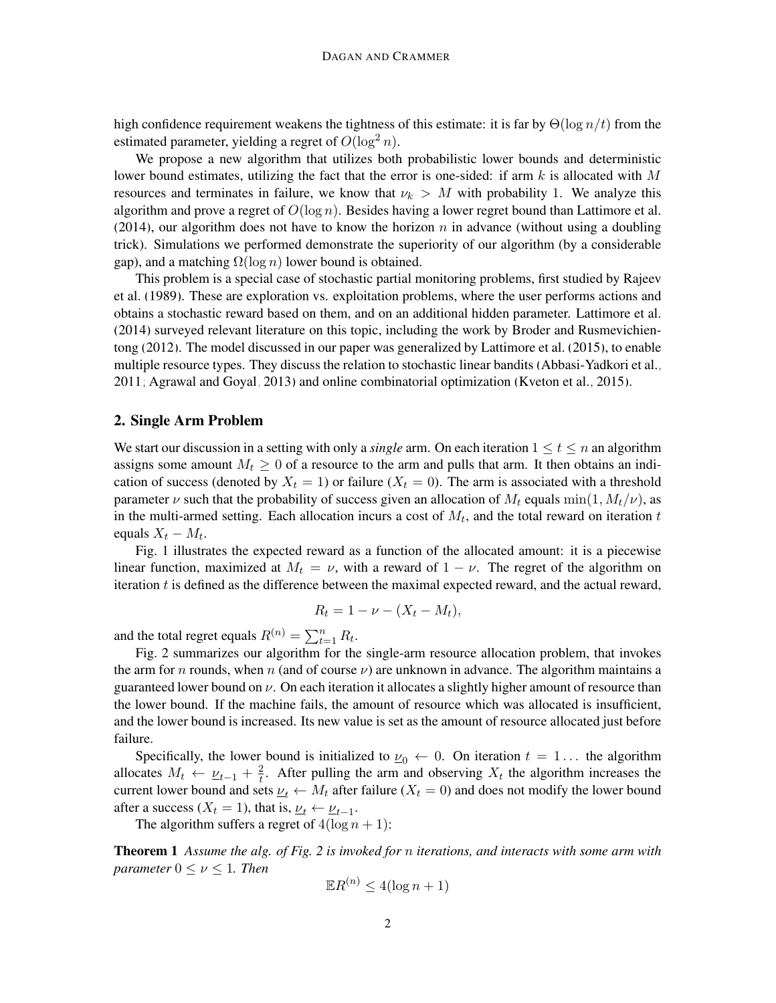high confidence requirement weakens the tightness of this estimate: it is far by  $\Theta(\log n/t)$  from the estimated parameter, yielding a regret of  $O(\log^2 n)$ .

We propose a new algorithm that utilizes both probabilistic lower bounds and deterministic lower bound estimates, utilizing the fact that the error is one-sided: if arm k is allocated with M resources and terminates in failure, we know that  $\nu_k > M$  with probability 1. We analyze this algorithm and prove a regret of  $O(\log n)$ . Besides having a lower regret bound than [Lattimore et al.](#page-12-0) [\(2014\)](#page-12-0), our algorithm does not have to know the horizon n in advance (without using a doubling trick). Simulations we performed demonstrate the superiority of our algorithm (by a considerable gap), and a matching  $\Omega(\log n)$  lower bound is obtained.

This problem is a special case of stochastic partial monitoring problems, first studied by [Rajeev](#page-12-2) [et al.](#page-12-2) [\(1989\)](#page-12-2). These are exploration vs. exploitation problems, where the user performs actions and obtains a stochastic reward based on them, and on an additional hidden parameter. [Lattimore et al.](#page-12-0) [\(2014\)](#page-12-0) surveyed relevant literature on this topic, including the work by [Broder and Rusmevichien](#page-12-3)[tong](#page-12-3) [\(2012\)](#page-12-3). The model discussed in our paper was generalized by [Lattimore et al.](#page-12-4) [\(2015\)](#page-12-4), to enable multiple resource types. They discuss the relation to stochastic linear bandits [\(Abbasi-Yadkori et al.,](#page-11-0) [2011;](#page-11-0) [Agrawal and Goyal, 2013\)](#page-11-1) and online combinatorial optimization [\(Kveton et al., 2015\)](#page-12-5).

# <span id="page-1-1"></span>2. Single Arm Problem

We start our discussion in a setting with only a *single* arm. On each iteration  $1 \le t \le n$  an algorithm assigns some amount  $M_t \geq 0$  of a resource to the arm and pulls that arm. It then obtains an indication of success (denoted by  $X_t = 1$ ) or failure ( $X_t = 0$ ). The arm is associated with a threshold parameter  $\nu$  such that the probability of success given an allocation of  $M_t$  equals min $(1, M_t/\nu)$ , as in the multi-armed setting. Each allocation incurs a cost of  $M_t$ , and the total reward on iteration t equals  $X_t - M_t$ .

Fig. [1](#page-2-0) illustrates the expected reward as a function of the allocated amount: it is a piecewise linear function, maximized at  $M_t = \nu$ , with a reward of  $1 - \nu$ . The regret of the algorithm on iteration t is defined as the difference between the maximal expected reward, and the actual reward,

$$
R_t = 1 - \nu - (X_t - M_t),
$$

and the total regret equals  $R^{(n)} = \sum_{t=1}^{n} R_t$ .

Fig. [2](#page-2-0) summarizes our algorithm for the single-arm resource allocation problem, that invokes the arm for n rounds, when n (and of course  $\nu$ ) are unknown in advance. The algorithm maintains a guaranteed lower bound on  $\nu$ . On each iteration it allocates a slightly higher amount of resource than the lower bound. If the machine fails, the amount of resource which was allocated is insufficient, and the lower bound is increased. Its new value is set as the amount of resource allocated just before failure.

Specifically, the lower bound is initialized to  $\underline{\nu}_0 \leftarrow 0$ . On iteration  $t = 1...$  the algorithm allocates  $M_t \leftarrow \underline{\nu}_{t-1} + \frac{2}{t}$  $\frac{2}{t}$ . After pulling the arm and observing  $X_t$  the algorithm increases the current lower bound and sets  $\underline{\nu}_t \leftarrow M_t$  after failure  $(X_t = 0)$  and does not modify the lower bound after a success ( $X_t = 1$ ), that is,  $\underline{\nu}_t \leftarrow \underline{\nu}_{t-1}$ .

The algorithm suffers a regret of  $4(\log n + 1)$ :

<span id="page-1-0"></span>Theorem 1 *Assume the alg. of Fig. [2](#page-2-0) is invoked for* n *iterations, and interacts with some arm with parameter*  $0 \leq \nu \leq 1$ *. Then* 

$$
\mathbb{E}R^{(n)} \le 4(\log n + 1)
$$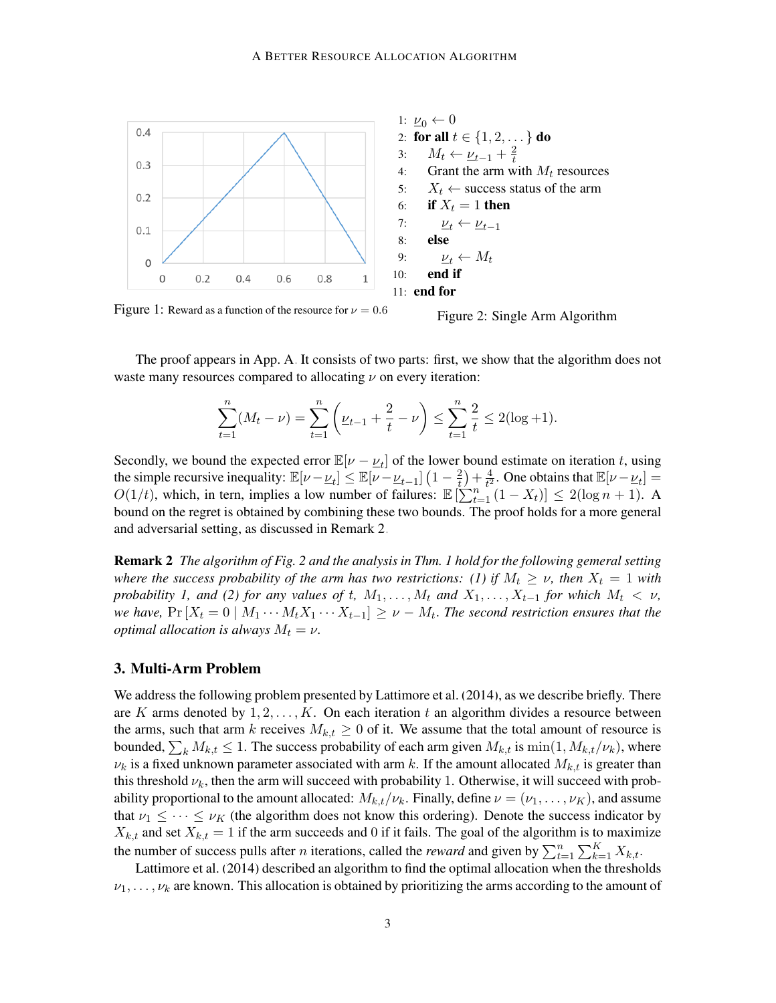<span id="page-2-0"></span>

Figure 1: Reward as a function of the resource for  $\nu = 0.6$ 

Figure 2: Single Arm Algorithm

The proof appears in App. [A.](#page-0-0) It consists of two parts: first, we show that the algorithm does not waste many resources compared to allocating  $\nu$  on every iteration:

$$
\sum_{t=1}^{n} (M_t - \nu) = \sum_{t=1}^{n} \left( \underline{\nu}_{t-1} + \frac{2}{t} - \nu \right) \le \sum_{t=1}^{n} \frac{2}{t} \le 2(\log + 1).
$$

Secondly, we bound the expected error  $\mathbb{E}[\nu - \underline{\nu}_t]$  of the lower bound estimate on iteration t, using the simple recursive inequality:  $\mathbb{E}[\nu - \underline{\nu}_t] \leq \mathbb{E}[\nu - \underline{\nu}_{t-1}] \left(1 - \frac{2}{t}\right)$  $(\frac{2}{t}) + \frac{4}{t^2})$  $\frac{4}{t^2}$ . One obtains that  $\mathbb{E}[\nu - \underline{\nu}_t] =$  $O(1/t)$ , which, in tern, implies a low number of failures:  $\mathbb{E} \left[ \sum_{t=1}^{n} (1 - X_t) \right] \leq 2(\log n + 1)$ . A bound on the regret is obtained by combining these two bounds. The proof holds for a more general and adversarial setting, as discussed in Remark [2.](#page-2-1)

<span id="page-2-1"></span>Remark 2 *The algorithm of Fig. [2](#page-2-0) and the analysis in Thm. [1](#page-1-0) hold for the following gemeral setting where the success probability of the arm has two restrictions: (1) if*  $M_t \geq \nu$ , then  $X_t = 1$  with *probability 1, and (2) for any values of t,*  $M_1, \ldots, M_t$  *and*  $X_1, \ldots, X_{t-1}$  *for which*  $M_t < \nu$ , *we have,*  $Pr[X_t = 0 \mid M_1 \cdots M_t X_1 \cdots X_{t-1}] \ge \nu - M_t$ . The second restriction ensures that the *optimal allocation is always*  $M_t = \nu$ .

# <span id="page-2-2"></span>3. Multi-Arm Problem

We address the following problem presented by [Lattimore et al.](#page-12-0) [\(2014\)](#page-12-0), as we describe briefly. There are K arms denoted by  $1, 2, \ldots, K$ . On each iteration t an algorithm divides a resource between the arms, such that arm k receives  $M_{k,t} \geq 0$  of it. We assume that the total amount of resource is bounded,  $\sum_k M_{k,t} \le 1$ . The success probability of each arm given  $M_{k,t}$  is  $\min(1, M_{k,t}/\nu_k)$ , where  $\nu_k$  is a fixed unknown parameter associated with arm k. If the amount allocated  $M_{k,t}$  is greater than this threshold  $\nu_k$ , then the arm will succeed with probability 1. Otherwise, it will succeed with probability proportional to the amount allocated:  $M_{k,t}/\nu_k$ . Finally, define  $\nu = (\nu_1, \dots, \nu_K)$ , and assume that  $\nu_1 \leq \cdots \leq \nu_K$  (the algorithm does not know this ordering). Denote the success indicator by  $X_{k,t}$  and set  $X_{k,t} = 1$  if the arm succeeds and 0 if it fails. The goal of the algorithm is to maximize the number of success pulls after *n* iterations, called the *reward* and given by  $\sum_{t=1}^{n} \sum_{k=1}^{K} X_{k,t}$ .

[Lattimore et al.](#page-12-0) [\(2014\)](#page-12-0) described an algorithm to find the optimal allocation when the thresholds  $\nu_1, \ldots, \nu_k$  are known. This allocation is obtained by prioritizing the arms according to the amount of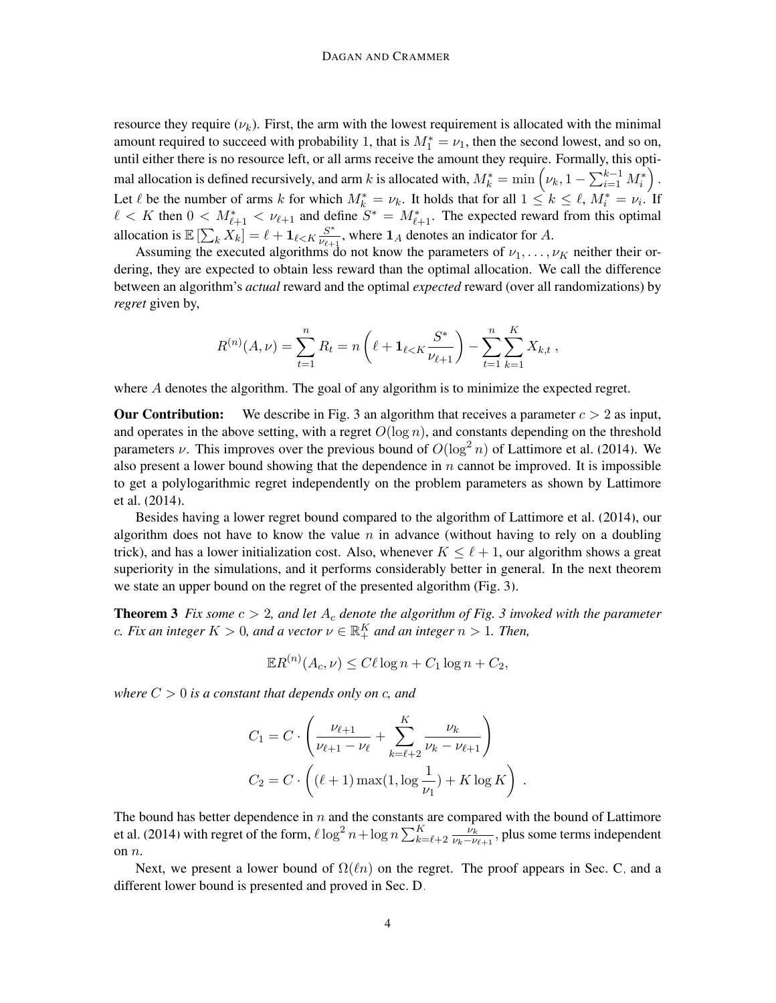resource they require  $(\nu_k)$ . First, the arm with the lowest requirement is allocated with the minimal amount required to succeed with probability 1, that is  $M_1^* = \nu_1$ , then the second lowest, and so on, until either there is no resource left, or all arms receive the amount they require. Formally, this optimal allocation is defined recursively, and arm  $k$  is allocated with,  $M_k^* = \min\left(\nu_k, 1 - \sum_{i=1}^{k-1} M_i^*\right)$  . Let  $\ell$  be the number of arms k for which  $M_k^* = \nu_k$ . It holds that for all  $1 \leq k \leq \ell$ ,  $M_i^* = \nu_i$ . If  $\ell < K$  then  $0 < M^*_{\ell+1} < \nu_{\ell+1}$  and define  $S^* = M^*_{\ell+1}$ . The expected reward from this optimal allocation is  $\mathbb{E}\left[\sum_{k} X_{k}\right] = \ell + \mathbf{1}_{\ell \leq K} \frac{S^*}{\nu_{\ell+1}}$  $\frac{S^*}{\nu_{\ell+1}}$ , where  $\mathbf{1}_A$  denotes an indicator for A.

Assuming the executed algorithms do not know the parameters of  $\nu_1, \ldots, \nu_K$  neither their ordering, they are expected to obtain less reward than the optimal allocation. We call the difference between an algorithm's *actual* reward and the optimal *expected* reward (over all randomizations) by *regret* given by,

$$
R^{(n)}(A,\nu) = \sum_{t=1}^{n} R_t = n \left( \ell + \mathbf{1}_{\ell < K} \frac{S^*}{\nu_{\ell+1}} \right) - \sum_{t=1}^{n} \sum_{k=1}^{K} X_{k,t} ,
$$

where A denotes the algorithm. The goal of any algorithm is to minimize the expected regret.

**Our Contribution:** We describe in Fig. [3](#page-6-0) an algorithm that receives a parameter  $c > 2$  as input, and operates in the above setting, with a regret  $O(\log n)$ , and constants depending on the threshold parameters v. This improves over the previous bound of  $O(\log^2 n)$  of [Lattimore et al.](#page-12-0) [\(2014\)](#page-12-0). We also present a lower bound showing that the dependence in  $n$  cannot be improved. It is impossible to get a polylogarithmic regret independently on the problem parameters as shown by [Lattimore](#page-12-0) [et al.](#page-12-0) [\(2014\)](#page-12-0).

Besides having a lower regret bound compared to the algorithm of [Lattimore et al.](#page-12-0) [\(2014\)](#page-12-0), our algorithm does not have to know the value  $n$  in advance (without having to rely on a doubling trick), and has a lower initialization cost. Also, whenever  $K \leq \ell + 1$ , our algorithm shows a great superiority in the simulations, and it performs considerably better in general. In the next theorem we state an upper bound on the regret of the presented algorithm (Fig. [3\)](#page-6-0).

**Theorem [3](#page-6-0)** *Fix some*  $c > 2$ *, and let*  $A_c$  *denote the algorithm of Fig.* 3 *invoked with the parameter* c. Fix an integer  $K > 0$ , and a vector  $\nu \in \mathbb{R}^K_+$  and an integer  $n > 1$ . Then,

<span id="page-3-1"></span>
$$
\mathbb{E}R^{(n)}(A_c,\nu) \le C\ell \log n + C_1 \log n + C_2,
$$

*where*  $C > 0$  *is a constant that depends only on c, and* 

<span id="page-3-0"></span>
$$
C_1 = C \cdot \left( \frac{\nu_{\ell+1}}{\nu_{\ell+1} - \nu_{\ell}} + \sum_{k=\ell+2}^{K} \frac{\nu_k}{\nu_k - \nu_{\ell+1}} \right)
$$
  

$$
C_2 = C \cdot \left( (\ell+1) \max(1, \log \frac{1}{\nu_1}) + K \log K \right).
$$

The bound has better dependence in  $n$  and the constants are compared with the bound of [Lattimore](#page-12-0) [et al.](#page-12-0) [\(2014\)](#page-12-0) with regret of the form,  $\ell \log^2 n + \log n \sum_{k=\ell+2}^K \frac{\nu_k}{\nu_k - \nu_k}$  $\frac{\nu_k}{\nu_k-\nu_{\ell+1}}$ , plus some terms independent on n.

Next, we present a lower bound of  $\Omega(\ell n)$  on the regret. The proof appears in Sec. [C,](#page-2-2) and a different lower bound is presented and proved in Sec. [D.](#page-4-0)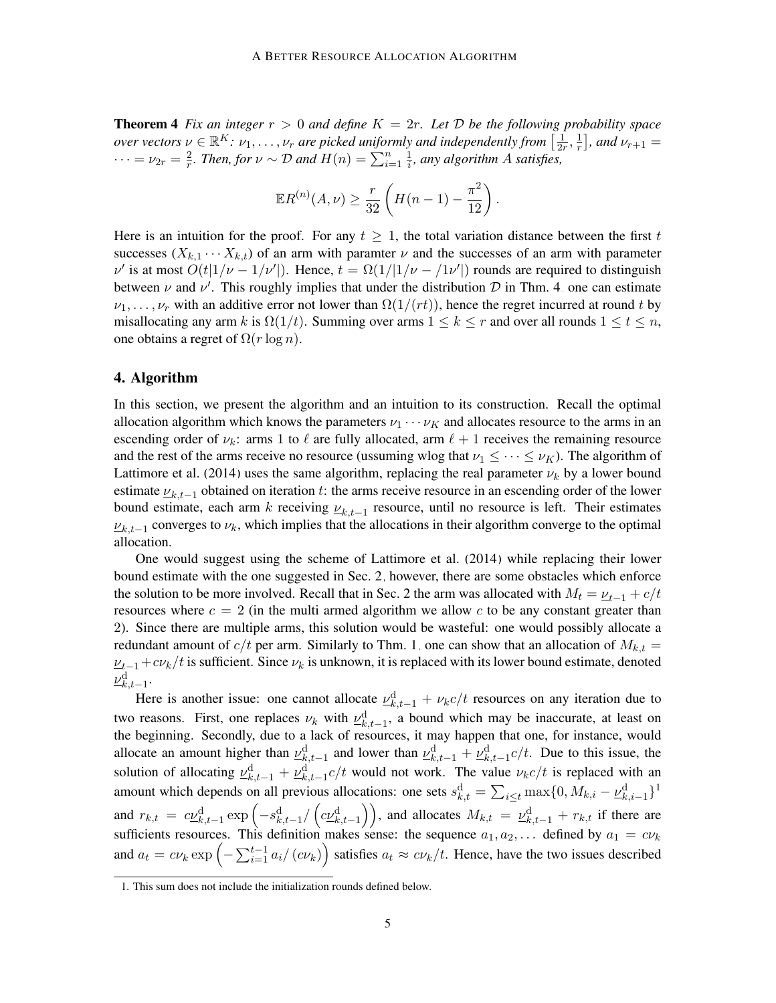**Theorem 4** Fix an integer  $r > 0$  and define  $K = 2r$ . Let D be the following probability space *over vectors*  $\nu \in \mathbb{R}^K$ :  $\nu_1, \ldots, \nu_r$  are picked uniformly and independently from  $\left[\frac{1}{2r}\right]$  $\frac{1}{2r}, \frac{1}{r}$  $\frac{1}{r}$ , and  $\nu_{r+1} =$  $\cdots = \nu_{2r} = \frac{2}{r}$  $\frac{2}{r}$ . Then, for  $\nu \sim \mathcal{D}$  and  $H(n) = \sum_{i=1}^{n} \frac{1}{i}$  $\frac{1}{i}$ , any algorithm A satisfies,

$$
\mathbb{E}R^{(n)}(A,\nu) \ge \frac{r}{32} \left( H(n-1) - \frac{\pi^2}{12} \right).
$$

Here is an intuition for the proof. For any  $t \geq 1$ , the total variation distance between the first t successes  $(X_{k,1} \cdots X_{k,t})$  of an arm with paramter  $\nu$  and the successes of an arm with parameter  $\nu'$  is at most  $O(t|1/\nu - 1/\nu'|)$ . Hence,  $t = \Omega(1/|1/\nu - 1/\nu'|)$  rounds are required to distinguish between  $\nu$  and  $\nu'$ . This roughly implies that under the distribution  $\mathcal D$  in Thm. [4,](#page-3-0) one can estimate  $\nu_1, \ldots, \nu_r$  with an additive error not lower than  $\Omega(1/(rt))$ , hence the regret incurred at round t by misallocating any arm k is  $\Omega(1/t)$ . Summing over arms  $1 \leq k \leq r$  and over all rounds  $1 \leq t \leq n$ , one obtains a regret of  $\Omega(r \log n)$ .

### <span id="page-4-0"></span>4. Algorithm

In this section, we present the algorithm and an intuition to its construction. Recall the optimal allocation algorithm which knows the parameters  $v_1 \cdots v_K$  and allocates resource to the arms in an escending order of  $\nu_k$ : arms 1 to  $\ell$  are fully allocated, arm  $\ell + 1$  receives the remaining resource and the rest of the arms receive no resource (ussuming wlog that  $\nu_1 \leq \cdots \leq \nu_K$ ). The algorithm of [Lattimore et al.](#page-12-0) [\(2014\)](#page-12-0) uses the same algorithm, replacing the real parameter  $\nu_k$  by a lower bound estimate  $v_{k,t-1}$  obtained on iteration t: the arms receive resource in an escending order of the lower bound estimate, each arm k receiving  $\nu_{k,t-1}$  resource, until no resource is left. Their estimates  $\nu_{k,t-1}$  converges to  $\nu_k$ , which implies that the allocations in their algorithm converge to the optimal allocation.

One would suggest using the scheme of [Lattimore et al.](#page-12-0) [\(2014\)](#page-12-0) while replacing their lower bound estimate with the one suggested in Sec. [2,](#page-1-1) however, there are some obstacles which enforce the solution to be more involved. Recall that in Sec. [2](#page-1-1) the arm was allocated with  $M_t = \underline{\nu}_{t-1} + c/t$ resources where  $c = 2$  (in the multi armed algorithm we allow c to be any constant greater than 2). Since there are multiple arms, this solution would be wasteful: one would possibly allocate a redundant amount of  $c/t$  per arm. Similarly to Thm. [1,](#page-1-0) one can show that an allocation of  $M_{k,t} =$  $\nu_{t-1}+c\nu_k/t$  is sufficient. Since  $\nu_k$  is unknown, it is replaced with its lower bound estimate, denoted  $\frac{\nu^{\text{d}}_{k,t-1}}{k}$ 

Here is another issue: one cannot allocate  $\underline{\nu}_{k,t-1}^d + \nu_k c/t$  resources on any iteration due to two reasons. First, one replaces  $\nu_k$  with  $\nu_{k,t-1}^d$ , a bound which may be inaccurate, at least on the beginning. Secondly, due to a lack of resources, it may happen that one, for instance, would allocate an amount higher than  $\underline{v}_{k,t-1}^d$  and lower than  $\underline{v}_{k,t-1}^d + \underline{v}_{k,t-1}^d$  c/t. Due to this issue, the solution of allocating  $\underline{v}_{k,t-1}^d + \underline{v}_{k,t-1}^d$  c/t would not work. The value  $\nu_k c/t$  is replaced with an amount which depends on all previous allocations: one sets  $s_{k,t}^d = \sum_{i \le t} \max\{0, M_{k,i} - \underline{\nu}_{k,i-1}^d\}^1$  $s_{k,t}^d = \sum_{i \le t} \max\{0, M_{k,i} - \underline{\nu}_{k,i-1}^d\}^1$  $s_{k,t}^d = \sum_{i \le t} \max\{0, M_{k,i} - \underline{\nu}_{k,i-1}^d\}^1$ and  $r_{k,t} = c\underline{\nu}_{k,t-1}^{\text{d}} \exp\left(-s_{k,t-1}^{\text{d}}\big/\left(c\underline{\nu}_{k,t-1}^{\text{d}}\right)\right)$ , and allocates  $M_{k,t} = \underline{\nu}_{k,t-1}^{\text{d}} + r_{k,t}$  if there are sufficients resources. This definition makes sense: the sequence  $a_1, a_2, \ldots$  defined by  $a_1 = c\nu_k$ and  $a_t = cv_k \exp\left(-\sum_{i=1}^{t-1} a_i/(cv_k)\right)$  satisfies  $a_t \approx cv_k/t$ . Hence, have the two issues described

<span id="page-4-1"></span><sup>1.</sup> This sum does not include the initialization rounds defined below.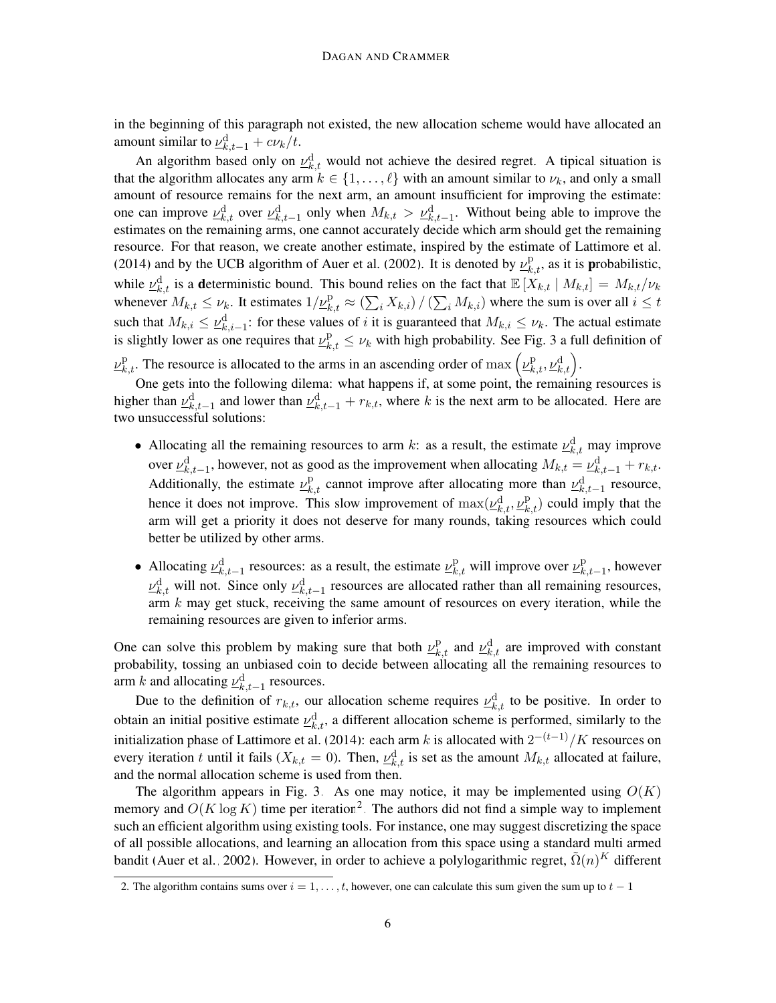in the beginning of this paragraph not existed, the new allocation scheme would have allocated an amount similar to  $\underline{\nu}_{k,t-1}^{\text{d}} + c \nu_k / t$ .

An algorithm based only on  $\underline{\nu}_{k,t}^d$  would not achieve the desired regret. A tipical situation is that the algorithm allocates any arm  $k \in \{1, \ldots, \ell\}$  with an amount similar to  $\nu_k$ , and only a small amount of resource remains for the next arm, an amount insufficient for improving the estimate: one can improve  $\underline{\nu}_{k,t}^d$  over  $\underline{\nu}_{k,t-1}^d$  only when  $M_{k,t} > \underline{\nu}_{k,t-1}^d$ . Without being able to improve the estimates on the remaining arms, one cannot accurately decide which arm should get the remaining resource. For that reason, we create another estimate, inspired by the estimate of [Lattimore et al.](#page-12-0) [\(2014\)](#page-12-0) and by the UCB algorithm of [Auer et al.](#page-12-1) [\(2002\)](#page-12-1). It is denoted by  $\underline{\nu}_{k,t}^{\text{p}}$ , as it is probabilistic, while  $\underline{\nu}_{k,t}^d$  is a deterministic bound. This bound relies on the fact that  $\mathbb{E}[X_{k,t} | M_{k,t}] = M_{k,t}/\nu_k$ whenever  $M_{k,t} \leq \nu_k$ . It estimates  $1/\nu_{k,t}^{\text{p}} \approx (\sum_i X_{k,i}) / (\sum_i M_{k,i})$  where the sum is over all  $i \leq t$ such that  $M_{k,i} \leq \underline{\nu}_{k,i-1}^d$ : for these values of *i* it is guaranteed that  $M_{k,i} \leq \nu_k$ . The actual estimate is slightly lower as one requires that  $\underline{\nu}_{k,t}^{\text{p}} \leq \nu_k$  with high probability. See Fig. [3](#page-6-0) a full definition of  $\underline{\nu}_{k,t}^{\mathrm{p}}$ . The resource is allocated to the arms in an ascending order of  $\max(\underline{\nu}_{k,t}^{\mathrm{p}}, \underline{\nu}_{k,t}^{\mathrm{d}})$ .

One gets into the following dilema: what happens if, at some point, the remaining resources is higher than  $\underline{\nu}_{k,t-1}^d$  and lower than  $\underline{\nu}_{k,t-1}^d + r_{k,t}$ , where k is the next arm to be allocated. Here are two unsuccessful solutions:

- Allocating all the remaining resources to arm k: as a result, the estimate  $\underline{\nu}_{k,t}^d$  may improve over  $\underline{\nu}_{k,t-1}^d$ , however, not as good as the improvement when allocating  $M_{k,t} = \underline{\nu}_{k,t-1}^d + r_{k,t}$ . Additionally, the estimate  $v_{k,t}^{\mathrm{p}}$  cannot improve after allocating more than  $v_{k,t-1}^{\mathrm{d}}$  resource, hence it does not improve. This slow improvement of  $\max(\underline{\nu}_{k,t}^d, \underline{\nu}_{k,t}^p)$  could imply that the arm will get a priority it does not deserve for many rounds, taking resources which could better be utilized by other arms.
- Allocating  $\underline{\nu}_{k,t-1}^d$  resources: as a result, the estimate  $\underline{\nu}_{k,t}^p$  will improve over  $\underline{\nu}_k^p$  $_{k,t-1}^{\mathrm{p}},$  however  $\underline{\nu}_{k,t}^d$  will not. Since only  $\underline{\nu}_{k,t-1}^d$  resources are allocated rather than all remaining resources, arm  $k$  may get stuck, receiving the same amount of resources on every iteration, while the remaining resources are given to inferior arms.

One can solve this problem by making sure that both  $\underline{\nu}_{k,t}^{\text{p}}$  and  $\underline{\nu}_{k,t}^{\text{d}}$  are improved with constant probability, tossing an unbiased coin to decide between allocating all the remaining resources to arm k and allocating  $\underline{\nu}_{k,t-1}^d$  resources.

Due to the definition of  $r_{k,t}$ , our allocation scheme requires  $\underline{\nu}_{k,t}^d$  to be positive. In order to obtain an initial positive estimate  $\underline{\nu}_{k,t}^d$ , a different allocation scheme is performed, similarly to the initialization phase of [Lattimore et al.](#page-12-0) [\(2014\)](#page-12-0): each arm k is allocated with  $2^{-(t-1)}/K$  resources on every iteration t until it fails ( $X_{k,t} = 0$ ). Then,  $\underline{\nu}_{k,t}^d$  is set as the amount  $M_{k,t}$  allocated at failure, and the normal allocation scheme is used from then.

The algorithm appears in Fig. [3.](#page-6-0) As one may notice, it may be implemented using  $O(K)$ memory and  $O(K \log K)$  time per iteration<sup>[2](#page-5-0)</sup>. The authors did not find a simple way to implement such an efficient algorithm using existing tools. For instance, one may suggest discretizing the space of all possible allocations, and learning an allocation from this space using a standard multi armed bandit [\(Auer et al., 2002\)](#page-12-1). However, in order to achieve a polylogarithmic regret,  $\tilde{\Omega}(n)^K$  different

<span id="page-5-0"></span><sup>2.</sup> The algorithm contains sums over  $i = 1, \ldots, t$ , however, one can calculate this sum given the sum up to  $t - 1$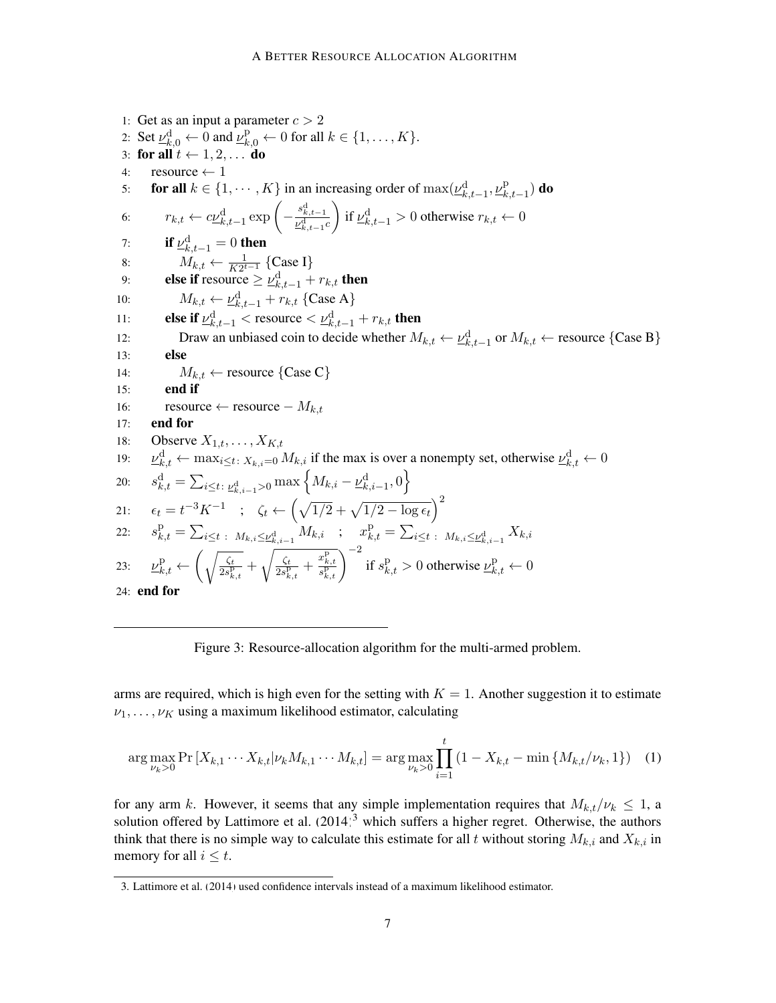<span id="page-6-2"></span><span id="page-6-0"></span>1: Get as an input a parameter  $c > 2$ 2: Set  $\underline{\nu}_{k,0}^d \leftarrow 0$  and  $\underline{\nu}_{k,0}^p \leftarrow 0$  for all  $k \in \{1, \ldots, K\}$ . 3: for all  $t \leftarrow 1, 2, \ldots$  do 4: resource  $\leftarrow$  1 5: **for all**  $k \in \{1, \dots, K\}$  in an increasing order of  $\max(\underline{\nu}_{k,t-1}^d, \underline{\nu}_k^p)$  $_{k,t-1}^{\mathrm{p}})$  do 6:  $r_{k,t} \leftarrow c\underline{\nu}_{k,t-1}^{\text{d}} \exp\left(-\frac{s_{k,t-1}^{\text{d}}}{\underline{\nu}_{k,t-1}^{\text{d}}c}\right)$ if  $\underline{\nu}_{k,t-1}^d > 0$  otherwise  $r_{k,t} \leftarrow 0$ 7: if  $\underline{\nu}_{k,t-1}^{\text{d}}=0$  then 8:  $M_{k,t} \leftarrow \frac{1}{K2^{t-1}} \{\text{Case I}\}\$ 9: **else if** resource  $\geq \underline{\nu}_{k,t-1}^{\text{d}} + r_{k,t}$  then 10:  $M_{k,t} \leftarrow \underline{\nu}_{k,t-1}^{\text{d}} + r_{k,t} \text{ {Case A}}$ 11: **else if**  $\underline{\nu}_{k,t-1}^d <$  resource  $\lt \underline{\nu}_{k,t-1}^d + r_{k,t}$  then 12: Draw an unbiased coin to decide whether  $M_{k,t} \leftarrow \underline{\nu}_{k,t-1}^d$  or  $M_{k,t} \leftarrow$  resource {Case B} 13: else 14:  $M_{k,t} \leftarrow \text{resource} \{\text{Case C}\}\$ 15: end if 16: resource ← resource –  $M_{k,t}$ 17: end for 18: Observe  $X_{1,t}, \ldots, X_{K,t}$ 19:  $\psi_{k,t}^{\text{d}} \leftarrow \max_{i \leq t} X_{k,i=0} M_{k,i}$  if the max is over a nonempty set, otherwise  $\nu_{k,t}^{\text{d}} \leftarrow 0$ 20:  $s_{k,t}^{\textrm{d}} = \sum_{i\leq t\colon \underline{\nu}_{k,i-1}^{\textrm{d}} > 0} \max\left\{M_{k,i} - \underline{\nu}_{k,i-1}^{\textrm{d}}, 0\right\}$ 21:  $\epsilon_t = t^{-3} K^{-1}$  ;  $\zeta_t \leftarrow \left( \sqrt{1/2} + \sqrt{1/2 - \log \epsilon_t} \right)^2$ 22:  $s_{k,t}^{\text{p}} = \sum_{i \leq t} \sum_{i \leq k, i-1} M_{k,i}$  ;  $x_{k,t}^{\text{p}} = \sum_{i \leq t} \sum_{i \leq k, i-1} X_{k,i}$ 23:  $\underline{\nu}_{k,t}^{\text{p}} \leftarrow \left( \sqrt{\frac{\zeta_t}{2s_{t}^{\text{p}}}} \right)$  $\frac{\zeta t}{2s_{k,t}^{\text{p}}}$  +  $\int \zeta_t$  $\frac{\frac{c}{\sqrt{k}}}{2s_{k,t}^{\text{p}}} + \frac{x_{k,t}^{\text{p}}}{s_{k,t}^{\text{p}}}$  of  $s_{k,t}^{\text{p}} > 0$  otherwise  $\underline{\nu}_{k,t}^{\text{p}} \leftarrow 0$ 24: end for

Figure 3: Resource-allocation algorithm for the multi-armed problem.

arms are required, which is high even for the setting with  $K = 1$ . Another suggestion it to estimate  $\nu_1, \ldots, \nu_K$  using a maximum likelihood estimator, calculating

$$
\arg \max_{\nu_k > 0} \Pr\left[X_{k,1} \cdots X_{k,t} | \nu_k M_{k,1} \cdots M_{k,t}\right] = \arg \max_{\nu_k > 0} \prod_{i=1}^t \left(1 - X_{k,t} - \min\left\{M_{k,t} / \nu_k, 1\right\}\right) \tag{1}
$$

for any arm k. However, it seems that any simple implementation requires that  $M_{k,t}/\nu_k \leq 1$ , a solution offered by [Lattimore et al.](#page-12-0)  $(2014)^3$  $(2014)^3$  $(2014)^3$  which suffers a higher regret. Otherwise, the authors think that there is no simple way to calculate this estimate for all t without storing  $M_{k,i}$  and  $X_{k,i}$  in memory for all  $i \leq t$ .

<span id="page-6-1"></span><sup>3.</sup> [Lattimore et al.](#page-12-0) [\(2014\)](#page-12-0) used confidence intervals instead of a maximum likelihood estimator.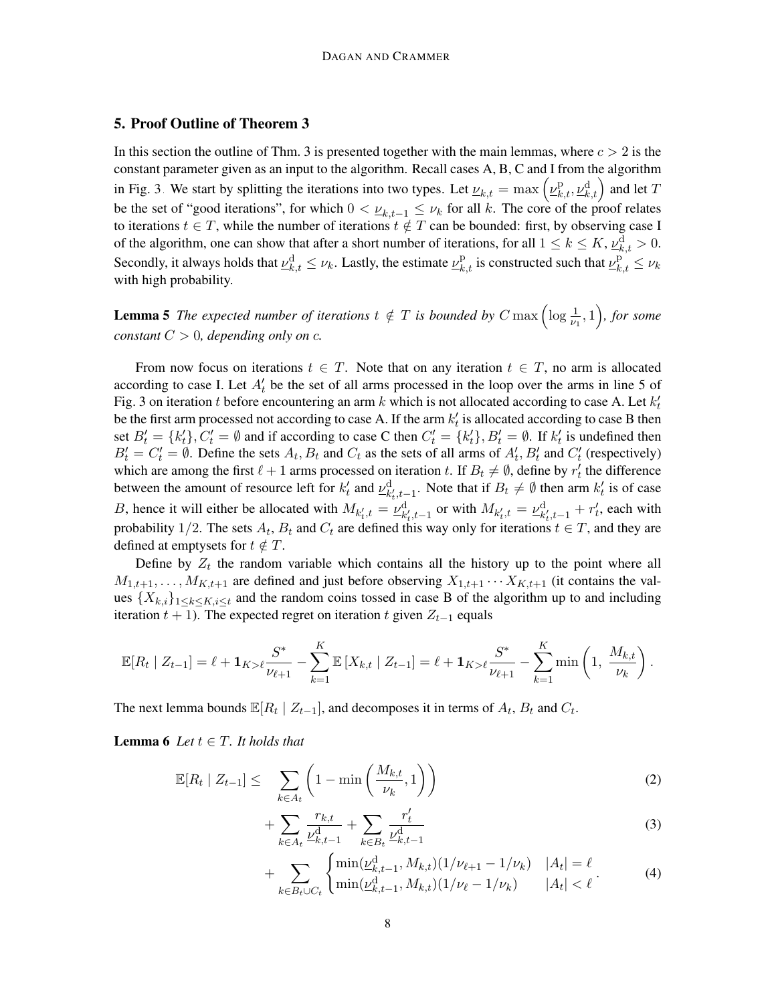# <span id="page-7-5"></span>5. Proof Outline of Theorem [3](#page-3-1)

In this section the outline of Thm. [3](#page-3-1) is presented together with the main lemmas, where  $c > 2$  is the constant parameter given as an input to the algorithm. Recall cases A, B, C and I from the algorithm in Fig. [3.](#page-6-0) We start by splitting the iterations into two types. Let  $u_{k,t} = \max\left(\underline{v}_{k,t}^{\text{p}}, \underline{v}_{k,t}^{\text{d}}\right)$  and let T be the set of "good iterations", for which  $0 < \nu_{k,t-1} \leq \nu_k$  for all k. The core of the proof relates to iterations  $t \in T$ , while the number of iterations  $t \notin T$  can be bounded: first, by observing case I of the algorithm, one can show that after a short number of iterations, for all  $1 \le k \le K$ ,  $\nu^{\rm d}_{k,t} > 0$ . Secondly, it always holds that  $\underline{\nu}_{k,t}^d \le \nu_k$ . Lastly, the estimate  $\underline{\nu}_{k,t}^p$  is constructed such that  $\underline{\nu}_{k,t}^p \le \nu_k$ with high probability.

<span id="page-7-4"></span>**Lemma 5** The expected number of iterations  $t \notin T$  is bounded by  $C$  max  $\left(\log \frac{1}{\nu_1}, 1\right)$ , for some *constant*  $C > 0$ *, depending only on c.* 

From now focus on iterations  $t \in T$ . Note that on any iteration  $t \in T$ , no arm is allocated according to case I. Let  $A_t$  be the set of all arms processed in the loop over the arms in line [5](#page-6-2) of Fig. [3](#page-6-0) on iteration t before encountering an arm k which is not allocated according to case A. Let  $k_t'$ be the first arm processed not according to case A. If the arm  $k'_t$  is allocated according to case B then set  $B'_t = \{k'_t\}, C'_t = \emptyset$  and if according to case C then  $C'_t = \{k'_t\}, B'_t = \emptyset$ . If  $k'_t$  is undefined then  $B'_t = C'_t = \emptyset$ . Define the sets  $A_t, B_t$  and  $C_t$  as the sets of all arms of  $A'_t, B'_t$  and  $C'_t$  (respectively) which are among the first  $\ell + 1$  arms processed on iteration t. If  $B_t \neq \emptyset$ , define by  $r'_t$  the difference between the amount of resource left for  $k_t$  and  $\underline{\nu}_{k_t,t-1}^d$ . Note that if  $B_t \neq \emptyset$  then arm  $k_t$  is of case B, hence it will either be allocated with  $M_{k'_t,t} = \underline{\nu}_{k'_t,t-1}^d$  or with  $M_{k'_t,t} = \underline{\nu}_{k'_t,t-1}^d + r'_t$ , each with probability 1/2. The sets  $A_t$ ,  $B_t$  and  $C_t$  are defined this way only for iterations  $t \in T$ , and they are defined at emptysets for  $t \notin T$ .

Define by  $Z_t$  the random variable which contains all the history up to the point where all  $M_{1,t+1}, \ldots, M_{K,t+1}$  are defined and just before observing  $X_{1,t+1} \cdots X_{K,t+1}$  (it contains the values  $\{X_{k,i}\}_{1\leq k\leq K,i\leq t}$  and the random coins tossed in case B of the algorithm up to and including iteration  $t + 1$ ). The expected regret on iteration t given  $Z_{t-1}$  equals

$$
\mathbb{E}[R_t | Z_{t-1}] = \ell + \mathbf{1}_{K > \ell} \frac{S^*}{\nu_{\ell+1}} - \sum_{k=1}^K \mathbb{E}[X_{k,t} | Z_{t-1}] = \ell + \mathbf{1}_{K > \ell} \frac{S^*}{\nu_{\ell+1}} - \sum_{k=1}^K \min\left(1, \frac{M_{k,t}}{\nu_k}\right).
$$

The next lemma bounds  $\mathbb{E}[R_t | Z_{t-1}]$ , and decomposes it in terms of  $A_t$ ,  $B_t$  and  $C_t$ .

**Lemma 6** *Let*  $t \in T$ *. It holds that* 

$$
\mathbb{E}[R_t \mid Z_{t-1}] \leq \sum_{k \in A_t} \left(1 - \min\left(\frac{M_{k,t}}{\nu_k}, 1\right)\right) \tag{2}
$$

<span id="page-7-1"></span><span id="page-7-0"></span>
$$
+\sum_{k\in A_t} \frac{r_{k,t}}{\underline{\nu}_{k,t-1}^{\mathrm{d}}} + \sum_{k\in B_t} \frac{r'_t}{\underline{\nu}_{k,t-1}^{\mathrm{d}}} \tag{3}
$$

<span id="page-7-3"></span><span id="page-7-2"></span>
$$
+\sum_{k\in B_t\cup C_t} \begin{cases} \min(\underline{\nu}_{k,t-1}^d, M_{k,t})(1/\nu_{\ell+1} - 1/\nu_k) & |A_t| = \ell\\ \min(\underline{\nu}_{k,t-1}^d, M_{k,t})(1/\nu_{\ell} - 1/\nu_k) & |A_t| < \ell \end{cases} \tag{4}
$$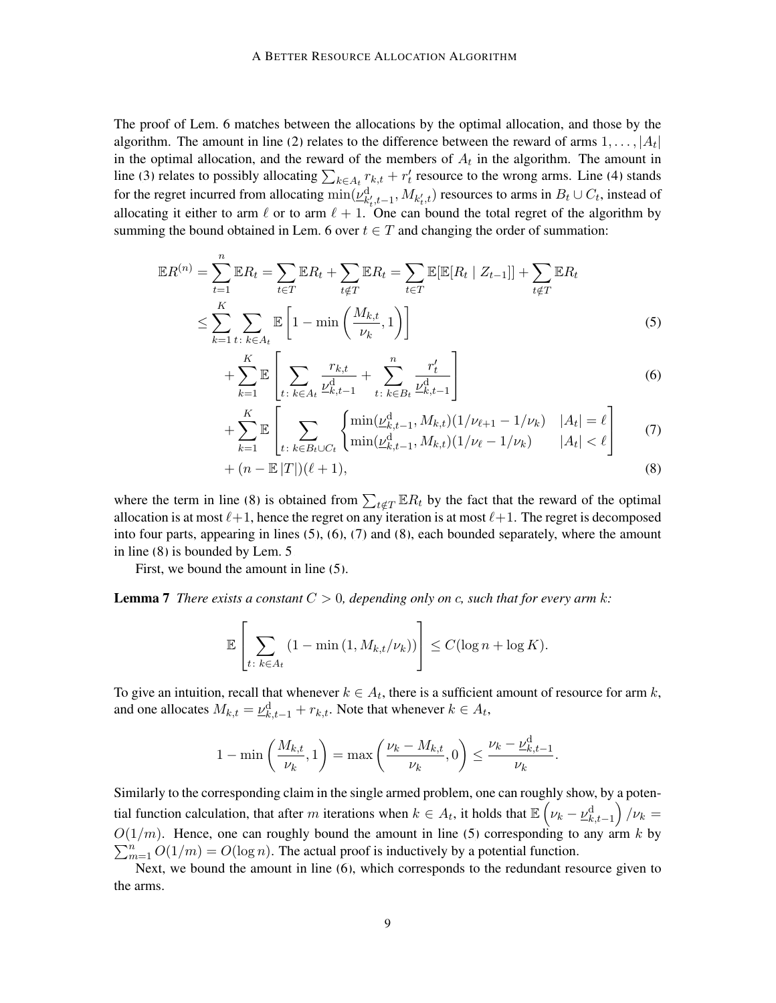The proof of Lem. [6](#page-7-0) matches between the allocations by the optimal allocation, and those by the algorithm. The amount in line [\(2\)](#page-7-1) relates to the difference between the reward of arms  $1, \ldots, |A_t|$ in the optimal allocation, and the reward of the members of  $A_t$  in the algorithm. The amount in line [\(3\)](#page-7-2) relates to possibly allocating  $\sum_{k \in A_t} r_{k,t} + r'_t$  resource to the wrong arms. Line [\(4\)](#page-7-3) stands for the regret incurred from allocating  $\min(\underline{\nu}_{k'_t,t-1}^{\rm d},M_{k'_t,t})$  resources to arms in  $B_t\cup C_t$ , instead of allocating it either to arm  $\ell$  or to arm  $\ell + 1$ . One can bound the total regret of the algorithm by summing the bound obtained in Lem. [6](#page-7-0) over  $t \in T$  and changing the order of summation:

$$
\mathbb{E}R^{(n)} = \sum_{t=1}^{n} \mathbb{E}R_t = \sum_{t \in T} \mathbb{E}R_t + \sum_{t \notin T} \mathbb{E}R_t = \sum_{t \in T} \mathbb{E}[\mathbb{E}[R_t | Z_{t-1}]] + \sum_{t \notin T} \mathbb{E}R_t
$$
  

$$
\leq \sum_{k=1}^{K} \sum_{t \colon k \in A_t} \mathbb{E}\left[1 - \min\left(\frac{M_{k,t}}{\nu_k}, 1\right)\right]
$$
 (5)

<span id="page-8-1"></span>
$$
+\sum_{k=1}^{K} \mathbb{E}\left[\sum_{t:\;k\in A_{t}} \frac{r_{k,t}}{\underline{\nu}_{k,t-1}^{d}} + \sum_{t:\;k\in B_{t}}^{n} \frac{r_{t}'}{\underline{\nu}_{k,t-1}^{d}}\right]
$$
(6)

<span id="page-8-3"></span><span id="page-8-2"></span>
$$
+\sum_{k=1}^{K} \mathbb{E}\left[\sum_{t:\;k\in B_t\cup C_t} \left\{\frac{\min(\underline{\nu}_{k,t-1}^{\mathrm{d}}, M_{k,t})(1/\nu_{\ell+1}-1/\nu_k)}{\min(\underline{\nu}_{k,t-1}^{\mathrm{d}}, M_{k,t})(1/\nu_{\ell}-1/\nu_k)}\frac{|A_t|}{|A_t|}<\ell\right]\right\}
$$
(7)

<span id="page-8-0"></span>
$$
+(n-\mathbb{E}\left[T\right])(\ell+1),\tag{8}
$$

where the term in line [\(8\)](#page-8-0) is obtained from  $\sum_{t \notin T} \mathbb{E} R_t$  by the fact that the reward of the optimal allocation is at most  $\ell+1$ , hence the regret on any iteration is at most  $\ell+1$ . The regret is decomposed into four parts, appearing in lines  $(5)$ ,  $(6)$ ,  $(7)$  and  $(8)$ , each bounded separately, where the amount in line [\(8\)](#page-8-0) is bounded by Lem. [5.](#page-7-4)

First, we bound the amount in line [\(5\)](#page-8-1).

**Lemma 7** *There exists a constant*  $C > 0$ *, depending only on c, such that for every arm k:* 

<span id="page-8-4"></span>
$$
\mathbb{E}\left[\sum_{t:\;k\in A_t}\left(1-\min\left(1,M_{k,t}/\nu_k\right)\right)\right]\leq C(\log n+\log K).
$$

To give an intuition, recall that whenever  $k \in A_t$ , there is a sufficient amount of resource for arm k, and one allocates  $M_{k,t} = \underline{\nu}_{k,t-1}^{\rm d} + r_{k,t}$ . Note that whenever  $k \in A_t$ ,

$$
1 - \min\left(\frac{M_{k,t}}{\nu_k}, 1\right) = \max\left(\frac{\nu_k - M_{k,t}}{\nu_k}, 0\right) \le \frac{\nu_k - \underline{\nu}_{k,t-1}^{\mathrm{d}}}{\nu_k}.
$$

Similarly to the corresponding claim in the single armed problem, one can roughly show, by a potential function calculation, that after m iterations when  $k \in A_t$ , it holds that  $\mathbb{E}\left(\nu_k - \underline{\nu}_{k,t-1}^{\rm d}\right)/\nu_k =$  $O(1/m)$ . Hence, one can roughly bound the amount in line [\(5\)](#page-8-1) corresponding to any arm k by  $\sum_{m=1}^{n} O(1/m) = O(\log n)$ . The actual proof is inductively by a potential function.

<span id="page-8-5"></span>Next, we bound the amount in line [\(6\)](#page-8-2), which corresponds to the redundant resource given to the arms.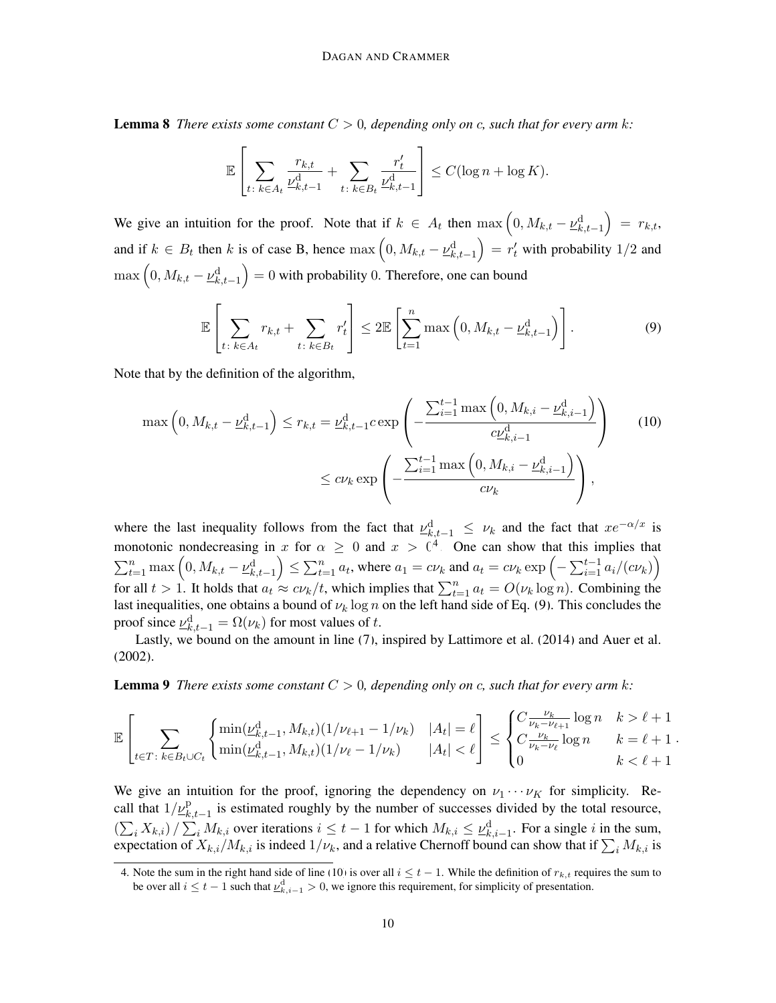**Lemma 8** *There exists some constant*  $C > 0$ , depending only on c, such that for every arm k:

<span id="page-9-1"></span>
$$
\mathbb{E}\left[\sum_{t:\;k\in A_t}\frac{r_{k,t}}{\nu^{\mathrm{d}}_{k,t-1}}+\sum_{t:\;k\in B_t}\frac{r'_t}{\nu^{\mathrm{d}}_{k,t-1}}\right]\leq C(\log n+\log K).
$$

We give an intuition for the proof. Note that if  $k \in A_t$  then  $\max\left(0, M_{k,t} - \underline{\nu}_{k,t-1}^d\right) = r_{k,t}$ , and if  $k \in B_t$  then k is of case B, hence  $\max(0, M_{k,t} - \underline{\nu}_{k,t-1}^d) = r'_t$  with probability 1/2 and  $\max\left(0,M_{k,t}-\underline{\nu}_{k,t-1}^{\text{d}}\right)=0$  with probability 0. Therefore, one can bound

<span id="page-9-2"></span>
$$
\mathbb{E}\left[\sum_{t:\;k\in A_t}r_{k,t}+\sum_{t:\;k\in B_t}r_t'\right]\leq 2\mathbb{E}\left[\sum_{t=1}^n\max\left(0,M_{k,t}-\underline{\nu}_{k,t-1}^d\right)\right].\tag{9}
$$

Note that by the definition of the algorithm,

$$
\max\left(0, M_{k,t} - \underline{\nu}_{k,t-1}^d\right) \le r_{k,t} = \underline{\nu}_{k,t-1}^d c \exp\left(-\frac{\sum_{i=1}^{t-1} \max\left(0, M_{k,i} - \underline{\nu}_{k,i-1}^d\right)}{c\underline{\nu}_{k,i-1}^d}\right) \tag{10}
$$
\n
$$
\le c\nu_k \exp\left(-\frac{\sum_{i=1}^{t-1} \max\left(0, M_{k,i} - \underline{\nu}_{k,i-1}^d\right)}{c\nu_k}\right),
$$

where the last inequality follows from the fact that  $\mu^d_{k,t-1} \leq \nu_k$  and the fact that  $xe^{-\alpha/x}$  is monotonic nondecreasing in x for  $\alpha \geq 0$  and  $x > 0<sup>4</sup>$  $x > 0<sup>4</sup>$  $x > 0<sup>4</sup>$ . One can show that this implies that  $\sum_{t=1}^{n} \max\left(0, M_{k,t} - \underline{\nu}_{k,t-1}^d\right) \leq \sum_{t=1}^{n} a_t$ , where  $a_1 = c\nu_k$  and  $a_t = c\nu_k \exp\left(-\sum_{i=1}^{t-1} a_i/(c\nu_k)\right)$ for all  $t > 1$ . It holds that  $a_t \approx c\nu_k/t$ , which implies that  $\sum_{t=1}^n a_t = O(\nu_k \log n)$ . Combining the last inequalities, one obtains a bound of  $\nu_k \log n$  on the left hand side of Eq. [\(9\)](#page-9-1). This concludes the proof since  $\underline{\nu}_{k,t-1}^{\text{d}} = \Omega(\nu_k)$  for most values of t.

<span id="page-9-3"></span>Lastly, we bound on the amount in line [\(7\)](#page-8-3), inspired by [Lattimore et al.](#page-12-0) [\(2014\)](#page-12-0) and [Auer et al.](#page-12-1) [\(2002\)](#page-12-1).

**Lemma 9** *There exists some constant*  $C > 0$ , depending only on c, such that for every arm k:

$$
\mathbb{E}\left[\sum_{t\in T\colon k\in B_t\cup C_t}\left\{\frac{\min(\underline{\nu}_{k,t-1}^{\text{d}},M_{k,t})(1/\nu_{\ell+1}-1/\nu_k)}{\min(\underline{\nu}_{k,t-1}^{\text{d}},M_{k,t})(1/\nu_{\ell}-1/\nu_k)}\ \ |A_t|=\ell\right]\leq \begin{cases} C\frac{\nu_k}{\nu_k-\nu_{\ell+1}}\log n & k>\ell+1\\ C\frac{\nu_k}{\nu_k-\nu_{\ell}}\log n & k=\ell+1\\ 0 & k<\ell+1 \end{cases} \right].
$$

We give an intuition for the proof, ignoring the dependency on  $\nu_1 \cdots \nu_K$  for simplicity. Recall that  $1/\underline{\nu}_{k,t-1}^{\mathrm{p}}$  is estimated roughly by the number of successes divided by the total resource,  $\left(\sum_{i} X_{k,i}\right) / \sum_{i} M_{k,i}$  over iterations  $i \leq t-1$  for which  $M_{k,i} \leq \underline{\nu}_{k,i-1}^d$ . For a single i in the sum, expectation of  $X_{k,i}/M_{k,i}$  is indeed  $1/\nu_k$ , and a relative Chernoff bound can show that if  $\sum_i M_{k,i}$  is

<span id="page-9-0"></span><sup>4.</sup> Note the sum in the right hand side of line [\(10\)](#page-9-2) is over all  $i \le t - 1$ . While the definition of  $r_{k,t}$  requires the sum to be over all  $i \leq t-1$  such that  $\underline{\nu}_{k,i-1}^d > 0$ , we ignore this requirement, for simplicity of presentation.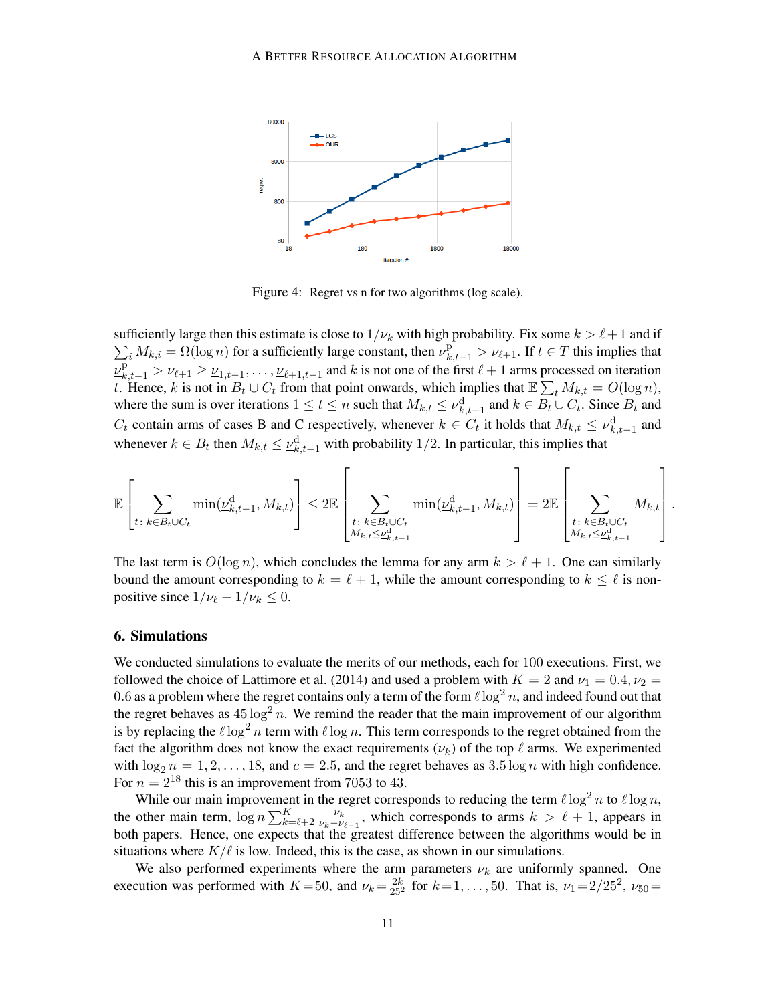<span id="page-10-0"></span>

Figure 4: Regret vs n for two algorithms (log scale).

 $\sum_i M_{k,i} = \Omega(\log n)$  for a sufficiently large constant, then  $\nu_{k,t-1}^p > \nu_{\ell+1}$ . If  $t \in T$  this implies that sufficiently large then this estimate is close to  $1/\nu_k$  with high probability. Fix some  $k > \ell + 1$  and if  $\nu_{k,t-1}^{\text{p}} > \nu_{\ell+1} \ge \nu_{1,t-1}, \ldots, \nu_{\ell+1,t-1}$  and k is not one of the first  $\ell+1$  arms processed on iteration t. Hence, k is not in  $B_t \cup C_t$  from that point onwards, which implies that  $\mathbb{E} \sum_t M_{k,t} = O(\log n)$ , where the sum is over iterations  $1 \le t \le n$  such that  $M_{k,t} \le \underline{\nu}_{k,t-1}^d$  and  $k \in B_t \cup C_t$ . Since  $B_t$  and  $C_t$  contain arms of cases B and C respectively, whenever  $k \in C_t$  it holds that  $M_{k,t} \leq \underline{\nu}_{k,t-1}^d$  and whenever  $k \in B_t$  then  $M_{k,t} \leq \underline{\nu}_{k,t-1}^d$  with probability 1/2. In particular, this implies that

$$
\mathbb{E}\left[\sum_{t\colon k\in B_t\cup C_t} \min(\underline{\nu}_{k,t-1}^{\rm d},M_{k,t})\right]\leq 2\mathbb{E}\left[\sum_{\substack{t\colon k\in B_t\cup C_t\\M_{k,t}\leq \underline{\nu}_{k,t-1}^{\rm d}}} \min(\underline{\nu}_{k,t-1}^{\rm d},M_{k,t})\right]=2\mathbb{E}\left[\sum_{\substack{t\colon k\in B_t\cup C_t\\M_{k,t}\leq \underline{\nu}_{k,t-1}^{\rm d}}}M_{k,t}\right].
$$

The last term is  $O(\log n)$ , which concludes the lemma for any arm  $k > \ell + 1$ . One can similarly bound the amount corresponding to  $k = \ell + 1$ , while the amount corresponding to  $k \leq \ell$  is nonpositive since  $1/\nu_{\ell} - 1/\nu_k \leq 0$ .

### 6. Simulations

We conducted simulations to evaluate the merits of our methods, each for 100 executions. First, we followed the choice of [Lattimore et al.](#page-12-0) [\(2014\)](#page-12-0) and used a problem with  $K = 2$  and  $\nu_1 = 0.4, \nu_2 =$ 0.6 as a problem where the regret contains only a term of the form  $\ell \log^2 n$ , and indeed found out that the regret behaves as  $45 \log^2 n$ . We remind the reader that the main improvement of our algorithm is by replacing the  $\ell \log^2 n$  term with  $\ell \log n$ . This term corresponds to the regret obtained from the fact the algorithm does not know the exact requirements  $(\nu_k)$  of the top  $\ell$  arms. We experimented with  $\log_2 n = 1, 2, \ldots, 18$ , and  $c = 2.5$ , and the regret behaves as  $3.5 \log n$  with high confidence. For  $n = 2^{18}$  this is an improvement from 7053 to 43.

While our main improvement in the regret corresponds to reducing the term  $\ell \log^2 n$  to  $\ell \log n$ , the other main term,  $\log n \sum_{k=\ell+2}^{K} \frac{\nu_k}{\nu_k - \nu_k}$  $\frac{\nu_k}{\nu_k-\nu_{\ell-1}}$ , which corresponds to arms  $k > \ell + 1$ , appears in both papers. Hence, one expects that the greatest difference between the algorithms would be in situations where  $K/\ell$  is low. Indeed, this is the case, as shown in our simulations.

We also performed experiments where the arm parameters  $\nu_k$  are uniformly spanned. One execution was performed with  $K = 50$ , and  $\nu_k = \frac{2k}{25^2}$  for  $k = 1, \ldots, 50$ . That is,  $\nu_1 = 2/25^2$ ,  $\nu_{50} =$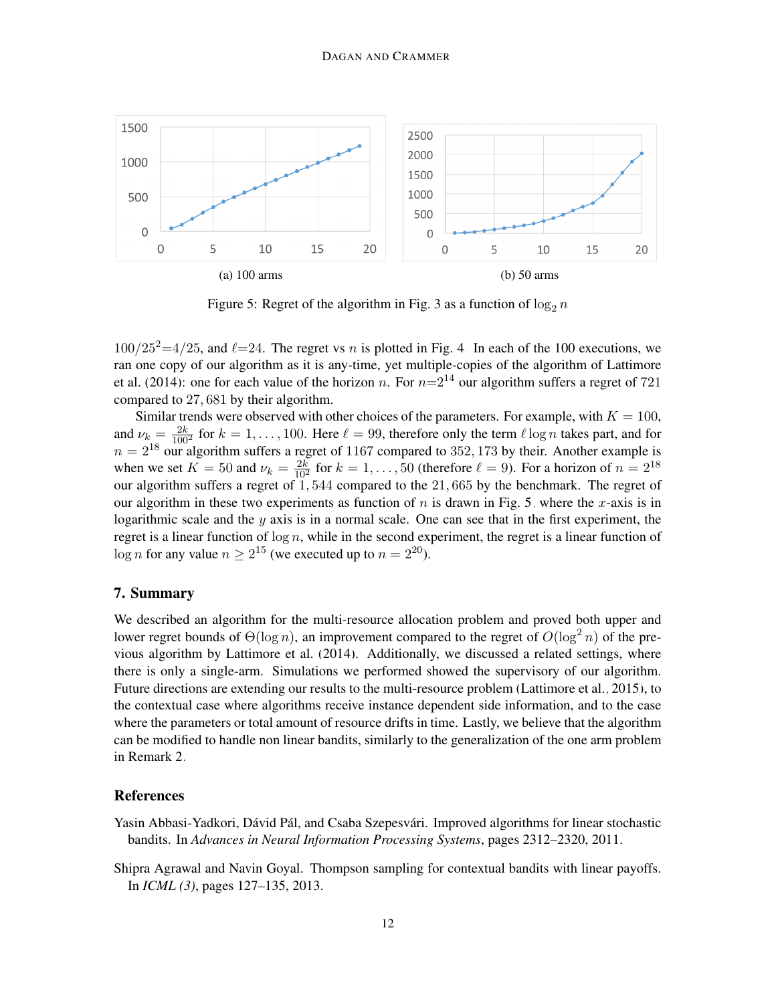<span id="page-11-2"></span>

Figure 5: Regret of the algorithm in Fig. [3](#page-6-0) as a function of  $\log_2 n$ 

 $100/25^2=4/25$ , and  $\ell=24$ . The regret vs n is plotted in Fig. [4.](#page-10-0) In each of the 100 executions, we ran one copy of our algorithm as it is any-time, yet multiple-copies of the algorithm of [Lattimore](#page-12-0) [et al.](#page-12-0) [\(2014\)](#page-12-0): one for each value of the horizon n. For  $n=2^{14}$  our algorithm suffers a regret of 721 compared to 27, 681 by their algorithm.

Similar trends were observed with other choices of the parameters. For example, with  $K = 100$ , and  $\nu_{k} = \frac{2k}{100^2}$  for  $k = 1, \ldots, 100$ . Here  $\ell = 99$ , therefore only the term  $\ell \log n$  takes part, and for  $n = 2^{18}$  our algorithm suffers a regret of 1167 compared to 352, 173 by their. Another example is when we set  $K = 50$  and  $\nu_k = \frac{2k}{10^2}$  for  $k = 1, \ldots, 50$  (therefore  $\ell = 9$ ). For a horizon of  $n = 2^{18}$ our algorithm suffers a regret of 1, 544 compared to the 21, 665 by the benchmark. The regret of our algorithm in these two experiments as function of  $n$  is drawn in Fig. [5,](#page-11-2) where the x-axis is in logarithmic scale and the  $y$  axis is in a normal scale. One can see that in the first experiment, the regret is a linear function of  $log n$ , while in the second experiment, the regret is a linear function of  $\log n$  for any value  $n \geq 2^{15}$  (we executed up to  $n = 2^{20}$ ).

# 7. Summary

We described an algorithm for the multi-resource allocation problem and proved both upper and lower regret bounds of  $\Theta(\log n)$ , an improvement compared to the regret of  $O(\log^2 n)$  of the previous algorithm by [Lattimore et al.](#page-12-0) [\(2014\)](#page-12-0). Additionally, we discussed a related settings, where there is only a single-arm. Simulations we performed showed the supervisory of our algorithm. Future directions are extending our results to the multi-resource problem [\(Lattimore et al., 2015\)](#page-12-4), to the contextual case where algorithms receive instance dependent side information, and to the case where the parameters or total amount of resource drifts in time. Lastly, we believe that the algorithm can be modified to handle non linear bandits, similarly to the generalization of the one arm problem in Remark [2.](#page-2-1)

### **References**

- <span id="page-11-0"></span>Yasin Abbasi-Yadkori, Dávid Pál, and Csaba Szepesvári. Improved algorithms for linear stochastic bandits. In *Advances in Neural Information Processing Systems*, pages 2312–2320, 2011.
- <span id="page-11-1"></span>Shipra Agrawal and Navin Goyal. Thompson sampling for contextual bandits with linear payoffs. In *ICML (3)*, pages 127–135, 2013.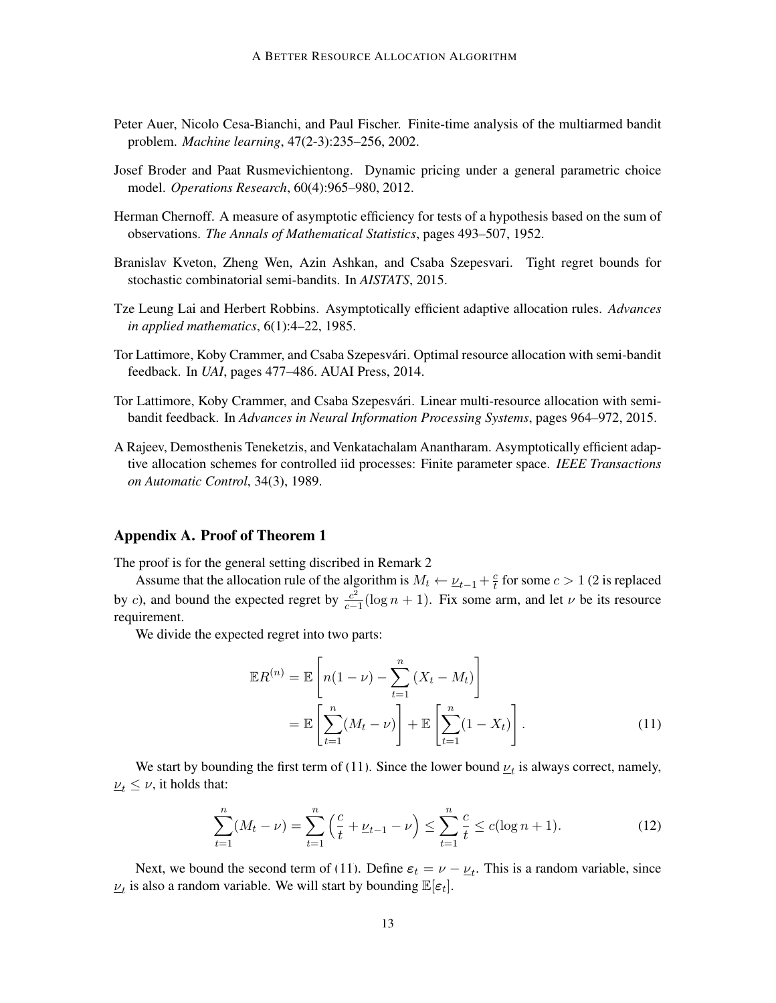- <span id="page-12-1"></span>Peter Auer, Nicolo Cesa-Bianchi, and Paul Fischer. Finite-time analysis of the multiarmed bandit problem. *Machine learning*, 47(2-3):235–256, 2002.
- <span id="page-12-3"></span>Josef Broder and Paat Rusmevichientong. Dynamic pricing under a general parametric choice model. *Operations Research*, 60(4):965–980, 2012.
- <span id="page-12-8"></span>Herman Chernoff. A measure of asymptotic efficiency for tests of a hypothesis based on the sum of observations. *The Annals of Mathematical Statistics*, pages 493–507, 1952.
- <span id="page-12-5"></span>Branislav Kveton, Zheng Wen, Azin Ashkan, and Csaba Szepesvari. Tight regret bounds for stochastic combinatorial semi-bandits. In *AISTATS*, 2015.
- <span id="page-12-9"></span>Tze Leung Lai and Herbert Robbins. Asymptotically efficient adaptive allocation rules. *Advances in applied mathematics*, 6(1):4–22, 1985.
- <span id="page-12-0"></span>Tor Lattimore, Koby Crammer, and Csaba Szepesvári. Optimal resource allocation with semi-bandit feedback. In *UAI*, pages 477–486. AUAI Press, 2014.
- <span id="page-12-4"></span>Tor Lattimore, Koby Crammer, and Csaba Szepesvari. Linear multi-resource allocation with semi- ´ bandit feedback. In *Advances in Neural Information Processing Systems*, pages 964–972, 2015.
- <span id="page-12-2"></span>A Rajeev, Demosthenis Teneketzis, and Venkatachalam Anantharam. Asymptotically efficient adaptive allocation schemes for controlled iid processes: Finite parameter space. *IEEE Transactions on Automatic Control*, 34(3), 1989.

### Appendix A. Proof of Theorem [1](#page-1-0)

The proof is for the general setting discribed in Remark [2](#page-2-1)

Assume that the allocation rule of the algorithm is  $M_t \leftarrow \underline{\nu}_{t-1} + \frac{c}{t}$  $\frac{c}{t}$  for some  $c > 1$  (2 is replaced by c), and bound the expected regret by  $\frac{c^2}{c}$  $\frac{c^2}{c-1}$ (log  $n + 1$ ). Fix some arm, and let  $\nu$  be its resource requirement.

We divide the expected regret into two parts:

<span id="page-12-6"></span>
$$
\mathbb{E}R^{(n)} = \mathbb{E}\left[n(1-\nu) - \sum_{t=1}^{n} (X_t - M_t)\right]
$$

$$
= \mathbb{E}\left[\sum_{t=1}^{n} (M_t - \nu)\right] + \mathbb{E}\left[\sum_{t=1}^{n} (1 - X_t)\right].
$$
(11)

We start by bounding the first term of [\(11\)](#page-12-6). Since the lower bound  $\underline{\nu}_t$  is always correct, namely,  $\nu_t \leq \nu$ , it holds that:

<span id="page-12-7"></span>
$$
\sum_{t=1}^{n} (M_t - \nu) = \sum_{t=1}^{n} \left(\frac{c}{t} + \underline{\nu}_{t-1} - \nu\right) \le \sum_{t=1}^{n} \frac{c}{t} \le c(\log n + 1). \tag{12}
$$

Next, we bound the second term of [\(11\)](#page-12-6). Define  $\varepsilon_t = \nu - \underline{\nu}_t$ . This is a random variable, since  $u_t$  is also a random variable. We will start by bounding  $\mathbb{E}[\varepsilon_t]$ .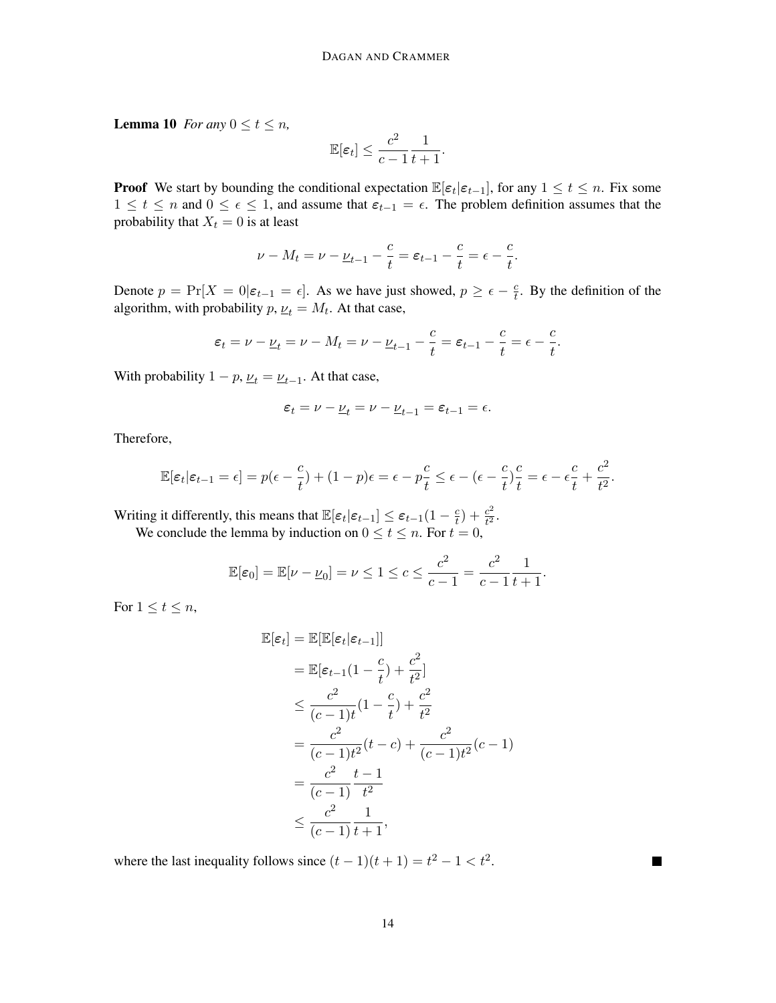**Lemma 10** *For any*  $0 \le t \le n$ *,* 

$$
\mathbb{E}[\varepsilon_t] \le \frac{c^2}{c-1} \frac{1}{t+1}.
$$

**Proof** We start by bounding the conditional expectation  $\mathbb{E}[\epsilon_t|\epsilon_{t-1}]$ , for any  $1 \le t \le n$ . Fix some 1 ≤ t ≤ n and  $0 \leq \epsilon \leq 1$ , and assume that  $\varepsilon_{t-1} = \epsilon$ . The problem definition assumes that the probability that  $X_t = 0$  is at least

$$
\nu - M_t = \nu - \underline{\nu}_{t-1} - \frac{c}{t} = \varepsilon_{t-1} - \frac{c}{t} = \varepsilon - \frac{c}{t}.
$$

Denote  $p = \Pr[X = 0 | \varepsilon_{t-1} = \epsilon]$ . As we have just showed,  $p \ge \epsilon - \frac{c}{t}$  $\frac{c}{t}$ . By the definition of the algorithm, with probability  $p, \underline{\nu}_t = M_t$ . At that case,

$$
\varepsilon_t = \nu - \underline{\nu}_t = \nu - M_t = \nu - \underline{\nu}_{t-1} - \frac{c}{t} = \varepsilon_{t-1} - \frac{c}{t} = \epsilon - \frac{c}{t}.
$$

With probability  $1 - p$ ,  $\underline{\nu}_t = \underline{\nu}_{t-1}$ . At that case,

$$
\varepsilon_t = \nu - \underline{\nu}_t = \nu - \underline{\nu}_{t-1} = \varepsilon_{t-1} = \epsilon.
$$

Therefore,

$$
\mathbb{E}[\varepsilon_t|\varepsilon_{t-1}=\epsilon] = p(\epsilon - \frac{c}{t}) + (1-p)\epsilon = \epsilon - p\frac{c}{t} \le \epsilon - (\epsilon - \frac{c}{t})\frac{c}{t} = \epsilon - \epsilon\frac{c}{t} + \frac{c^2}{t^2}.
$$

Writing it differently, this means that  $\mathbb{E}[\varepsilon_t|\varepsilon_{t-1}] \leq \varepsilon_{t-1}(1-\frac{c}{t})$  $(\frac{c}{t}) + \frac{c^2}{t^2})$  $\frac{c^2}{t^2}$ .

We conclude the lemma by induction on  $0 \le t \le n$ . For  $t = 0$ ,

$$
\mathbb{E}[\varepsilon_0] = \mathbb{E}[\nu - \underline{\nu}_0] = \nu \le 1 \le c \le \frac{c^2}{c - 1} = \frac{c^2}{c - 1} \frac{1}{t + 1}.
$$

For  $1 \leq t \leq n$ ,

$$
\mathbb{E}[\varepsilon_t] = \mathbb{E}[\mathbb{E}[\varepsilon_t|\varepsilon_{t-1}]]
$$
  
\n
$$
= \mathbb{E}[\varepsilon_{t-1}(1-\frac{c}{t}) + \frac{c^2}{t^2}]
$$
  
\n
$$
\leq \frac{c^2}{(c-1)t}(1-\frac{c}{t}) + \frac{c^2}{t^2}
$$
  
\n
$$
= \frac{c^2}{(c-1)t^2}(t-c) + \frac{c^2}{(c-1)t^2}(c-1)
$$
  
\n
$$
= \frac{c^2}{(c-1)}\frac{t-1}{t^2}
$$
  
\n
$$
\leq \frac{c^2}{(c-1)}\frac{1}{t+1},
$$

where the last inequality follows since  $(t-1)(t+1) = t^2 - 1 < t^2$ .

 $\blacksquare$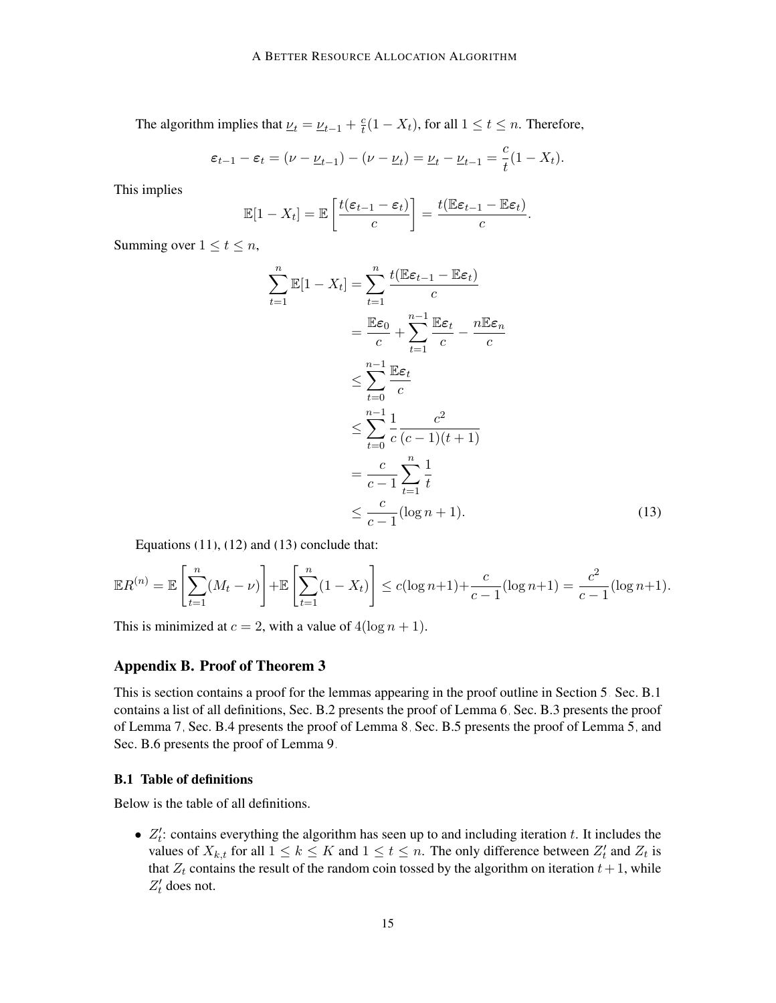The algorithm implies that  $\underline{\nu}_t = \underline{\nu}_{t-1} + \frac{c}{t}$  $\frac{c}{t}(1-X_t)$ , for all  $1 \le t \le n$ . Therefore,

$$
\varepsilon_{t-1} - \varepsilon_t = (\nu - \underline{\nu}_{t-1}) - (\nu - \underline{\nu}_t) = \underline{\nu}_t - \underline{\nu}_{t-1} = \frac{c}{t}(1 - X_t).
$$

This implies

$$
\mathbb{E}[1 - X_t] = \mathbb{E}\left[\frac{t(\varepsilon_{t-1} - \varepsilon_t)}{c}\right] = \frac{t(\mathbb{E}\varepsilon_{t-1} - \mathbb{E}\varepsilon_t)}{c}.
$$

Summing over  $1 \le t \le n$ ,

<span id="page-14-0"></span>
$$
\sum_{t=1}^{n} \mathbb{E}[1 - X_t] = \sum_{t=1}^{n} \frac{t(\mathbb{E}\varepsilon_{t-1} - \mathbb{E}\varepsilon_t)}{c}
$$

$$
= \frac{\mathbb{E}\varepsilon_0}{c} + \sum_{t=1}^{n-1} \frac{\mathbb{E}\varepsilon_t}{c} - \frac{n\mathbb{E}\varepsilon_n}{c}
$$

$$
\leq \sum_{t=0}^{n-1} \frac{\mathbb{E}\varepsilon_t}{c}
$$

$$
\leq \sum_{t=0}^{n-1} \frac{1}{c} \frac{c^2}{(c-1)(t+1)}
$$

$$
= \frac{c}{c-1} \sum_{t=1}^{n} \frac{1}{t}
$$

$$
\leq \frac{c}{c-1} (\log n + 1).
$$
(13)

Equations  $(11)$ ,  $(12)$  and  $(13)$  conclude that:

$$
\mathbb{E}R^{(n)} = \mathbb{E}\left[\sum_{t=1}^{n} (M_t - \nu)\right] + \mathbb{E}\left[\sum_{t=1}^{n} (1 - X_t)\right] \le c(\log n + 1) + \frac{c}{c - 1}(\log n + 1) = \frac{c^2}{c - 1}(\log n + 1).
$$

This is minimized at  $c = 2$ , with a value of  $4(\log n + 1)$ .

### Appendix B. Proof of Theorem [3](#page-3-1)

This is section contains a proof for the lemmas appearing in the proof outline in Section [5.](#page-7-5) Sec. [B.1](#page-14-1) contains a list of all definitions, Sec. [B.2](#page-16-0) presents the proof of Lemma [6,](#page-7-0) Sec. [B.3](#page-19-0) presents the proof of Lemma [7,](#page-8-4) Sec. [B.4](#page-38-0) presents the proof of Lemma [8,](#page-8-5) Sec. [B.5](#page-39-0) presents the proof of Lemma [5,](#page-7-4) and Sec. [B.6](#page-42-0) presents the proof of Lemma [9.](#page-9-3)

### <span id="page-14-1"></span>B.1 Table of definitions

Below is the table of all definitions.

•  $Z'_t$ : contains everything the algorithm has seen up to and including iteration t. It includes the values of  $X_{k,t}$  for all  $1 \leq k \leq K$  and  $1 \leq t \leq n$ . The only difference between  $Z'_t$  and  $Z_t$  is that  $Z_t$  contains the result of the random coin tossed by the algorithm on iteration  $t + 1$ , while  $Z'_t$  does not.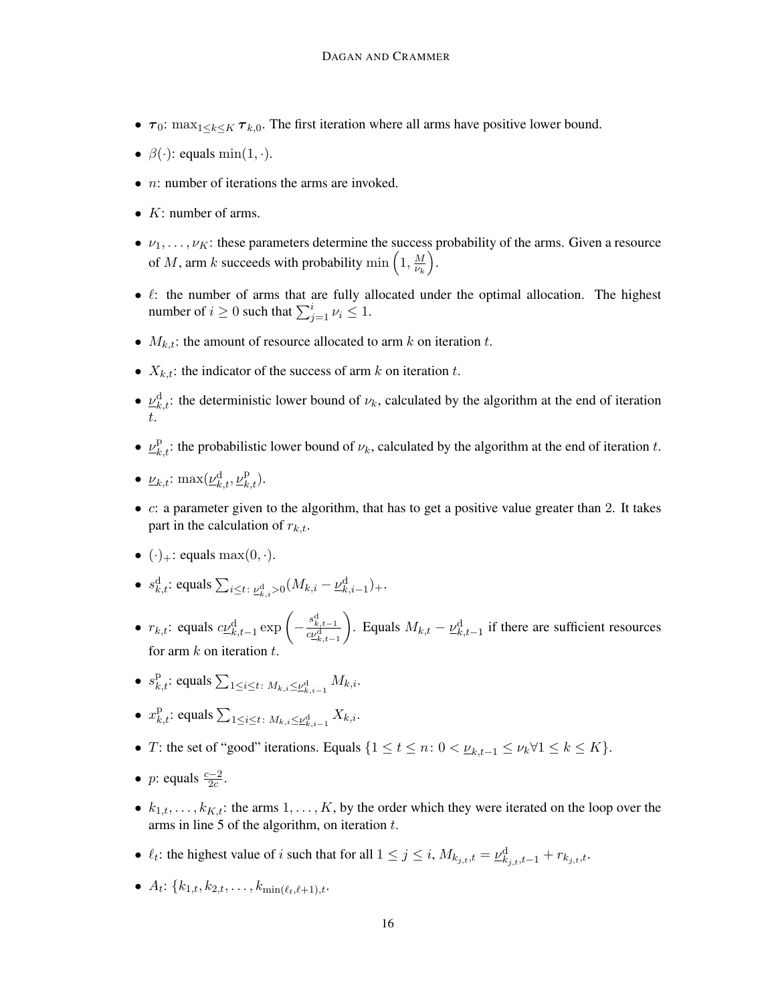- $\tau_0$ : max<sub>1</sub><k<k  $\tau_{k,0}$ . The first iteration where all arms have positive lower bound.
- $\beta(\cdot)$ : equals min $(1, \cdot)$ .
- $n:$  number of iterations the arms are invoked.
- $K:$  number of arms.
- $\nu_1, \ldots, \nu_K$ : these parameters determine the success probability of the arms. Given a resource of M, arm k succeeds with probability min  $\left(1, \frac{M}{W}\right)$  $\overline{\nu_k}$ .
- $\ell$ : the number of arms that are fully allocated under the optimal allocation. The highest number of  $i \geq 0$  such that  $\sum_{j=1}^{i} \nu_i \leq 1$ .
- $M_{k,t}$ : the amount of resource allocated to arm k on iteration t.
- $X_{k,t}$ : the indicator of the success of arm k on iteration t.
- $\underline{\nu}_{k,t}^d$ : the deterministic lower bound of  $\nu_k$ , calculated by the algorithm at the end of iteration t.
- $\underline{\nu}_{k,t}^{\text{p}}$ : the probabilistic lower bound of  $\nu_k$ , calculated by the algorithm at the end of iteration t.
- $\underline{\nu}_{k,t}$ :  $\max(\underline{\nu}_{k,t}^{\mathrm{d}}, \underline{\nu}_{k,t}^{\mathrm{p}})$ .
- c: a parameter given to the algorithm, that has to get a positive value greater than 2. It takes part in the calculation of  $r_{k,t}$ .
- $(\cdot)_+$ : equals max $(0, \cdot)$ .
- $s_{k,t}^d$ : equals  $\sum_{i \le t} \sum_{\substack{\nu_{k,i}^d > 0}} (M_{k,i} \underline{\nu}_{k,i-1}^d) +$ .
- $r_{k,t}$ : equals  $c\underline{\nu}_{k,t-1}^d \exp\left(-\frac{s_{k,t-1}^d}{c\underline{\nu}_{k,t-1}^d}\right)$ ). Equals  $M_{k,t} - \underline{\nu}_{k,t-1}^d$  if there are sufficient resources for arm  $k$  on iteration
- $s_{k,t}^{\text{p}}$ : equals  $\sum_{1 \leq i \leq t} M_{k,i} \leq \underline{\nu}_{k,i-1}^{\text{d}} M_{k,i}$ .
- $x_{k,t}^{\mathrm{p}}$ : equals  $\sum_{1 \leq i \leq t} X_{k,i} \leq \underline{\nu}_{k,i-1}^{\mathrm{d}} X_{k,i}$ .
- T: the set of "good" iterations. Equals  $\{1 \le t \le n : 0 < \underline{\nu}_{k,t-1} \le \nu_k \forall 1 \le k \le K\}.$
- *p*: equals  $\frac{c-2}{2c}$ .
- $k_{1,t}, \ldots, k_{K,t}$ : the arms  $1, \ldots, K$ , by the order which they were iterated on the loop over the arms in line [5](#page-6-2) of the algorithm, on iteration  $t$ .
- $\ell_t$ : the highest value of *i* such that for all  $1 \le j \le i$ ,  $M_{k_{j,t},t} = \underline{\nu}_{k_{j,t},t-1}^d + r_{k_{j,t},t}$ .
- $A_t$ :  $\{k_{1,t}, k_{2,t}, \ldots, k_{\min(\ell_t, \ell+1),t}.$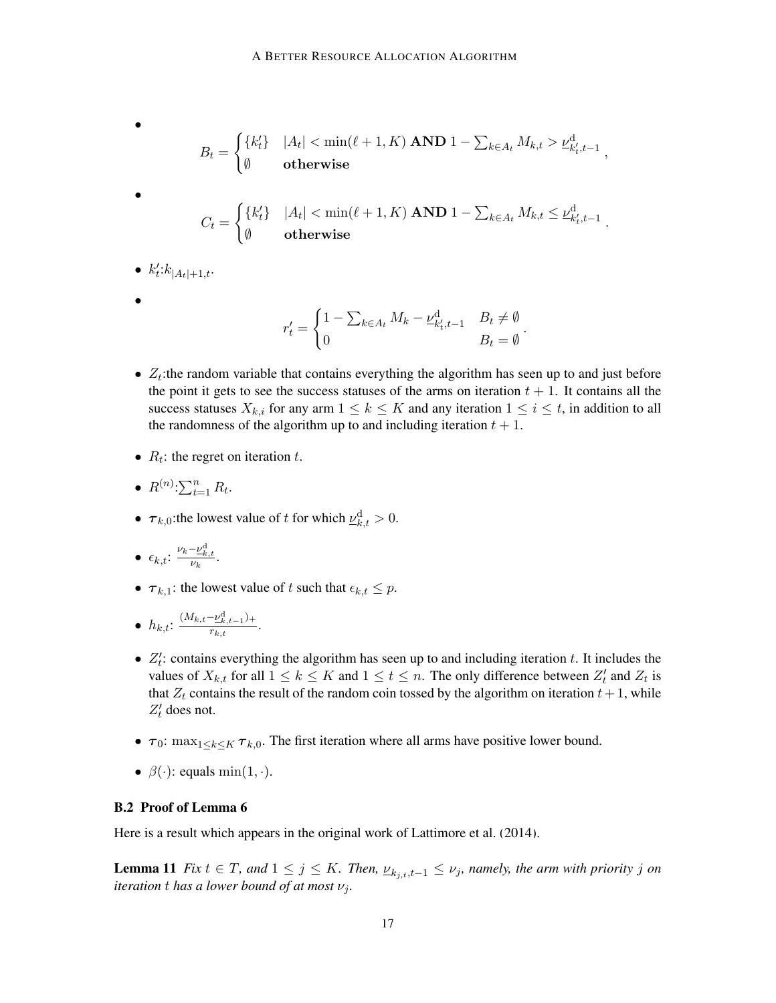\n- \n
$$
B_t = \n\begin{cases} \n\{k_t'\} & |A_t| < \min(\ell+1, K) \text{ AND } 1 - \sum_{k \in A_t} M_{k,t} > \underline{\nu}_{k_t', t-1}^{\mathrm{d}}, \\
\emptyset & \text{otherwise}\n\end{cases}
$$
\n
\n- \n
$$
C_t = \n\begin{cases} \n\{k_t'\} & |A_t| < \min(\ell+1, K) \text{ AND } 1 - \sum_{k \in A_t} M_{k,t} \leq \underline{\nu}_{k_t', t-1}^{\mathrm{d}} \\
\emptyset & \text{otherwise}\n\end{cases}
$$
\n
\n

- $k_t' : k_{|A_t|+1,t}$ .
- •

$$
r'_{t} = \begin{cases} 1 - \sum_{k \in A_t} M_k - \underline{\nu}_{k'_t, t-1}^{\mathrm{d}} & B_t \neq \emptyset \\ 0 & B_t = \emptyset \end{cases}
$$

.

- $Z_t$ : the random variable that contains everything the algorithm has seen up to and just before the point it gets to see the success statuses of the arms on iteration  $t + 1$ . It contains all the success statuses  $X_{k,i}$  for any arm  $1 \leq k \leq K$  and any iteration  $1 \leq i \leq t$ , in addition to all the randomness of the algorithm up to and including iteration  $t + 1$ .
- $R_t$ : the regret on iteration t.
- $R^{(n)}:\sum_{t=1}^{n} R_t$ .
- $\tau_{k,0}$ : the lowest value of t for which  $\underline{\nu}_{k,t}^d > 0$ .

$$
\bullet \ \epsilon_{k,t} \!\!: \tfrac{\nu_k - \underline{\nu}_{k,t}^{\text{d}}}{\nu_k}.
$$

•  $\tau_{k,1}$ : the lowest value of t such that  $\epsilon_{k,t} \leq p$ .

.

$$
\bullet \ \ h_{k,t} \colon \tfrac{(M_{k,t} - \underline{\nu}_{k,t-1}^{\text{d}})_+}{r_{k,t}}
$$

- $Z'_t$ : contains everything the algorithm has seen up to and including iteration t. It includes the values of  $X_{k,t}$  for all  $1 \leq k \leq K$  and  $1 \leq t \leq n$ . The only difference between  $Z'_t$  and  $Z_t$  is that  $Z_t$  contains the result of the random coin tossed by the algorithm on iteration  $t + 1$ , while  $Z'_t$  does not.
- $\tau_0$ : max<sub>1</sub><k<k  $\tau_{k,0}$ . The first iteration where all arms have positive lower bound.
- $\beta(\cdot)$ : equals min $(1, \cdot)$ .

# <span id="page-16-0"></span>B.2 Proof of Lemma [6](#page-7-0)

Here is a result which appears in the original work of [Lattimore et al.](#page-12-0) [\(2014\)](#page-12-0).

**Lemma 11** *Fix*  $t \in T$ *, and*  $1 \leq j \leq K$ *. Then,*  $\nu_{k_{i},t}$ ,  $\nu_{j}$ *, namely, the arm with priority j on iteration t has a lower bound of at most*  $\nu_i$ *.*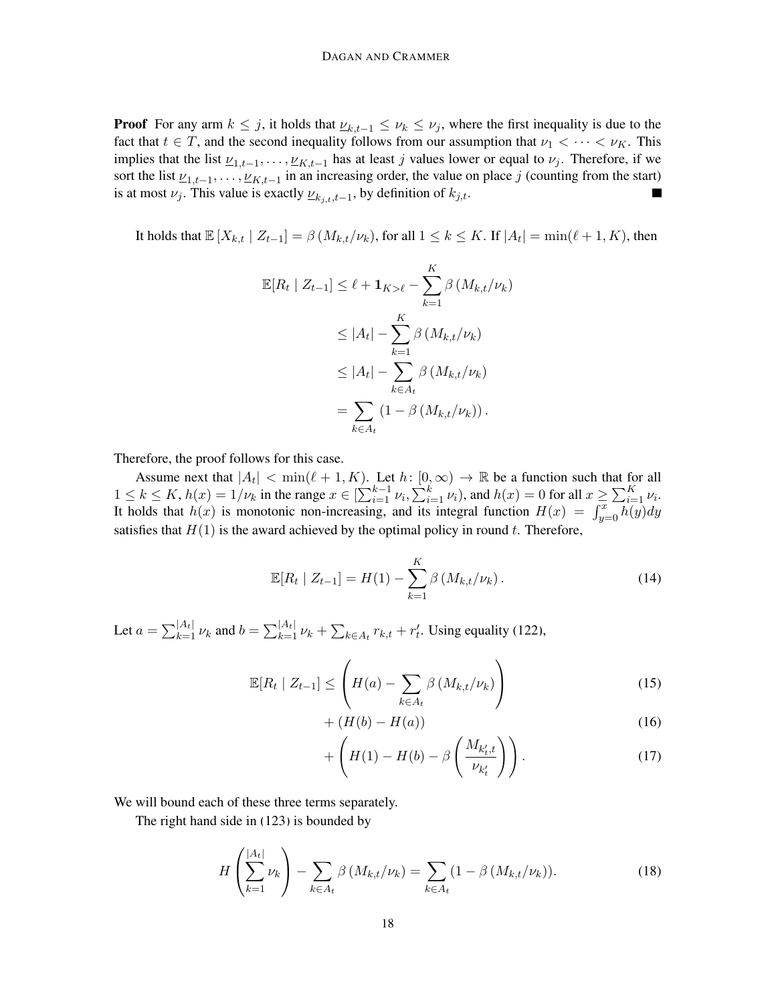**Proof** For any arm  $k \leq j$ , it holds that  $\underline{\nu}_{k,t-1} \leq \nu_k \leq \nu_j$ , where the first inequality is due to the fact that  $t \in T$ , and the second inequality follows from our assumption that  $\nu_1 < \cdots < \nu_K$ . This implies that the list  $\underline{\nu}_{1,t-1}, \dots, \underline{\nu}_{K,t-1}$  has at least j values lower or equal to  $\nu_j$ . Therefore, if we sort the list  $\underline{\nu}_{1,t-1}, \ldots, \underline{\nu}_{K,t-1}$  in an increasing order, the value on place j (counting from the start) is at most  $\nu_j$ . This value is exactly  $\underline{\nu}_{k_j,t,t-1}$ , by definition of  $k_{j,t}$ . Ξ

It holds that  $\mathbb{E}[X_{k,t} | Z_{t-1}] = \beta(M_{k,t}/\nu_k)$ , for all  $1 \leq k \leq K$ . If  $|A_t| = \min(\ell + 1, K)$ , then

$$
\mathbb{E}[R_t | Z_{t-1}] \leq \ell + \mathbf{1}_{K > \ell} - \sum_{k=1}^K \beta \left( M_{k,t} / \nu_k \right)
$$
  
\n
$$
\leq |A_t| - \sum_{k=1}^K \beta \left( M_{k,t} / \nu_k \right)
$$
  
\n
$$
\leq |A_t| - \sum_{k \in A_t} \beta \left( M_{k,t} / \nu_k \right)
$$
  
\n
$$
= \sum_{k \in A_t} \left( 1 - \beta \left( M_{k,t} / \nu_k \right) \right).
$$

Therefore, the proof follows for this case.

Assume next that  $|A_t| < \min(\ell + 1, K)$ . Let  $h: [0, \infty) \to \mathbb{R}$  be a function such that for all  $1 \leq k \leq K$ ,  $h(x) = 1/\nu_k$  in the range  $x \in \left[\sum_{i=1}^{k-1} \nu_i, \sum_{i=1}^{k} \nu_i\right)$ , and  $h(x) = 0$  for all  $x \geq \sum_{i=1}^{K} \nu_i$ . It holds that  $h(x)$  is monotonic non-increasing, and its integral function  $H(x) = \int_{y=0}^{x} h(y) dy$ satisfies that  $H(1)$  is the award achieved by the optimal policy in round t. Therefore,

$$
\mathbb{E}[R_t | Z_{t-1}] = H(1) - \sum_{k=1}^{K} \beta \left( M_{k,t} / \nu_k \right). \tag{14}
$$

Let  $a = \sum_{k=1}^{|A_t|} \nu_k$  and  $b = \sum_{k=1}^{|A_t|} \nu_k + \sum_{k \in A_t} r_{k,t} + r'_t$ . Using equality [\(122\)](#page-50-0),

$$
\mathbb{E}[R_t \mid Z_{t-1}] \leq \left( H(a) - \sum_{k \in A_t} \beta \left( M_{k,t} / \nu_k \right) \right) \tag{15}
$$

$$
+\left(H(b) - H(a)\right) \tag{16}
$$

$$
+\left(H(1)-H(b)-\beta\left(\frac{M_{k'_t,t}}{\nu_{k'_t}}\right)\right).
$$
\n(17)

We will bound each of these three terms separately.

The right hand side in [\(123\)](#page-50-1) is bounded by

$$
H\left(\sum_{k=1}^{|A_t|} \nu_k\right) - \sum_{k \in A_t} \beta\left(M_{k,t}/\nu_k\right) = \sum_{k \in A_t} \left(1 - \beta\left(M_{k,t}/\nu_k\right)\right). \tag{18}
$$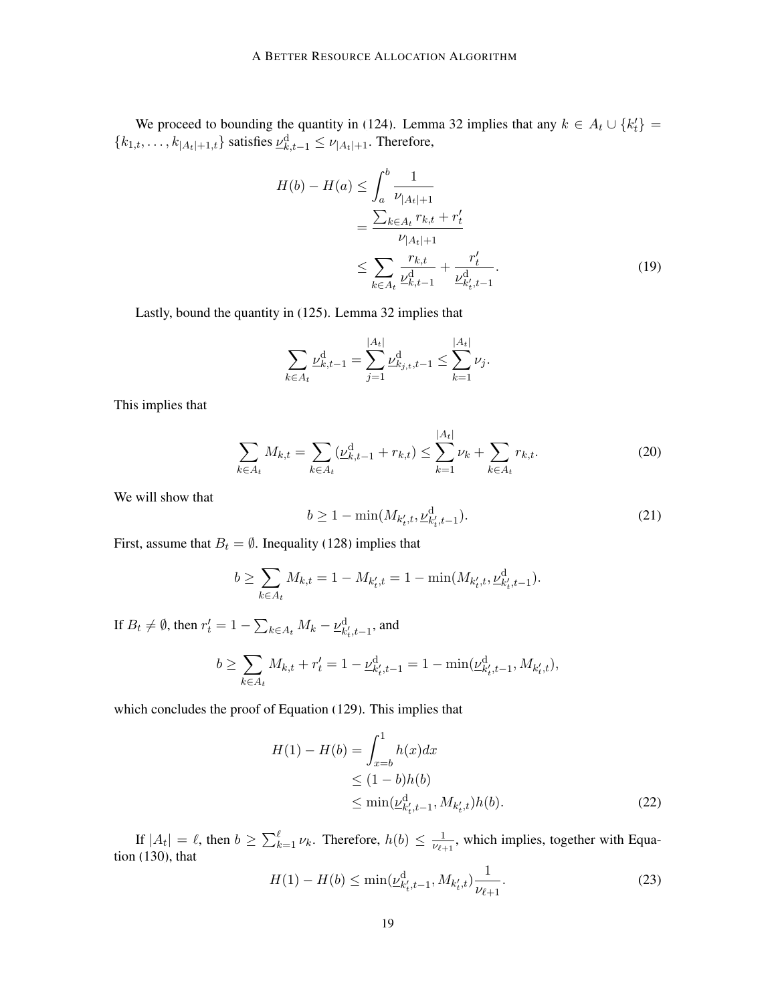We proceed to bounding the quantity in [\(124\)](#page-50-2). Lemma [32](#page-49-0) implies that any  $k \in A_t \cup \{k'_t\}$  ${k_{1,t}, \ldots, k_{|A_t|+1,t}}$  satisfies  $\underline{\nu}_{k,t-1}^d \le \nu_{|A_t|+1}$ . Therefore,

$$
H(b) - H(a) \le \int_{a}^{b} \frac{1}{\nu_{|A_t|+1}}
$$
  
= 
$$
\frac{\sum_{k \in A_t} r_{k,t} + r'_t}{\nu_{|A_t|+1}}
$$
  

$$
\le \sum_{k \in A_t} \frac{r_{k,t}}{\nu_{k,t-1}^d} + \frac{r'_t}{\nu_{k,t-1}^d}.
$$
 (19)

Lastly, bound the quantity in [\(125\)](#page-50-3). Lemma [32](#page-49-0) implies that

$$
\sum_{k \in A_t} \underline{\nu}_{k,t-1}^{\mathrm{d}} = \sum_{j=1}^{|A_t|} \underline{\nu}_{k,j,t,t-1}^{\mathrm{d}} \le \sum_{k=1}^{|A_t|} \nu_j.
$$

This implies that

$$
\sum_{k \in A_t} M_{k,t} = \sum_{k \in A_t} (\underline{\nu}_{k,t-1}^d + r_{k,t}) \le \sum_{k=1}^{|A_t|} \nu_k + \sum_{k \in A_t} r_{k,t}.
$$
 (20)

|At|

We will show that

$$
b \ge 1 - \min(M_{k'_t, t}, \underline{\nu}_{k'_t, t-1}^{\mathrm{d}}). \tag{21}
$$

First, assume that  $B_t = \emptyset$ . Inequality [\(128\)](#page-51-0) implies that

$$
b \ge \sum_{k \in A_t} M_{k,t} = 1 - M_{k'_t,t} = 1 - \min(M_{k'_t,t}, \underline{\nu}_{k'_t,t-1}^d).
$$

If  $B_t \neq \emptyset$ , then  $r'_t = 1 - \sum_{k \in A_t} M_k - \underline{\nu}_{k'_t, t-1}^d$ , and

$$
b \ge \sum_{k \in A_t} M_{k,t} + r'_t = 1 - \underline{\nu}_{k'_t, t-1}^{\mathrm{d}} = 1 - \min(\underline{\nu}_{k'_t, t-1}^{\mathrm{d}}, M_{k'_t, t}),
$$

which concludes the proof of Equation [\(129\)](#page-51-1). This implies that

$$
H(1) - H(b) = \int_{x=b}^{1} h(x)dx
$$
  
\n
$$
\leq (1-b)h(b)
$$
  
\n
$$
\leq \min(\underline{\nu}_{k_t', t-1}^d, M_{k_t', t})h(b).
$$
 (22)

If  $|A_t| = \ell$ , then  $b \ge \sum_{k=1}^{\ell} \nu_k$ . Therefore,  $h(b) \le \frac{1}{\nu_{\ell+1}}$  $\frac{1}{\nu_{\ell+1}}$ , which implies, together with Equation [\(130\)](#page-51-2), that

$$
H(1) - H(b) \le \min(\underline{\nu}_{k'_t, t-1}^d, M_{k'_t, t}) \frac{1}{\nu_{\ell+1}}.
$$
\n(23)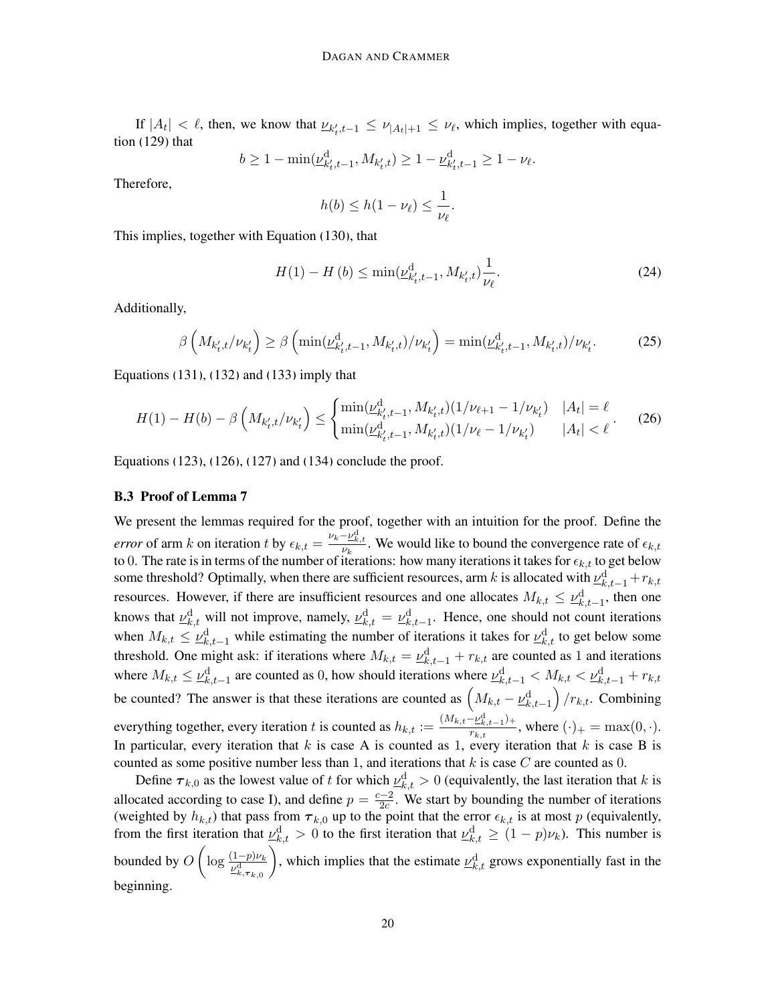If  $|A_t| < l$ , then, we know that  $\underline{\nu}_{k'_t,t-1} \leq \nu_{|A_t|+1} \leq \nu_{l}$ , which implies, together with equation [\(129\)](#page-51-1) that

$$
b \ge 1 - \min(\underline{\nu}_{k'_t,t-1}^{\mathrm{d}}, M_{k'_t,t}) \ge 1 - \underline{\nu}_{k'_t,t-1}^{\mathrm{d}} \ge 1 - \nu_{\ell}.
$$

Therefore,

$$
h(b) \leq h(1 - \nu_{\ell}) \leq \frac{1}{\nu_{\ell}}.
$$

This implies, together with Equation [\(130\)](#page-51-2), that

$$
H(1) - H(b) \le \min(\underline{\nu}_{k'_t, t-1}^d, M_{k'_t, t}) \frac{1}{\nu_{\ell}}.
$$
\n(24)

Additionally,

$$
\beta\left(M_{k'_t,t}/\nu_{k'_t}\right) \ge \beta\left(\min(\underline{\nu}_{k'_t,t-1}^{\mathrm{d}}, M_{k'_t,t})/\nu_{k'_t}\right) = \min(\underline{\nu}_{k'_t,t-1}^{\mathrm{d}}, M_{k'_t,t})/\nu_{k'_t}.\tag{25}
$$

Equations [\(131\)](#page-51-3), [\(132\)](#page-51-4) and [\(133\)](#page-52-0) imply that

$$
H(1) - H(b) - \beta \left( M_{k'_t, t} / \nu_{k'_t} \right) \le \begin{cases} \min(\underline{\nu}_{k'_t, t-1}^d, M_{k'_t, t}) (1 / \nu_{\ell+1} - 1 / \nu_{k'_t}) & |A_t| = \ell\\ \min(\underline{\nu}_{k'_t, t-1}^d, M_{k'_t, t}) (1 / \nu_{\ell} - 1 / \nu_{k'_t}) & |A_t| < \ell \end{cases} \tag{26}
$$

Equations [\(123\)](#page-50-1), [\(126\)](#page-50-4), [\(127\)](#page-51-5) and [\(134\)](#page-52-1) conclude the proof.

#### <span id="page-19-0"></span>B.3 Proof of Lemma [7](#page-8-4)

We present the lemmas required for the proof, together with an intuition for the proof. Define the *error* of arm k on iteration t by  $\epsilon_{k,t} = \frac{\nu_k - \nu_{k,t}^d}{\nu_k}$ . We would like to bound the convergence rate of  $\epsilon_{k,t}$ to 0. The rate is in terms of the number of iterations: how many iterations it takes for  $\epsilon_{k,t}$  to get below some threshold? Optimally, when there are sufficient resources, arm k is allocated with  $\varrho^{\rm d}_{k,t-1}+r_{k,t}$ resources. However, if there are insufficient resources and one allocates  $M_{k,t} \leq \underline{\nu}_{k,t-1}^d$ , then one knows that  $\underline{\nu}_{k,t}^d$  will not improve, namely,  $\underline{\nu}_{k,t}^d = \underline{\nu}_{k,t-1}^d$ . Hence, one should not count iterations when  $M_{k,t} \leq \nu_{k,t-1}^d$  while estimating the number of iterations it takes for  $\nu_{k,t}^d$  to get below some threshold. One might ask: if iterations where  $M_{k,t} = \underline{\nu}_{k,t-1}^d + r_{k,t}$  are counted as 1 and iterations where  $M_{k,t} \leq \nu_{k,t-1}^d$  are counted as 0, how should iterations where  $\nu_{k,t-1}^d < M_{k,t} < \nu_{k,t-1}^d + r_{k,t}$ be counted? The answer is that these iterations are counted as  $(M_{k,t} - \underline{\nu}_{k,t-1}^d)/r_{k,t}$ . Combining everything together, every iteration t is counted as  $h_{k,t} := \frac{(M_{k,t}-\nu_{k,t-1}^d)^2}{r_{k,t}}$  $\frac{E_{k,t-1}+1}{r_{k,t}}$ , where  $(\cdot)_+ = \max(0,\cdot)$ . In particular, every iteration that  $k$  is case A is counted as 1, every iteration that  $k$  is case B is counted as some positive number less than 1, and iterations that  $k$  is case  $C$  are counted as 0.

<span id="page-19-1"></span>Define  $\tau_{k,0}$  as the lowest value of t for which  $\underline{\nu}_{k,t}^d > 0$  (equivalently, the last iteration that k is allocated according to case I), and define  $p = \frac{c-2}{2c}$  $\frac{z-2}{2c}$ . We start by bounding the number of iterations (weighted by  $h_{k,t}$ ) that pass from  $\tau_{k,0}$  up to the point that the error  $\epsilon_{k,t}$  is at most p (equivalently, from the first iteration that  $\underline{\nu}_{k,t}^d > 0$  to the first iteration that  $\underline{\nu}_{k,t}^d \ge (1-p)\nu_k$ ). This number is bounded by  $O\left(\log \frac{(1-p)\nu_k}{\nu_{k,\tau_{k,0}}^d}\right)$ ), which implies that the estimate  $\underline{\nu}_{k,t}^d$  grows exponentially fast in the beginning.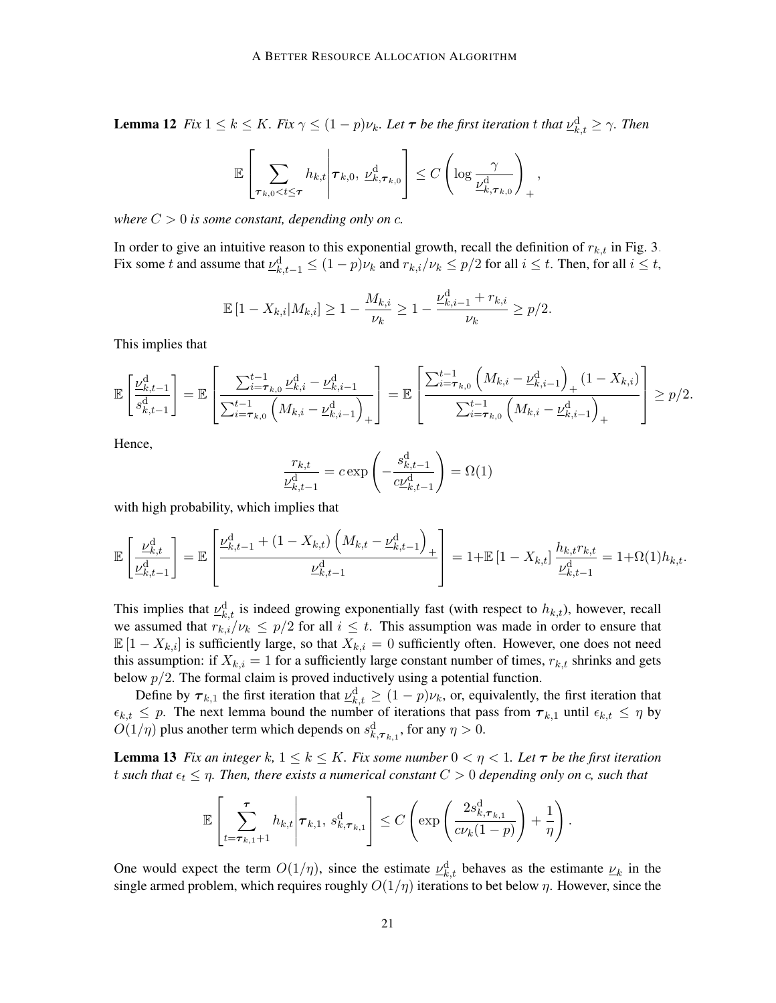**Lemma 12** *Fix*  $1 \leq k \leq K$ *. Fix*  $\gamma \leq (1-p)\nu_k$ *. Let*  $\tau$  *be the first iteration t that*  $\underline{\nu}_{k,t}^d \geq \gamma$ *. Then* 

$$
\mathbb{E}\left[\sum_{\tau_{k,0}\leq t\leq \tau} h_{k,t} \middle| \tau_{k,0}, \underline{\nu}_{k,\tau_{k,0}}^{\mathrm{d}}\right] \leq C \left(\log \frac{\gamma}{\underline{\nu}_{k,\tau_{k,0}}^{\mathrm{d}}}\right)_{+},
$$

*where*  $C > 0$  *is some constant, depending only on c.* 

In order to give an intuitive reason to this exponential growth, recall the definition of  $r_{k,t}$  in Fig. [3.](#page-6-0) Fix some t and assume that  $\underline{\nu}_{k,t-1}^d \leq (1-p)\nu_k$  and  $r_{k,i}/\nu_k \leq p/2$  for all  $i \leq t$ . Then, for all  $i \leq t$ ,

$$
\mathbb{E}\left[1 - X_{k,i}|M_{k,i}\right] \ge 1 - \frac{M_{k,i}}{\nu_k} \ge 1 - \frac{\nu_{k,i-1}^{\mathrm{d}} + r_{k,i}}{\nu_k} \ge p/2.
$$

This implies that

$$
\mathbb{E}\left[\frac{\nu_{k,t-1}^{\mathrm{d}}}{s_{k,t-1}^{\mathrm{d}}} \right] = \mathbb{E}\left[\frac{\sum_{i=\tau_{k,0}}^{t-1} \underline{\nu}_{k,i}^{\mathrm{d}} - \underline{\nu}_{k,i-1}^{\mathrm{d}}}{\sum_{i=\tau_{k,0}}^{t-1} \left(M_{k,i} - \underline{\nu}_{k,i-1}^{\mathrm{d}}\right)_+}\right] = \mathbb{E}\left[\frac{\sum_{i=\tau_{k,0}}^{t-1} \left(M_{k,i} - \underline{\nu}_{k,i-1}^{\mathrm{d}}\right)_+ (1 - X_{k,i})}{\sum_{i=\tau_{k,0}}^{t-1} \left(M_{k,i} - \underline{\nu}_{k,i-1}^{\mathrm{d}}\right)_+}\right] \ge p/2.
$$

Hence,

$$
\frac{r_{k,t}}{\nu_{k,t-1}^{\rm d}} = c \exp\left(-\frac{s_{k,t-1}^{\rm d}}{c\frac{\nu_{k,t-1}^{\rm d}}{c_{k,t-1}^{\rm d}}}\right) = \Omega(1)
$$

with high probability, which implies that

$$
\mathbb{E}\left[\frac{\underline{\nu}_{k,t}^{\mathrm{d}}}{\underline{\nu}_{k,t-1}^{\mathrm{d}}} \right] = \mathbb{E}\left[\frac{\underline{\nu}_{k,t-1}^{\mathrm{d}} + (1 - X_{k,t})\left(M_{k,t} - \underline{\nu}_{k,t-1}^{\mathrm{d}}\right)}{\underline{\nu}_{k,t-1}^{\mathrm{d}}} \right] = 1 + \mathbb{E}\left[1 - X_{k,t}\right] \frac{h_{k,t}r_{k,t}}{\underline{\nu}_{k,t-1}^{\mathrm{d}}} = 1 + \Omega(1)h_{k,t}.
$$

This implies that  $\underline{\nu}_{k,t}^d$  is indeed growing exponentially fast (with respect to  $h_{k,t}$ ), however, recall we assumed that  $r_{k,i}/\nu_k \leq p/2$  for all  $i \leq t$ . This assumption was made in order to ensure that  $\mathbb{E}[1 - X_{k,i}]$  is sufficiently large, so that  $X_{k,i} = 0$  sufficiently often. However, one does not need this assumption: if  $X_{k,i} = 1$  for a sufficiently large constant number of times,  $r_{k,t}$  shrinks and gets below  $p/2$ . The formal claim is proved inductively using a potential function.

Define by  $\tau_{k,1}$  the first iteration that  $\underline{\nu}_{k,t}^d \ge (1-p)\nu_k$ , or, equivalently, the first iteration that  $\epsilon_{k,t} \leq p$ . The next lemma bound the number of iterations that pass from  $\tau_{k,1}$  until  $\epsilon_{k,t} \leq \eta$  by  $O(1/\eta)$  plus another term which depends on  $s_{k,\tau_{k,1}}^d$ , for any  $\eta > 0$ .

**Lemma 13** *Fix an integer* k,  $1 \le k \le K$ *. Fix some number*  $0 < \eta < 1$ *. Let*  $\tau$  *be the first iteration* t such that  $\epsilon_t \leq \eta$ . Then, there exists a numerical constant  $C > 0$  depending only on c, such that

<span id="page-20-0"></span>
$$
\mathbb{E}\left[\sum_{t=\tau_{k,1}+1}^{\tau} h_{k,t} \middle| \tau_{k,1}, s_{k,\tau_{k,1}}^{\mathrm{d}}\right] \leq C\left(\exp\left(\frac{2s_{k,\tau_{k,1}}^{\mathrm{d}}}{c\nu_{k}(1-p)}\right) + \frac{1}{\eta}\right).
$$

One would expect the term  $O(1/\eta)$ , since the estimate  $\underline{\nu}_{k,t}^d$  behaves as the estimante  $\underline{\nu}_k$  in the single armed problem, which requires roughly  $O(1/\eta)$  iterations to bet below  $\eta$ . However, since the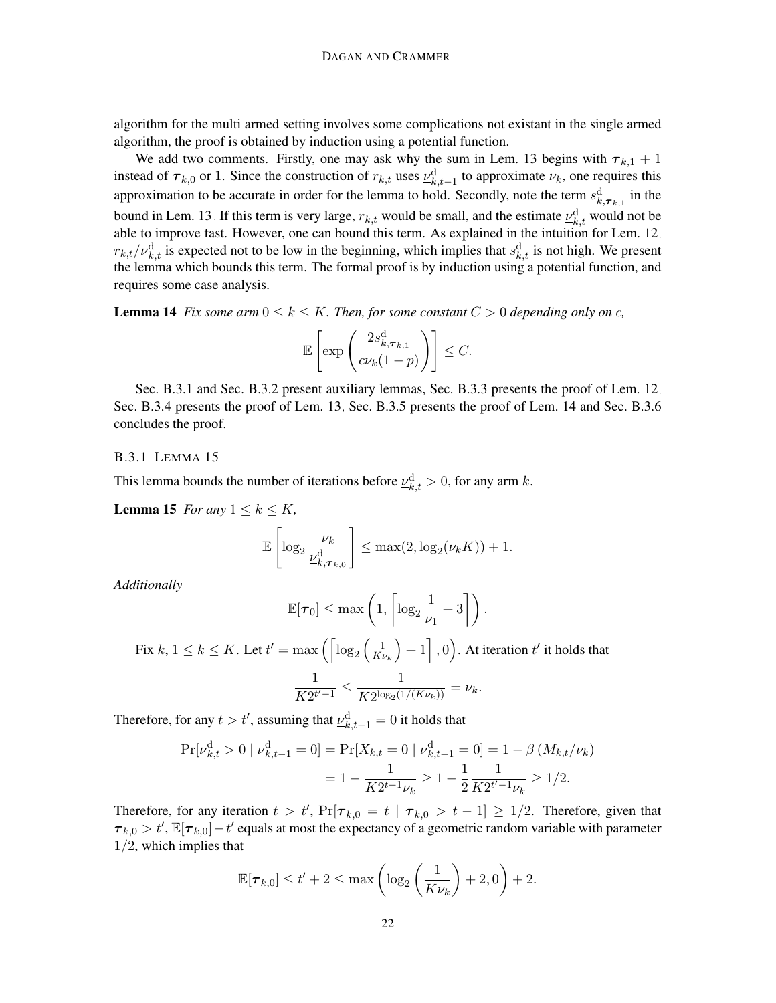algorithm for the multi armed setting involves some complications not existant in the single armed algorithm, the proof is obtained by induction using a potential function.

We add two comments. Firstly, one may ask why the sum in Lem. [13](#page-20-0) begins with  $\tau_{k,1} + 1$ instead of  $\tau_{k,0}$  or 1. Since the construction of  $r_{k,t}$  uses  $\underline{\nu}_{k,t-1}^d$  to approximate  $\nu_k$ , one requires this approximation to be accurate in order for the lemma to hold. Secondly, note the term  $s_{k, \tau_{k,1}}^d$  in the bound in Lem. [13.](#page-20-0) If this term is very large,  $r_{k,t}$  would be small, and the estimate  $\underline{\nu}_{k,t}^d$  would not be able to improve fast. However, one can bound this term. As explained in the intuition for Lem. [12,](#page-19-1)  $r_{k,t}/\underline{\nu}_{k,t}^d$  is expected not to be low in the beginning, which implies that  $s_{k,t}^d$  is not high. We present the lemma which bounds this term. The formal proof is by induction using a potential function, and requires some case analysis.

<span id="page-21-1"></span>**Lemma 14** *Fix some arm*  $0 \le k \le K$ *. Then, for some constant*  $C > 0$  *depending only on c,* 

$$
\mathbb{E}\left[\exp\left(\frac{2s_{k,\boldsymbol{\tau}_{k,1}}^{\text{d}}}{c\nu_{k}(1-p)}\right)\right] \leq C.
$$

Sec. [B.3.1](#page-21-0) and Sec. [B.3.2](#page-22-0) present auxiliary lemmas, Sec. [B.3.3](#page-23-0) presents the proof of Lem. [12,](#page-19-1) Sec. [B.3.4](#page-28-0) presents the proof of Lem. [13,](#page-20-0) Sec. [B.3.5](#page-33-0) presents the proof of Lem. [14](#page-21-1) and Sec. [B.3.6](#page-36-0) concludes the proof.

#### <span id="page-21-0"></span>B.3.1 LEMMA [15](#page-21-2)

This lemma bounds the number of iterations before  $\underline{\nu}_{k,t}^d > 0$ , for any arm k.

<span id="page-21-2"></span>**Lemma 15** *For any*  $1 \leq k \leq K$ *,* 

$$
\mathbb{E}\left[\log_2 \frac{\nu_k}{\underline{\nu}_{k,\tau_{k,0}}^d}\right] \leq \max(2, \log_2(\nu_k K)) + 1.
$$

*Additionally*

$$
\mathbb{E}[\boldsymbol{\tau}_0] \leq \max\left(1, \left\lceil \log_2 \frac{1}{\nu_1} + 3 \right\rceil \right).
$$

Fix  $k, 1 \leq k \leq K$ . Let  $t' = \max\left(\left\lceil \log_2\left(\frac{1}{Kt}\right)\right\rceil$  $\overline{K\nu_k}$  $+1, 0$ . At iteration t' it holds that 1  $\frac{1}{K2^{t'-1}} \leq \frac{1}{K2^{\log_2(1)}}$  $\frac{1}{K2^{\log_2(1/(K\nu_k))}} = \nu_k.$ 

Therefore, for any  $t > t'$ , assuming that  $\underline{\nu}_{k,t-1}^{\textrm{d}} = 0$  it holds that

$$
\Pr[\underline{\nu}_{k,t}^{\mathrm{d}} > 0 \mid \underline{\nu}_{k,t-1}^{\mathrm{d}} = 0] = \Pr[X_{k,t} = 0 \mid \underline{\nu}_{k,t-1}^{\mathrm{d}} = 0] = 1 - \beta \left( M_{k,t} / \nu_k \right)
$$

$$
= 1 - \frac{1}{K 2^{t-1} \nu_k} \ge 1 - \frac{1}{2} \frac{1}{K 2^{t'-1} \nu_k} \ge 1/2.
$$

Therefore, for any iteration  $t > t'$ ,  $Pr[\tau_{k,0} = t | \tau_{k,0} > t - 1] \ge 1/2$ . Therefore, given that  $\tau_{k,0} > t'$ ,  $\mathbb{E}[\tau_{k,0}] - t'$  equals at most the expectancy of a geometric random variable with parameter 1/2, which implies that

$$
\mathbb{E}[\boldsymbol{\tau}_{k,0}] \le t' + 2 \le \max\left(\log_2\left(\frac{1}{K\nu_k}\right) + 2,0\right) + 2.
$$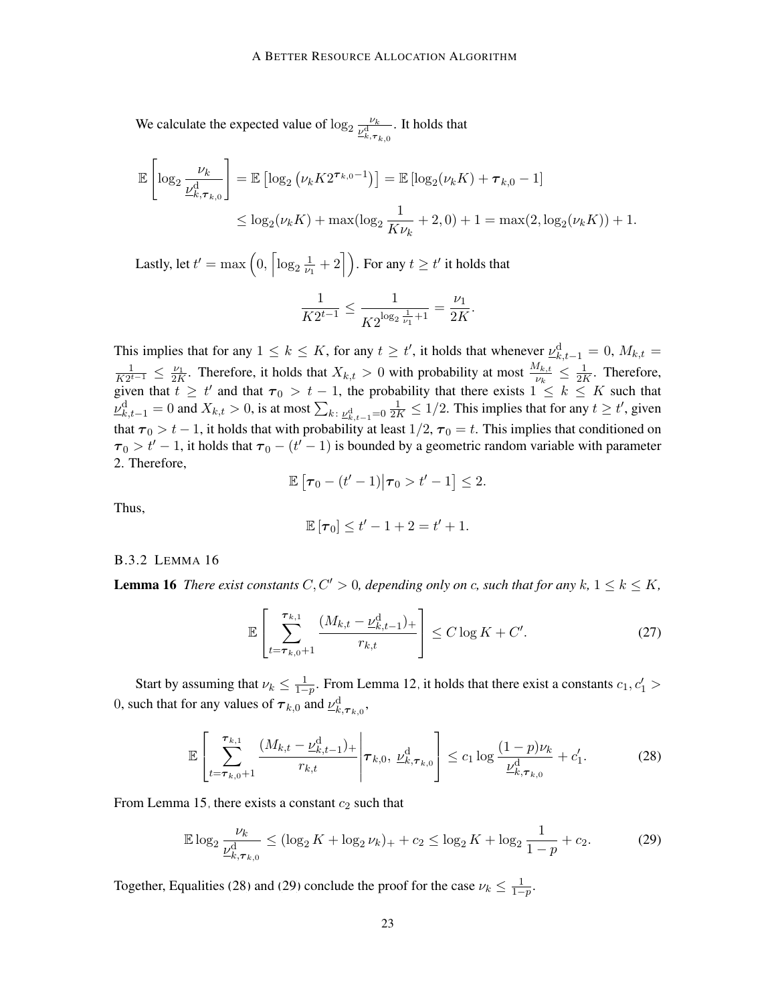We calculate the expected value of  $\log_2 \frac{\nu_k}{\nu_s^4}$  $\overline{\nu_{k,\bm{\tau}_{k,0}}^{\rm d}}$ . It holds that

$$
\mathbb{E}\left[\log_2 \frac{\nu_k}{\underline{\nu}_{k,\tau_{k,0}}^d}\right] = \mathbb{E}\left[\log_2 (\nu_k K 2^{\tau_{k,0}-1})\right] = \mathbb{E}\left[\log_2 (\nu_k K) + \tau_{k,0} - 1\right]
$$
  

$$
\leq \log_2 (\nu_k K) + \max(\log_2 \frac{1}{K \nu_k} + 2,0) + 1 = \max(2,\log_2 (\nu_k K)) + 1.
$$

Lastly, let  $t' = \max\left(0, \left\lceil \log_2 \frac{1}{\nu_1}\right\rceil\right)$  $\left\lfloor\frac{1}{\nu_1}+2\right\rfloor$ ). For any  $t\geq t'$  it holds that

$$
\frac{1}{K2^{t-1}} \le \frac{1}{K2^{\log_2 \frac{1}{\nu_1} + 1}} = \frac{\nu_1}{2K}.
$$

This implies that for any  $1 \leq k \leq K$ , for any  $t \geq t'$ , it holds that whenever  $\underline{\nu}_{k,t-1}^d = 0$ ,  $M_{k,t} =$ 1  $\frac{1}{K2^{t-1}}$  ≤  $\frac{\nu_1}{2K}$ . Therefore, it holds that  $X_{k,t} > 0$  with probability at most  $\frac{M_{k,t}}{\nu_k}$  ≤  $\frac{1}{2R}$  $\frac{1}{2K}$ . Therefore, given that  $t \geq t'$  and that  $\tau_0 > t - 1$ , the probability that there exists  $1 \leq k \leq K$  such that  $\underline{\nu}_{k,t-1}^{\rm d} = 0$  and  $X_{k,t} > 0$ , is at most  $\sum_{k:\; \underline{\nu}_{k,t-1}^{\rm d} = 0} \frac{1}{2K} \leq 1/2$ . This implies that for any  $t \geq t'$ , given that  $\tau_0 > t - 1$ , it holds that with probability at least  $1/2$ ,  $\tau_0 = t$ . This implies that conditioned on  $\tau_0 > t' - 1$ , it holds that  $\tau_0 - (t' - 1)$  is bounded by a geometric random variable with parameter 2. Therefore,

$$
\mathbb{E}\left[\boldsymbol{\tau}_0-(t'-1)\big|\boldsymbol{\tau}_0>t'-1\right]\leq 2.
$$

Thus,

$$
\mathbb{E}[\tau_0] \leq t'-1+2 = t'+1.
$$

### <span id="page-22-0"></span>B.3.2 LEMMA [16](#page-22-1)

<span id="page-22-1"></span>**Lemma 16** *There exist constants*  $C, C' > 0$ *, depending only on c, such that for any*  $k, 1 \leq k \leq K$ *,* 

<span id="page-22-2"></span>
$$
\mathbb{E}\left[\sum_{t=\tau_{k,0}+1}^{\tau_{k,1}} \frac{(M_{k,t}-\underline{\nu}_{k,t-1}^{\mathrm{d}})_+}{r_{k,t}}\right] \le C\log K + C'.\tag{27}
$$

Start by assuming that  $\nu_k \leq \frac{1}{1-p}$ . From Lemma [12,](#page-19-1) it holds that there exist a constants  $c_1, c'_1 >$ 0, such that for any values of  $\tau_{k,0}$  and  $\underline{\nu}^d_{k,\tau_{k,0}}$ ,

$$
\mathbb{E}\left[\sum_{t=\tau_{k,0}+1}^{\tau_{k,1}} \frac{(M_{k,t}-\underline{\nu}_{k,t-1}^{\mathrm{d}})_+}{r_{k,t}} \bigg| \tau_{k,0}, \underline{\nu}_{k,\tau_{k,0}}^{\mathrm{d}}\right] \le c_1 \log \frac{(1-p)\nu_k}{\underline{\nu}_{k,\tau_{k,0}}^{\mathrm{d}}} + c_1'.\tag{28}
$$

From Lemma [15,](#page-21-2) there exists a constant  $c_2$  such that

<span id="page-22-3"></span>
$$
\mathbb{E}\log_2\frac{\nu_k}{\underline{\nu}_{k,\tau_{k,0}^1}^d} \le (\log_2 K + \log_2 \nu_k)_+ + c_2 \le \log_2 K + \log_2\frac{1}{1-p} + c_2. \tag{29}
$$

Together, Equalities [\(28\)](#page-22-2) and [\(29\)](#page-22-3) conclude the proof for the case  $\nu_k \leq \frac{1}{1-p}$ .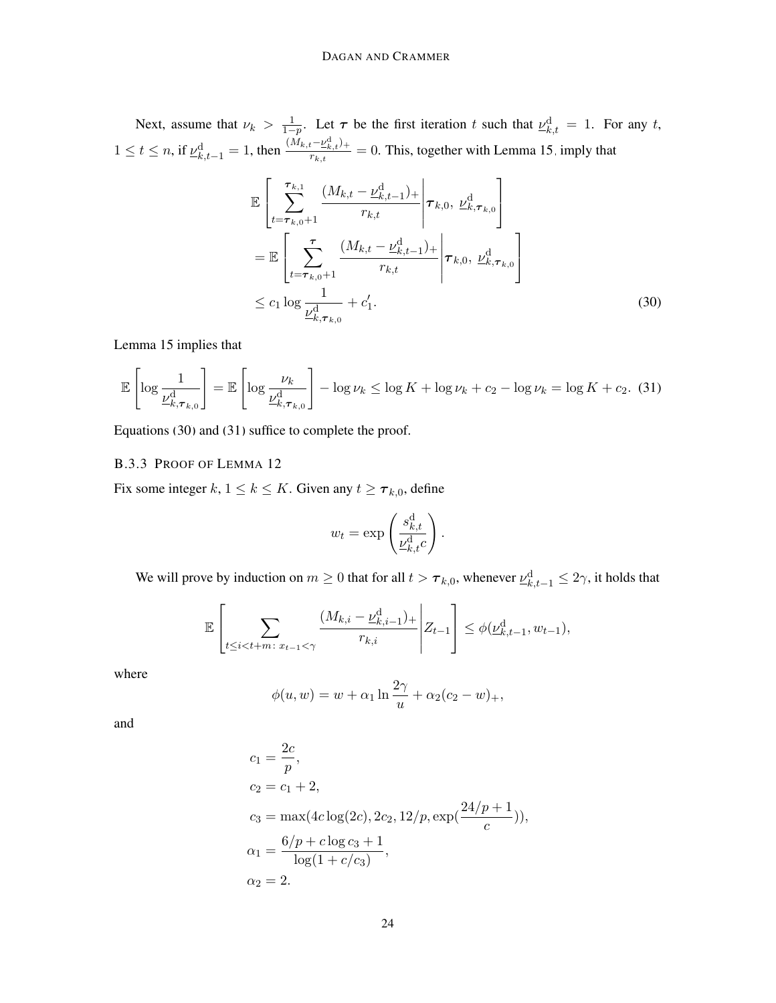Next, assume that  $\nu_k > \frac{1}{1-p}$ . Let  $\tau$  be the first iteration t such that  $\underline{\nu}_{k,t}^d = 1$ . For any t,  $1 \le t \le n$ , if  $\underline{\nu}_{k,t-1}^{\rm d} = 1$ , then  $\frac{(M_{k,t}-\underline{\nu}_{k,t}^{\rm d})_+}{r_{k,t}}$  $\frac{t - E_{k,t}}{r_{k,t}} = 0$ . This, together with Lemma [15,](#page-21-2) imply that

$$
\mathbb{E}\left[\sum_{t=\tau_{k,0}+1}^{\tau_{k,1}} \frac{(M_{k,t}-\underline{\nu}_{k,t-1}^{d})_{+}}{r_{k,t}}\bigg|\tau_{k,0}, \underline{\nu}_{k,\tau_{k,0}}^{d}\right]
$$
\n
$$
=\mathbb{E}\left[\sum_{t=\tau_{k,0}+1}^{\tau} \frac{(M_{k,t}-\underline{\nu}_{k,t-1}^{d})_{+}}{r_{k,t}}\bigg|\tau_{k,0}, \underline{\nu}_{k,\tau_{k,0}}^{d}\right]
$$
\n
$$
\leq c_{1} \log \frac{1}{\underline{\nu}_{k,\tau_{k,0}}^{d}} + c_{1}'. \tag{30}
$$

Lemma [15](#page-21-2) implies that

<span id="page-23-2"></span>
$$
\mathbb{E}\left[\log \frac{1}{\underline{\nu}_{k,\tau_{k,0}}^d}\right] = \mathbb{E}\left[\log \frac{\nu_k}{\underline{\nu}_{k,\tau_{k,0}}^d}\right] - \log \nu_k \le \log K + \log \nu_k + c_2 - \log \nu_k = \log K + c_2. \tag{31}
$$

Equations [\(30\)](#page-23-1) and [\(31\)](#page-23-2) suffice to complete the proof.

### <span id="page-23-0"></span>B.3.3 PROOF OF LEMMA [12](#page-19-1)

Fix some integer  $k, 1 \le k \le K$ . Given any  $t \ge \tau_{k,0}$ , define

<span id="page-23-1"></span>
$$
w_t = \exp\left(\frac{s_{k,t}^{\mathrm{d}}}{\underline{\nu}_{k,t}^{\mathrm{d}}c}\right).
$$

We will prove by induction on  $m \geq 0$  that for all  $t > \tau_{k,0}$ , whenever  $\underline{\nu}_{k,t-1}^d \leq 2\gamma$ , it holds that

$$
\mathbb{E}\left[\sum_{t \le i < t+m \colon x_{t-1} < \gamma} \frac{(M_{k,i} - \underline{\nu}_{k,i-1}^{\mathrm{d}})_+}{r_{k,i}} \middle| Z_{t-1}\right] \le \phi(\underline{\nu}_{k,t-1}^{\mathrm{d}}, w_{t-1}),
$$

where

$$
\phi(u, w) = w + \alpha_1 \ln \frac{2\gamma}{u} + \alpha_2 (c_2 - w)_+,
$$

and

$$
c_1 = \frac{2c}{p},
$$
  
\n
$$
c_2 = c_1 + 2,
$$
  
\n
$$
c_3 = \max(4c \log(2c), 2c_2, 12/p, \exp(\frac{24/p + 1}{c})),
$$
  
\n
$$
\alpha_1 = \frac{6/p + c \log c_3 + 1}{\log(1 + c/c_3)},
$$
  
\n
$$
\alpha_2 = 2.
$$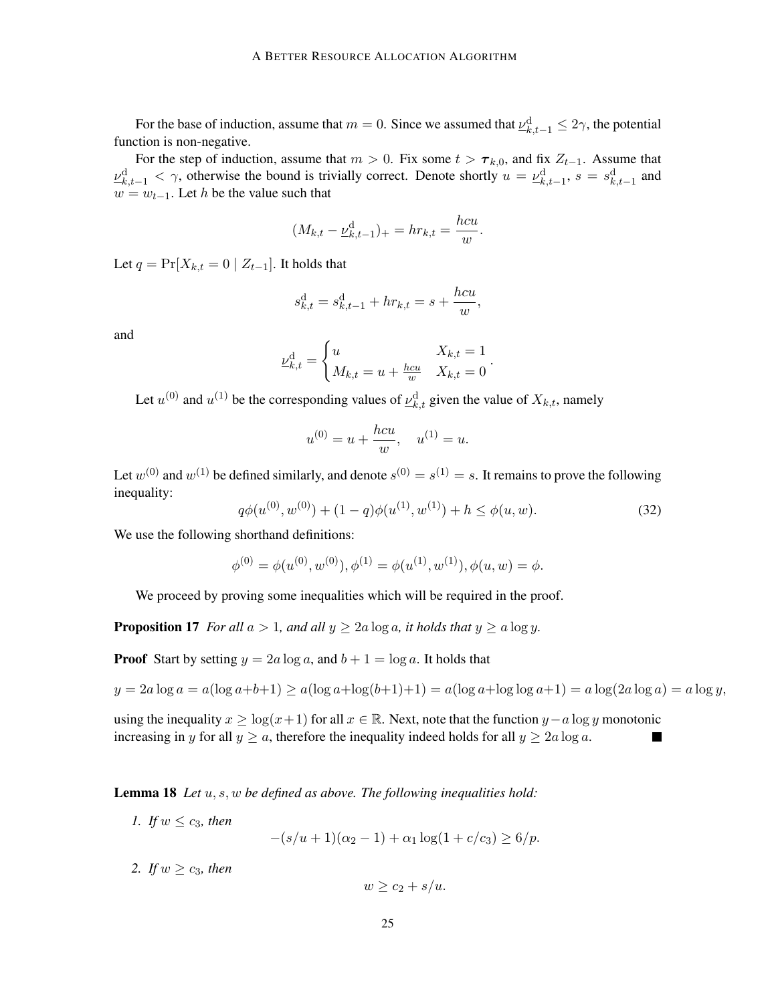For the base of induction, assume that  $m = 0$ . Since we assumed that  $\underline{\nu}_{k,t-1}^d \leq 2\gamma$ , the potential function is non-negative.

For the step of induction, assume that  $m > 0$ . Fix some  $t > \tau_{k,0}$ , and fix  $Z_{t-1}$ . Assume that  $\underline{\nu}_{k,t-1}^d < \gamma$ , otherwise the bound is trivially correct. Denote shortly  $u = \underline{\nu}_{k,t-1}^d$ ,  $s = s_{k,t-1}^d$  and  $w = w_{t-1}$ . Let h be the value such that

$$
(M_{k,t} - \underline{\nu}_{k,t-1}^{\mathrm{d}})_+ = hr_{k,t} = \frac{hcu}{w}
$$

Let  $q = \Pr[X_{k,t} = 0 \mid Z_{t-1}].$  It holds that

$$
s_{k,t}^{\mathrm{d}} = s_{k,t-1}^{\mathrm{d}} + hr_{k,t} = s + \frac{hcu}{w},
$$

and

$$
\underline{\nu}_{k,t}^{\mathrm{d}} = \begin{cases} u & X_{k,t} = 1 \\ M_{k,t} = u + \frac{hcu}{w} & X_{k,t} = 0 \end{cases}.
$$

Let  $u^{(0)}$  and  $u^{(1)}$  be the corresponding values of  $\underline{\nu}_{k,t}^d$  given the value of  $X_{k,t}$ , namely

$$
u^{(0)} = u + \frac{hcu}{w}, \quad u^{(1)} = u.
$$

Let  $w^{(0)}$  and  $w^{(1)}$  be defined similarly, and denote  $s^{(0)} = s^{(1)} = s$ . It remains to prove the following inequality:

<span id="page-24-4"></span>
$$
q\phi(u^{(0)}, w^{(0)}) + (1-q)\phi(u^{(1)}, w^{(1)}) + h \le \phi(u, w). \tag{32}
$$

.

We use the following shorthand definitions:

$$
\phi^{(0)} = \phi(u^{(0)}, w^{(0)}), \phi^{(1)} = \phi(u^{(1)}, w^{(1)}), \phi(u, w) = \phi.
$$

We proceed by proving some inequalities which will be required in the proof.

<span id="page-24-2"></span>**Proposition 17** *For all*  $a > 1$ *, and all*  $y \ge 2a \log a$ *, it holds that*  $y \ge a \log y$ *.* 

**Proof** Start by setting  $y = 2a \log a$ , and  $b + 1 = \log a$ . It holds that

$$
y = 2a \log a = a(\log a + b + 1) \ge a(\log a + \log(b + 1) + 1) = a(\log a + \log \log a + 1) = a \log(2a \log a) = a \log y,
$$

using the inequality  $x \ge \log(x+1)$  for all  $x \in \mathbb{R}$ . Next, note that the function  $y-a \log y$  monotonic increasing in y for all  $y \ge a$ , therefore the inequality indeed holds for all  $y \ge 2a \log a$ .

<span id="page-24-3"></span><span id="page-24-0"></span>Lemma 18 *Let* u, s, w *be defined as above. The following inequalities hold:*

*1. If*  $w \leq c_3$ *, then* 

 $-(s/u+1)(\alpha_2-1)+\alpha_1 \log(1+c/c_3) \geq 6/p.$ 

<span id="page-24-1"></span>*2. If*  $w > c_3$ *, then* 

$$
w \ge c_2 + s/u.
$$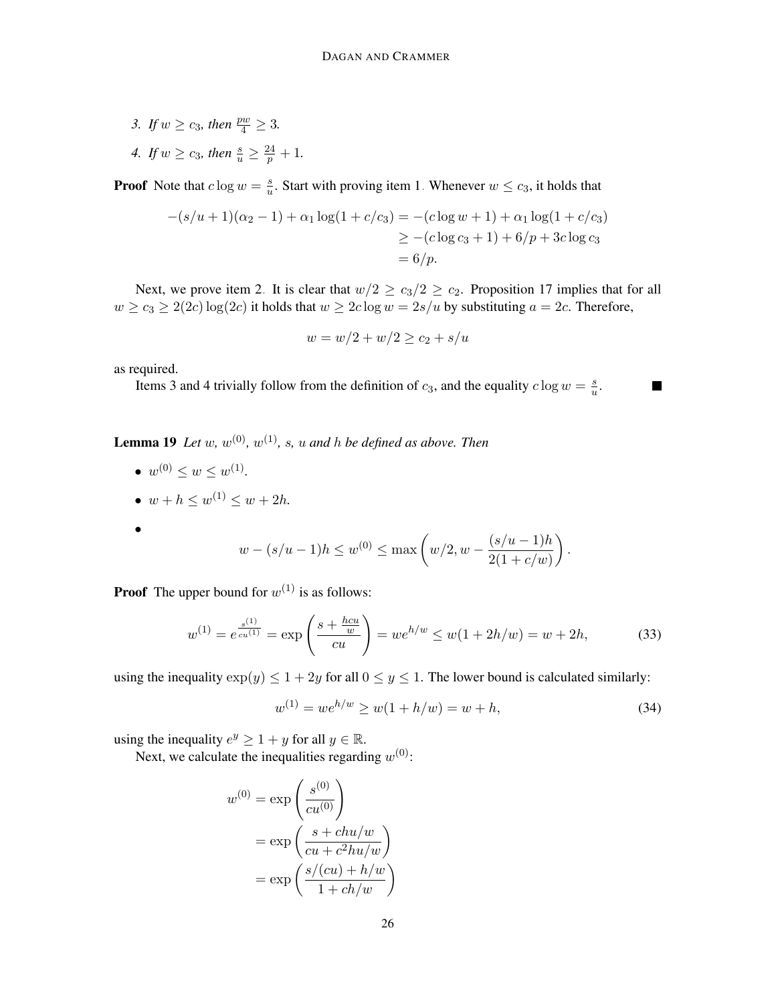- <span id="page-25-0"></span>*3. If*  $w \ge c_3$ *, then*  $\frac{pw}{4} \ge 3$ *.*
- <span id="page-25-1"></span>4. If  $w \ge c_3$ , then  $\frac{s}{u} \ge \frac{24}{p} + 1$ .

**Proof** Note that  $c \log w = \frac{s}{w}$  $\frac{s}{u}$ . Start with proving item [1.](#page-24-0) Whenever  $w \le c_3$ , it holds that

$$
-(s/u + 1)(\alpha_2 - 1) + \alpha_1 \log(1 + c/c_3) = -(c \log w + 1) + \alpha_1 \log(1 + c/c_3)
$$
  
\n
$$
\geq -(c \log c_3 + 1) + 6/p + 3c \log c_3
$$
  
\n
$$
= 6/p.
$$

Next, we prove item [2.](#page-24-1) It is clear that  $w/2 \ge c_3/2 \ge c_2$ . Proposition [17](#page-24-2) implies that for all  $w \ge c_3 \ge 2(2c) \log(2c)$  it holds that  $w \ge 2c \log w = 2s/u$  by substituting  $a = 2c$ . Therefore,

$$
w = w/2 + w/2 \ge c_2 + s/u
$$

as required.

Items [3](#page-25-0) and [4](#page-25-1) trivially follow from the definition of  $c_3$ , and the equality  $c \log w = \frac{s}{w}$  $\frac{s}{u}$ .

<span id="page-25-2"></span>**Lemma 19** Let  $w$ ,  $w^{(0)}$ ,  $w^{(1)}$ , s, u and h be defined as above. Then

- $w^{(0)} \leq w \leq w^{(1)}$ .
- $w + h \leq w^{(1)} \leq w + 2h$ .

$$
\bullet
$$

$$
w - (s/u - 1)h \le w^{(0)} \le \max\left(w/2, w - \frac{(s/u - 1)h}{2(1 + c/w)}\right).
$$

**Proof** The upper bound for  $w^{(1)}$  is as follows:

$$
w^{(1)} = e^{\frac{s^{(1)}}{cu^{(1)}}} = \exp\left(\frac{s + \frac{hcu}{w}}{cu}\right) = we^{h/w} \le w(1 + 2h/w) = w + 2h,\tag{33}
$$

using the inequality  $\exp(y) \leq 1 + 2y$  for all  $0 \leq y \leq 1$ . The lower bound is calculated similarly:

$$
w^{(1)} = we^{h/w} \ge w(1 + h/w) = w + h,\tag{34}
$$

**College** 

using the inequality  $e^y \ge 1 + y$  for all  $y \in \mathbb{R}$ .

Next, we calculate the inequalities regarding  $w^{(0)}$ :

$$
w^{(0)} = \exp\left(\frac{s^{(0)}}{cu^{(0)}}\right)
$$

$$
= \exp\left(\frac{s + chu/w}{cu + c^2hu/w}\right)
$$

$$
= \exp\left(\frac{s/(cu) + h/w}{1 + ch/w}\right)
$$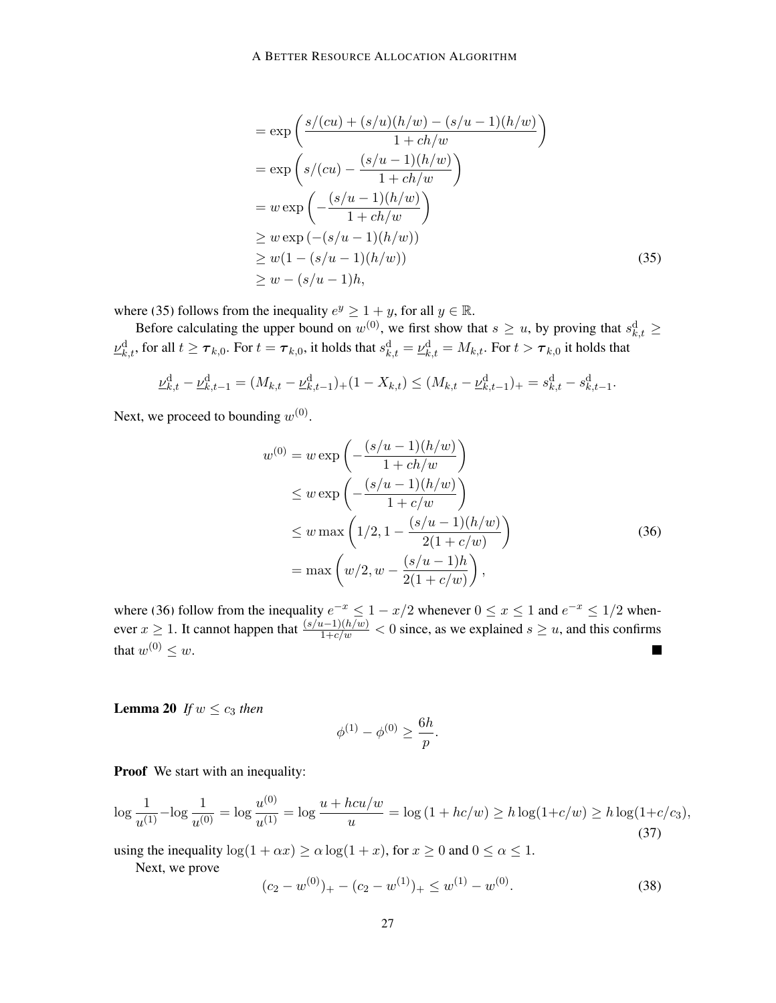#### A BETTER RESOURCE ALLOCATION ALGORITHM

<span id="page-26-0"></span>
$$
= \exp\left(\frac{s/(cu) + (s/u)(h/w) - (s/u - 1)(h/w)}{1 + ch/w}\right)
$$
  
\n
$$
= \exp\left(s/(cu) - \frac{(s/u - 1)(h/w)}{1 + ch/w}\right)
$$
  
\n
$$
= w \exp\left(-\frac{(s/u - 1)(h/w)}{1 + ch/w}\right)
$$
  
\n
$$
\geq w \exp(-(s/u - 1)(h/w))
$$
  
\n
$$
\geq w(1 - (s/u - 1)(h/w))
$$
  
\n
$$
\geq w - (s/u - 1)h,
$$
\n(35)

where [\(35\)](#page-26-0) follows from the inequality  $e^y \ge 1 + y$ , for all  $y \in \mathbb{R}$ .

Before calculating the upper bound on  $w^{(0)}$ , we first show that  $s \geq u$ , by proving that  $s_{k,t}^d \geq$  $\nu^{\rm d}_{k,t},$  for all  $t\geq\bm{\tau}_{k,0}.$  For  $t=\bm{\tau}_{k,0},$  it holds that  $s^{\rm d}_{k,t}=\nu^{\rm d}_{k,t}=M_{k,t}.$  For  $t>\bm{\tau}_{k,0}$  it holds that

$$
\underline{\nu}_{k,t}^{\mathrm{d}} - \underline{\nu}_{k,t-1}^{\mathrm{d}} = (M_{k,t} - \underline{\nu}_{k,t-1}^{\mathrm{d}}) + (1 - X_{k,t}) \le (M_{k,t} - \underline{\nu}_{k,t-1}^{\mathrm{d}}) + s_{k,t}^{\mathrm{d}} - s_{k,t-1}^{\mathrm{d}}.
$$

Next, we proceed to bounding  $w^{(0)}$ .

$$
w^{(0)} = w \exp\left(-\frac{(s/u - 1)(h/w)}{1 + ch/w}\right)
$$
  
\n
$$
\leq w \exp\left(-\frac{(s/u - 1)(h/w)}{1 + c/w}\right)
$$
  
\n
$$
\leq w \max\left(1/2, 1 - \frac{(s/u - 1)(h/w)}{2(1 + c/w)}\right)
$$
  
\n
$$
= \max\left(w/2, w - \frac{(s/u - 1)h}{2(1 + c/w)}\right),
$$
\n(36)

where [\(36\)](#page-26-1) follow from the inequality  $e^{-x} \leq 1 - x/2$  whenever  $0 \leq x \leq 1$  and  $e^{-x} \leq 1/2$  whenever  $x \ge 1$ . It cannot happen that  $\frac{(s/u-1)(h/w)}{1+c/w} < 0$  since, as we explained  $s \ge u$ , and this confirms that  $w^{(0)} \leq w$ .

<span id="page-26-4"></span>**Lemma 20** *If*  $w \le c_3$  *then* 

<span id="page-26-3"></span><span id="page-26-1"></span>
$$
\phi^{(1)} - \phi^{(0)} \ge \frac{6h}{p}.
$$

Proof We start with an inequality:

$$
\log \frac{1}{u^{(1)}} - \log \frac{1}{u^{(0)}} = \log \frac{u^{(0)}}{u^{(1)}} = \log \frac{u + hcu/w}{u} = \log \left(1 + h c/w\right) \ge h \log(1 + c/w) \ge h \log(1 + c/c_3),\tag{37}
$$

using the inequality  $\log(1 + \alpha x) \ge \alpha \log(1 + x)$ , for  $x \ge 0$  and  $0 \le \alpha \le 1$ .

Next, we prove

<span id="page-26-2"></span>
$$
(c_2 - w^{(0)})_+ - (c_2 - w^{(1)})_+ \le w^{(1)} - w^{(0)}.
$$
\n(38)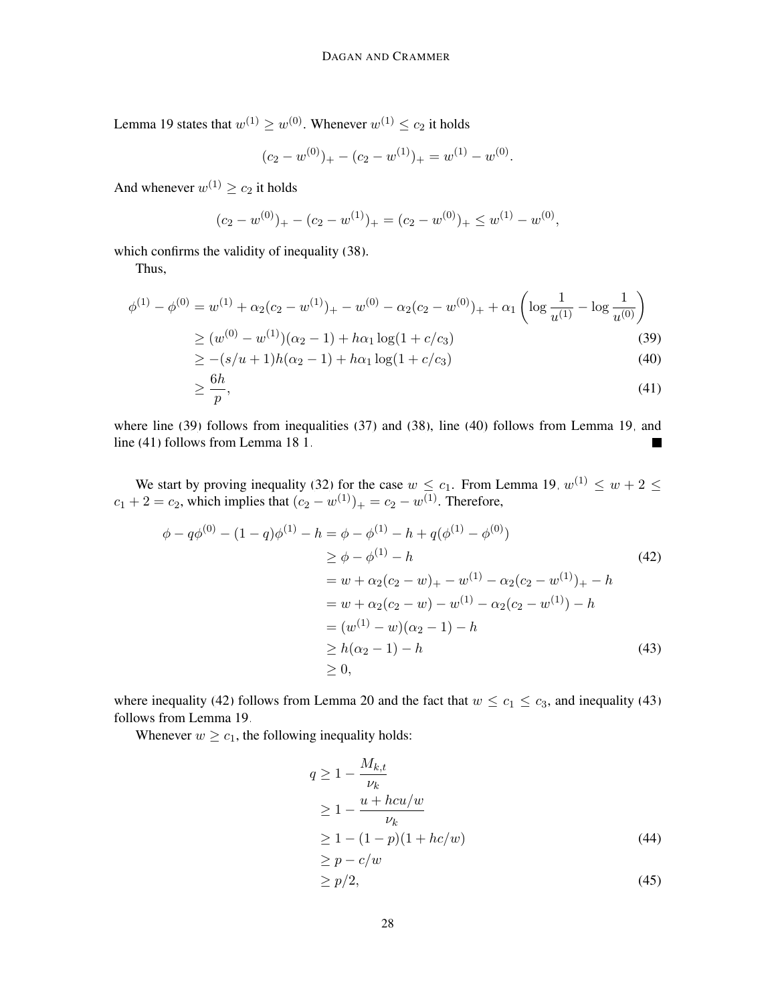Lemma [19](#page-25-2) states that  $w^{(1)} \geq w^{(0)}$ . Whenever  $w^{(1)} \leq c_2$  it holds

<span id="page-27-2"></span><span id="page-27-1"></span><span id="page-27-0"></span>
$$
(c_2 - w^{(0)})_+ - (c_2 - w^{(1)})_+ = w^{(1)} - w^{(0)}.
$$

And whenever  $w^{(1)} \ge c_2$  it holds

$$
(c_2 - w^{(0)})_+ - (c_2 - w^{(1)})_+ = (c_2 - w^{(0)})_+ \leq w^{(1)} - w^{(0)},
$$

which confirms the validity of inequality [\(38\)](#page-26-2).

Thus,

$$
\phi^{(1)} - \phi^{(0)} = w^{(1)} + \alpha_2 (c_2 - w^{(1)})_+ - w^{(0)} - \alpha_2 (c_2 - w^{(0)})_+ + \alpha_1 \left( \log \frac{1}{u^{(1)}} - \log \frac{1}{u^{(0)}} \right)
$$

$$
\geq (w^{(0)} - w^{(1)})(\alpha_2 - 1) + h\alpha_1 \log(1 + c/c_3)
$$
\n(39)

$$
\geq -(s/u+1)h(\alpha_2-1) + h\alpha_1 \log(1+c/c_3) \tag{40}
$$

$$
\geq \frac{6h}{p},\tag{41}
$$

where line [\(39\)](#page-27-0) follows from inequalities [\(37\)](#page-26-3) and [\(38\)](#page-26-2), line [\(40\)](#page-27-1) follows from Lemma [19,](#page-25-2) and line [\(41\)](#page-27-2) follows from Lemma [18.](#page-24-3)[1.](#page-24-0)

We start by proving inequality [\(32\)](#page-24-4) for the case  $w \le c_1$ . From Lemma [19,](#page-25-2)  $w^{(1)} \le w + 2 \le$  $c_1 + 2 = c_2$ , which implies that  $(c_2 - w^{(1)})_+ = c_2 - w^{(1)}$ . Therefore,

$$
\phi - q\phi^{(0)} - (1 - q)\phi^{(1)} - h = \phi - \phi^{(1)} - h + q(\phi^{(1)} - \phi^{(0)})
$$
  
\n
$$
\geq \phi - \phi^{(1)} - h \qquad (42)
$$
  
\n
$$
= w + \alpha_2(c_2 - w)_+ - w^{(1)} - \alpha_2(c_2 - w^{(1)})_+ - h
$$
  
\n
$$
= w + \alpha_2(c_2 - w) - w^{(1)} - \alpha_2(c_2 - w^{(1)}) - h
$$
  
\n
$$
= (w^{(1)} - w)(\alpha_2 - 1) - h
$$
  
\n
$$
\geq h(\alpha_2 - 1) - h \qquad (43)
$$

where inequality [\(42\)](#page-27-3) follows from Lemma [20](#page-26-4) and the fact that  $w \leq c_1 \leq c_3$ , and inequality [\(43\)](#page-27-4) follows from Lemma [19.](#page-25-2)

Whenever  $w \geq c_1$ , the following inequality holds:

<span id="page-27-4"></span><span id="page-27-3"></span>
$$
q \ge 1 - \frac{M_{k,t}}{\nu_k}
$$
  
\n
$$
\ge 1 - \frac{u + hcu/w}{\nu_k}
$$
  
\n
$$
\ge 1 - (1 - p)(1 + hc/w)
$$
  
\n
$$
\ge p - c/w
$$
\n(44)

<span id="page-27-6"></span><span id="page-27-5"></span>
$$
\geq p/2,\tag{45}
$$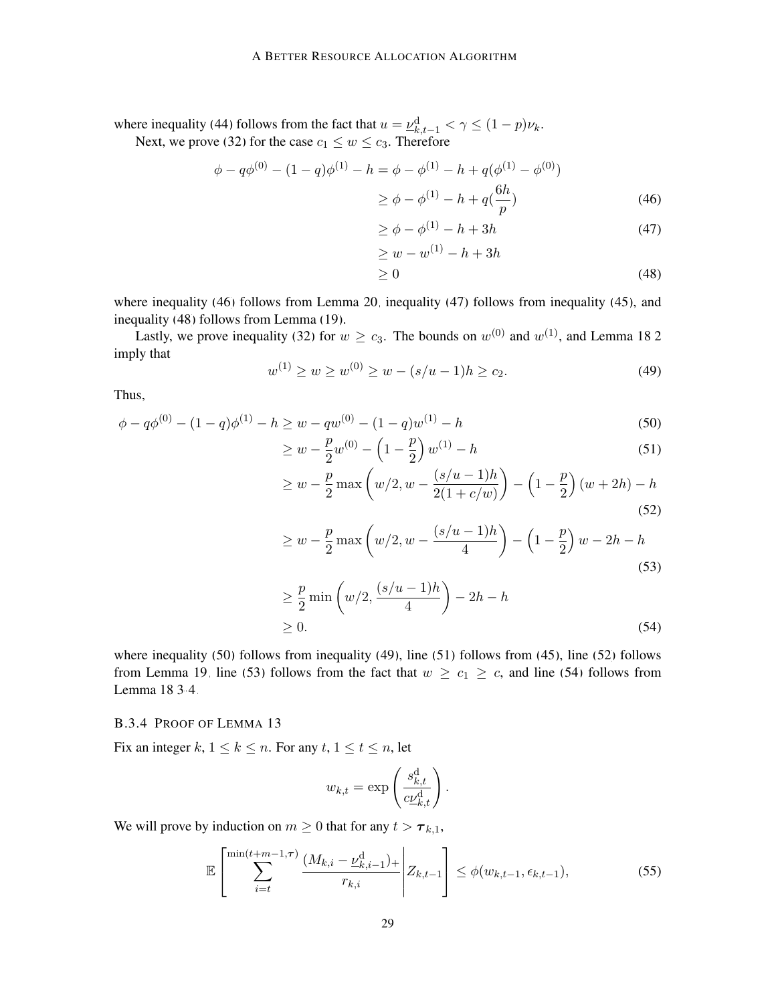where inequality [\(44\)](#page-27-5) follows from the fact that  $u = \underline{\nu}_{k,t-1}^d < \gamma \leq (1 - p)\nu_k$ . Next, we prove [\(32\)](#page-24-4) for the case  $c_1 \leq w \leq c_3$ . Therefore

$$
\phi - q\phi^{(0)} - (1 - q)\phi^{(1)} - h = \phi - \phi^{(1)} - h + q(\phi^{(1)} - \phi^{(0)})
$$
  

$$
\geq \phi - \phi^{(1)} - h + q(\frac{6h}{p})
$$
 (46)

<span id="page-28-3"></span><span id="page-28-2"></span><span id="page-28-1"></span>
$$
\geq \phi - \phi^{(1)} - h + 3h \tag{47}
$$

<span id="page-28-6"></span><span id="page-28-4"></span>
$$
\geq w - w^{(1)} - h + 3h
$$
  
\n
$$
\geq 0
$$
\n(48)

where inequality [\(46\)](#page-28-1) follows from Lemma [20,](#page-26-4) inequality [\(47\)](#page-28-2) follows from inequality [\(45\)](#page-27-6), and inequality [\(48\)](#page-28-3) follows from Lemma [\(19\)](#page-25-2).

<span id="page-28-5"></span>Lastly, we prove inequality [\(32\)](#page-24-4) for  $w \ge c_3$ . The bounds on  $w^{(0)}$  and  $w^{(1)}$ , and Lemma [18.](#page-24-3)[2](#page-24-1) imply that

$$
w^{(1)} \ge w \ge w^{(0)} \ge w - (s/u - 1)h \ge c_2.
$$
\n(49)

Thus,

$$
\phi - q\phi^{(0)} - (1 - q)\phi^{(1)} - h \ge w - qw^{(0)} - (1 - q)w^{(1)} - h
$$
\n
$$
\frac{p}{\phi - q} \frac{1}{\phi - q} \frac{1}{\phi - q} \frac{1}{\phi - q} \tag{50}
$$

$$
\geq w - \frac{p}{2}w^{(0)} - \left(1 - \frac{p}{2}\right)w^{(1)} - h\tag{51}
$$

<span id="page-28-7"></span>
$$
\geq w - \frac{p}{2} \max \left( w/2, w - \frac{(s/u - 1)h}{2(1 + c/w)} \right) - \left( 1 - \frac{p}{2} \right) (w + 2h) - h
$$
\n(52)

<span id="page-28-8"></span>
$$
\geq w - \frac{p}{2} \max \left( w/2, w - \frac{(s/u - 1)h}{4} \right) - \left( 1 - \frac{p}{2} \right) w - 2h - h
$$
\n(53)

$$
\geq \frac{p}{2} \min\left(w/2, \frac{(s/u-1)h}{4}\right) - 2h - h
$$
  
\n
$$
\geq 0.
$$
 (54)

where inequality [\(50\)](#page-28-4) follows from inequality [\(49\)](#page-28-5), line [\(51\)](#page-28-6) follows from [\(45\)](#page-27-6), line [\(52\)](#page-28-7) follows from Lemma [19,](#page-25-2) line [\(53\)](#page-28-8) follows from the fact that  $w \ge c_1 \ge c$ , and line [\(54\)](#page-28-9) follows from Lemma [18.](#page-24-3)[3-](#page-25-0)[4.](#page-25-1)

### <span id="page-28-0"></span>B.3.4 PROOF OF LEMMA [13](#page-20-0)

Fix an integer k,  $1 \leq k \leq n$ . For any  $t, 1 \leq t \leq n$ , let

<span id="page-28-10"></span><span id="page-28-9"></span>
$$
w_{k,t} = \exp\left(\frac{s_{k,t}^{\mathrm{d}}}{c\underline{\nu}_{k,t}^{\mathrm{d}}}\right).
$$

We will prove by induction on  $m \geq 0$  that for any  $t > \tau_{k,1}$ ,

$$
\mathbb{E}\left[\sum_{i=t}^{\min(t+m-1,\tau)}\frac{(M_{k,i}-\underline{\nu}_{k,i-1}^{\mathrm{d}})_+}{r_{k,i}}\bigg|Z_{k,t-1}\right] \leq \phi(w_{k,t-1},\epsilon_{k,t-1}),\tag{55}
$$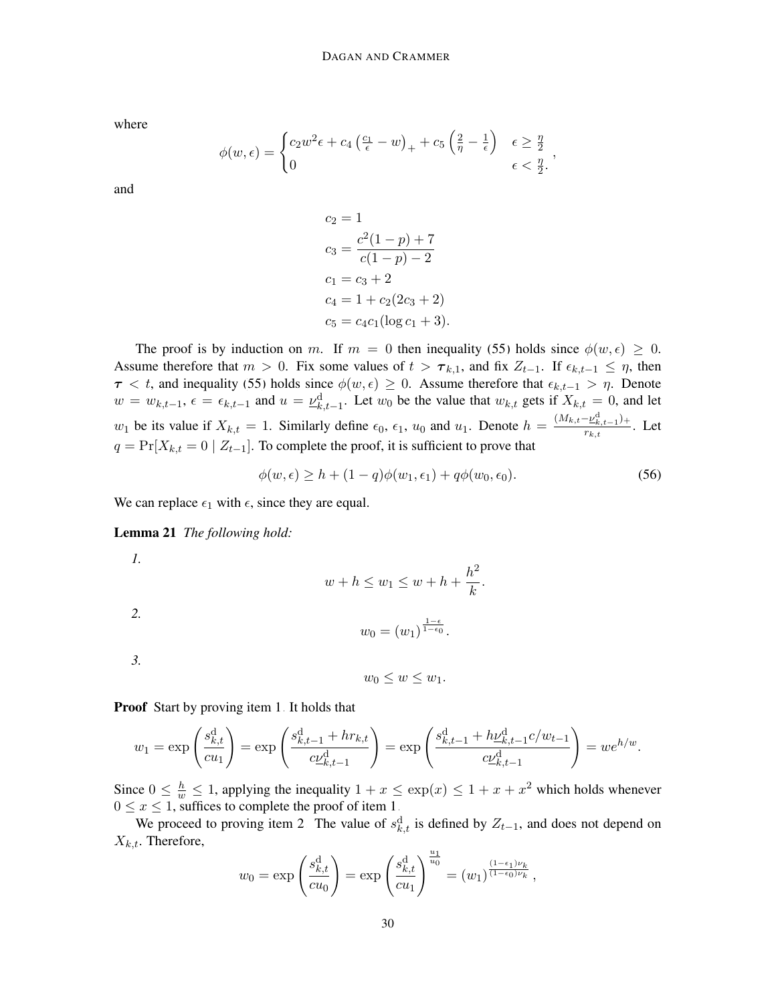where

$$
\phi(w,\epsilon) = \begin{cases} c_2 w^2 \epsilon + c_4 \left(\frac{c_1}{\epsilon} - w\right)_+ + c_5 \left(\frac{2}{\eta} - \frac{1}{\epsilon}\right) & \epsilon \ge \frac{\eta}{2} \\ 0 & \epsilon < \frac{\eta}{2} \end{cases},
$$

and

$$
c_2 = 1
$$
  
\n
$$
c_3 = \frac{c^2(1-p) + 7}{c(1-p) - 2}
$$
  
\n
$$
c_1 = c_3 + 2
$$
  
\n
$$
c_4 = 1 + c_2(2c_3 + 2)
$$
  
\n
$$
c_5 = c_4c_1(\log c_1 + 3).
$$

The proof is by induction on m. If  $m = 0$  then inequality [\(55\)](#page-28-10) holds since  $\phi(w, \epsilon) \geq 0$ . Assume therefore that  $m > 0$ . Fix some values of  $t > \tau_{k,1}$ , and fix  $Z_{t-1}$ . If  $\epsilon_{k,t-1} \leq \eta$ , then  $\tau < t$ , and inequality [\(55\)](#page-28-10) holds since  $\phi(w, \epsilon) \geq 0$ . Assume therefore that  $\epsilon_{k,t-1} > \eta$ . Denote  $w = w_{k,t-1}$ ,  $\epsilon = \epsilon_{k,t-1}$  and  $u = \underline{\nu}_{k,t-1}^d$ . Let  $w_0$  be the value that  $w_{k,t}$  gets if  $X_{k,t} = 0$ , and let  $w_1$  be its value if  $X_{k,t} = 1$ . Similarly define  $\epsilon_0$ ,  $\epsilon_1$ ,  $u_0$  and  $u_1$ . Denote  $h = \frac{(M_{k,t}-\nu_{k,t-1}^d)^2}{r_{k,t}}$  $\frac{E_{k,t-1}/\tau}{r_{k,t}}$ . Let  $q = Pr[X_{k,t} = 0 | Z_{t-1}]$ . To complete the proof, it is sufficient to prove that

$$
\phi(w,\epsilon) \ge h + (1-q)\phi(w_1,\epsilon_1) + q\phi(w_0,\epsilon_0). \tag{56}
$$

<span id="page-29-3"></span>We can replace  $\epsilon_1$  with  $\epsilon$ , since they are equal.

<span id="page-29-0"></span>Lemma 21 *The following hold:*

*1.*

$$
w + h \le w_1 \le w + h + \frac{h^2}{k}.
$$

<span id="page-29-4"></span>
$$
w_0=(w_1)^{\frac{1-\epsilon}{1-\epsilon_0}}.
$$

<span id="page-29-2"></span>*3.*

<span id="page-29-1"></span>*2.*

 $w_0 \leq w \leq w_1$ .

**Proof** Start by proving item [1.](#page-29-0) It holds that

$$
w_1 = \exp\left(\frac{s_{k,t}^d}{cu_1}\right) = \exp\left(\frac{s_{k,t-1}^d + hr_{k,t}}{c\underline{\nu}_{k,t-1}^d}\right) = \exp\left(\frac{s_{k,t-1}^d + h\underline{\nu}_{k,t-1}^d c/w_{t-1}}{c\underline{\nu}_{k,t-1}^d}\right) = we^{h/w}.
$$

Since  $0 \leq \frac{h}{w} \leq 1$ , applying the inequality  $1 + x \leq \exp(x) \leq 1 + x + x^2$  which holds whenever  $0 \le x \le 1$ , suffices to complete the proof of item [1.](#page-29-0)

We proceed to proving item [2.](#page-29-1) The value of  $s_{k,t}^d$  is defined by  $Z_{t-1}$ , and does not depend on  $X_{k,t}$ . Therefore,

$$
w_0 = \exp\left(\frac{s_{k,t}^d}{cu_0}\right) = \exp\left(\frac{s_{k,t}^d}{cu_1}\right)^{\frac{u_1}{u_0}} = (w_1)^{\frac{(1-\epsilon_1)\nu_k}{(1-\epsilon_0)\nu_k}},
$$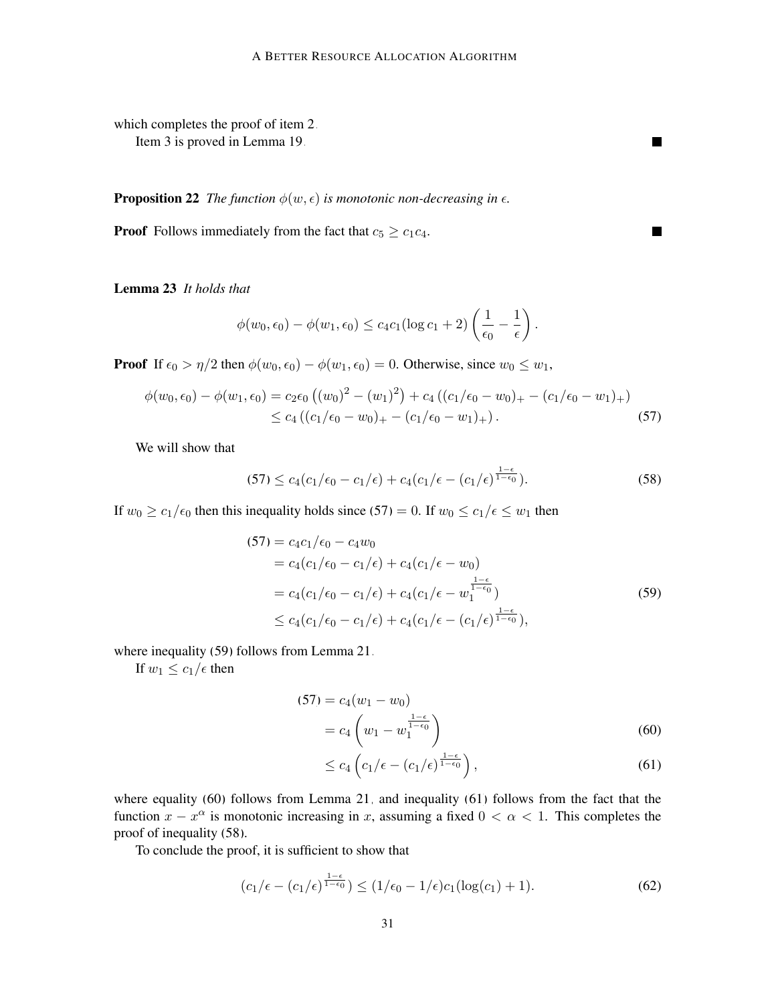which completes the proof of item [2.](#page-29-1) Item [3](#page-29-2) is proved in Lemma [19.](#page-25-2)

<span id="page-30-6"></span>**Proposition 22** *The function*  $\phi(w, \epsilon)$  *is monotonic non-decreasing in*  $\epsilon$ *.* 

**Proof** Follows immediately from the fact that  $c_5 \geq c_1c_4$ .

<span id="page-30-7"></span>Lemma 23 *It holds that*

$$
\phi(w_0, \epsilon_0) - \phi(w_1, \epsilon_0) \leq c_4 c_1 (\log c_1 + 2) \left( \frac{1}{\epsilon_0} - \frac{1}{\epsilon} \right).
$$

**Proof** If  $\epsilon_0 > \eta/2$  then  $\phi(w_0, \epsilon_0) - \phi(w_1, \epsilon_0) = 0$ . Otherwise, since  $w_0 \leq w_1$ ,

$$
\phi(w_0, \epsilon_0) - \phi(w_1, \epsilon_0) = c_2 \epsilon_0 \left( (w_0)^2 - (w_1)^2 \right) + c_4 \left( (c_1/\epsilon_0 - w_0)_+ - (c_1/\epsilon_0 - w_1)_+ \right) \\
\leq c_4 \left( (c_1/\epsilon_0 - w_0)_+ - (c_1/\epsilon_0 - w_1)_+ \right). \tag{57}
$$

We will show that

<span id="page-30-4"></span>
$$
(57) \le c_4(c_1/\epsilon_0 - c_1/\epsilon) + c_4(c_1/\epsilon - (c_1/\epsilon)^{\frac{1-\epsilon}{1-\epsilon_0}}). \tag{58}
$$

 $\mathcal{L}$ 

<span id="page-30-1"></span><span id="page-30-0"></span> $\blacksquare$ 

If  $w_0 \ge c_1/\epsilon_0$  then this inequality holds since [\(57\)](#page-30-0) = 0. If  $w_0 \le c_1/\epsilon \le w_1$  then

$$
(57) = c_4c_1/\epsilon_0 - c_4w_0
$$
  
= c\_4(c\_1/\epsilon\_0 - c\_1/\epsilon) + c\_4(c\_1/\epsilon - w\_0)  
= c\_4(c\_1/\epsilon\_0 - c\_1/\epsilon) + c\_4(c\_1/\epsilon - w\_1^{\frac{1-\epsilon}{1-\epsilon\_0}})  
\le c\_4(c\_1/\epsilon\_0 - c\_1/\epsilon) + c\_4(c\_1/\epsilon - (c\_1/\epsilon)^{\frac{1-\epsilon}{1-\epsilon\_0}}), (59)

where inequality [\(59\)](#page-30-1) follows from Lemma [21.](#page-29-3)

If  $w_1 \leq c_1/\epsilon$  then

$$
(57) = c_4(w_1 - w_0)
$$
  
=  $c_4\left(w_1 - w_1^{\frac{1-\epsilon}{1-\epsilon_0}}\right)$  (60)

<span id="page-30-5"></span><span id="page-30-3"></span><span id="page-30-2"></span>
$$
\leq c_4 \left( c_1/\epsilon - (c_1/\epsilon)^{\frac{1-\epsilon}{1-\epsilon_0}} \right),\tag{61}
$$

where equality [\(60\)](#page-30-2) follows from Lemma [21,](#page-29-3) and inequality [\(61\)](#page-30-3) follows from the fact that the function  $x - x^{\alpha}$  is monotonic increasing in x, assuming a fixed  $0 < \alpha < 1$ . This completes the proof of inequality [\(58\)](#page-30-4).

To conclude the proof, it is sufficient to show that

$$
(c_1/\epsilon - (c_1/\epsilon)^{\frac{1-\epsilon}{1-\epsilon_0}}) \le (1/\epsilon_0 - 1/\epsilon)c_1(\log(c_1) + 1). \tag{62}
$$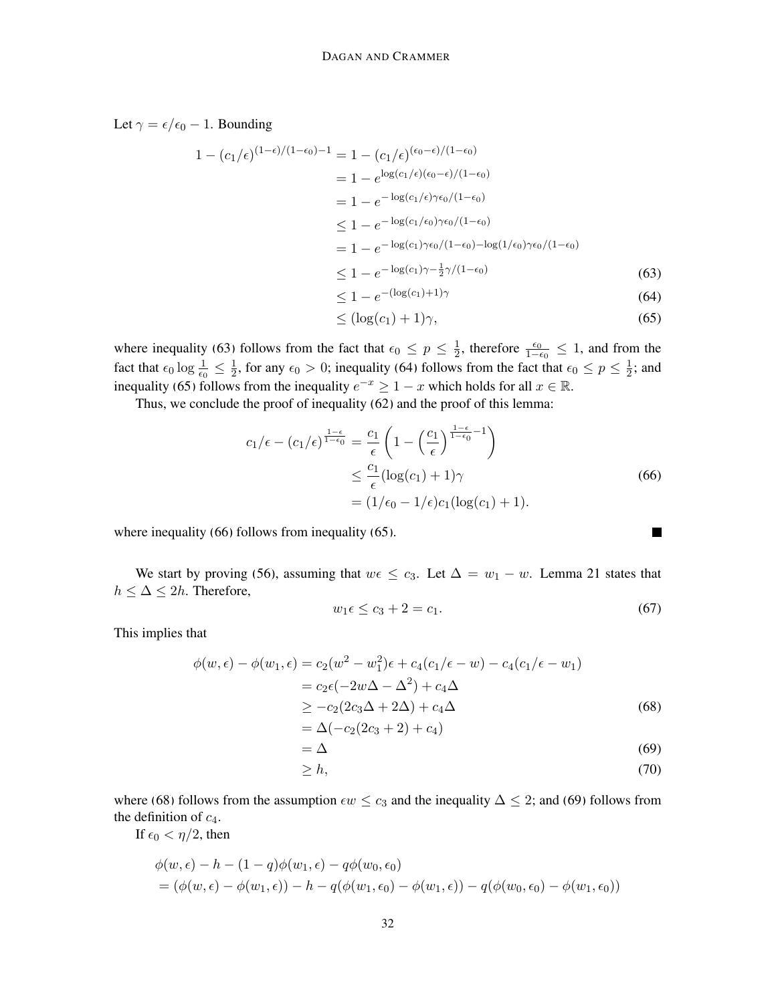Let  $\gamma = \epsilon/\epsilon_0 - 1$ . Bounding

$$
1 - (c_1/\epsilon)^{(1-\epsilon)/(1-\epsilon_0)-1} = 1 - (c_1/\epsilon)^{(\epsilon_0-\epsilon)/(1-\epsilon_0)}
$$
  
\n
$$
= 1 - e^{-\log(c_1/\epsilon)(\epsilon_0-\epsilon)/(1-\epsilon_0)}
$$
  
\n
$$
\leq 1 - e^{-\log(c_1/\epsilon_0)\gamma\epsilon_0/(1-\epsilon_0)}
$$
  
\n
$$
\leq 1 - e^{-\log(c_1/\epsilon_0)\gamma\epsilon_0/(1-\epsilon_0)}
$$
  
\n
$$
= 1 - e^{-\log(c_1)\gamma\epsilon_0/(1-\epsilon_0)-\log(1/\epsilon_0)\gamma\epsilon_0/(1-\epsilon_0)}
$$
  
\n
$$
\leq 1 - e^{-\log(c_1)\gamma-\frac{1}{2}\gamma/(1-\epsilon_0)}
$$
(63)  
\n
$$
\leq 1 - e^{-(\log(c_1)+1)\gamma}
$$
(64)

$$
\leq (\log(c_1) + 1)\gamma,\tag{65}
$$

where inequality [\(63\)](#page-31-0) follows from the fact that  $\epsilon_0 \leq p \leq \frac{1}{2}$  $\frac{1}{2}$ , therefore  $\frac{\epsilon_0}{1-\epsilon_0} \leq 1$ , and from the fact that  $\epsilon_0 \log \frac{1}{\epsilon_0} \leq \frac{1}{2}$  $\frac{1}{2}$ , for any  $\epsilon_0 > 0$ ; inequality [\(64\)](#page-31-1) follows from the fact that  $\epsilon_0 \le p \le \frac{1}{2}$  $\frac{1}{2}$ ; and inequality [\(65\)](#page-31-2) follows from the inequality  $e^{-x} \geq 1 - x$  which holds for all  $x \in \mathbb{R}$ .

Thus, we conclude the proof of inequality [\(62\)](#page-30-5) and the proof of this lemma:

$$
c_1/\epsilon - (c_1/\epsilon)^{\frac{1-\epsilon}{1-\epsilon_0}} = \frac{c_1}{\epsilon} \left( 1 - \left(\frac{c_1}{\epsilon}\right)^{\frac{1-\epsilon}{1-\epsilon_0}-1} \right)
$$
  
 
$$
\leq \frac{c_1}{\epsilon} (\log(c_1) + 1)\gamma
$$
  
 
$$
= (1/\epsilon_0 - 1/\epsilon)c_1(\log(c_1) + 1).
$$
 (66)

where inequality [\(66\)](#page-31-3) follows from inequality [\(65\)](#page-31-2).

We start by proving [\(56\)](#page-29-4), assuming that  $w \in \mathcal{L}_3$ . Let  $\Delta = w_1 - w$ . Lemma [21](#page-29-3) states that  $h \leq \Delta \leq 2h$ . Therefore,

<span id="page-31-7"></span>
$$
w_1 \epsilon \le c_3 + 2 = c_1. \tag{67}
$$

<span id="page-31-6"></span><span id="page-31-5"></span><span id="page-31-4"></span><span id="page-31-3"></span><span id="page-31-2"></span><span id="page-31-1"></span><span id="page-31-0"></span>П

This implies that

$$
\phi(w,\epsilon) - \phi(w_1,\epsilon) = c_2(w^2 - w_1^2)\epsilon + c_4(c_1/\epsilon - w) - c_4(c_1/\epsilon - w_1)
$$
  
=  $c_2\epsilon(-2w\Delta - \Delta^2) + c_4\Delta$   

$$
\geq -c_2(2c_3\Delta + 2\Delta) + c_4\Delta
$$
 (68)

$$
= \Delta(-c_2(2c_3+2)+c_4)
$$
  
= 
$$
\Delta
$$
 (69)

$$
\geq h,\tag{70}
$$

where [\(68\)](#page-31-4) follows from the assumption  $\epsilon w \leq c_3$  and the inequality  $\Delta \leq 2$ ; and [\(69\)](#page-31-5) follows from the definition of  $c_4$ .

If  $\epsilon_0 < \eta/2$ , then

$$
\begin{aligned} &\phi(w,\epsilon) - h - (1-q)\phi(w_1,\epsilon) - q\phi(w_0,\epsilon_0) \\ &= (\phi(w,\epsilon) - \phi(w_1,\epsilon)) - h - q(\phi(w_1,\epsilon_0) - \phi(w_1,\epsilon)) - q(\phi(w_0,\epsilon_0) - \phi(w_1,\epsilon_0)) \end{aligned}
$$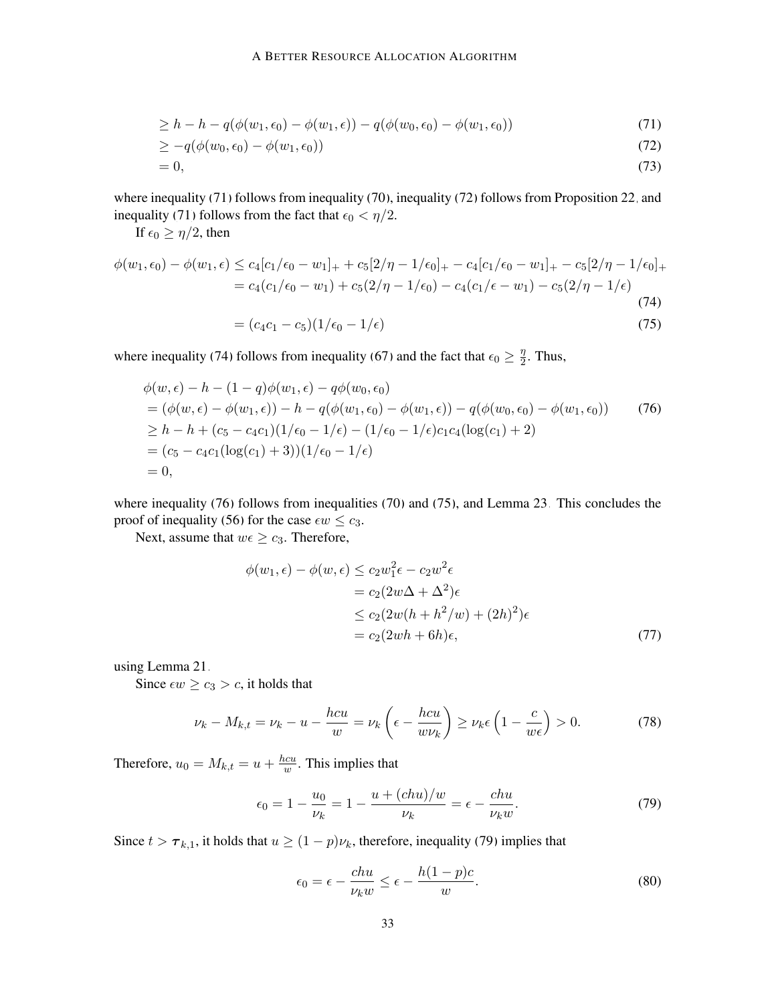$$
\geq h - h - q(\phi(w_1, \epsilon_0) - \phi(w_1, \epsilon)) - q(\phi(w_0, \epsilon_0) - \phi(w_1, \epsilon_0))
$$
\n(71)

$$
\geq -q(\phi(w_0, \epsilon_0) - \phi(w_1, \epsilon_0))\tag{72}
$$

$$
=0,\t(73)
$$

where inequality [\(71\)](#page-32-0) follows from inequality [\(70\)](#page-31-6), inequality [\(72\)](#page-32-1) follows from Proposition [22,](#page-30-6) and inequality [\(71\)](#page-32-0) follows from the fact that  $\epsilon_0 < \eta/2$ .

If  $\epsilon_0 \geq \eta/2$ , then

$$
\phi(w_1, \epsilon_0) - \phi(w_1, \epsilon) \le c_4[c_1/\epsilon_0 - w_1]_+ + c_5[2/\eta - 1/\epsilon_0]_+ - c_4[c_1/\epsilon_0 - w_1]_+ - c_5[2/\eta - 1/\epsilon_0]_+ = c_4(c_1/\epsilon_0 - w_1) + c_5(2/\eta - 1/\epsilon_0) - c_4(c_1/\epsilon - w_1) - c_5(2/\eta - 1/\epsilon)
$$
\n(74)

<span id="page-32-4"></span><span id="page-32-3"></span><span id="page-32-2"></span><span id="page-32-1"></span><span id="page-32-0"></span>
$$
= (c_4c_1 - c_5)(1/\epsilon_0 - 1/\epsilon) \tag{75}
$$

where inequality [\(74\)](#page-32-2) follows from inequality [\(67\)](#page-31-7) and the fact that  $\epsilon_0 \geq \frac{\eta}{2}$  $\frac{\eta}{2}$ . Thus,

$$
\begin{aligned}\n\phi(w,\epsilon) - h - (1-q)\phi(w_1,\epsilon) - q\phi(w_0,\epsilon_0) \\
&= (\phi(w,\epsilon) - \phi(w_1,\epsilon)) - h - q(\phi(w_1,\epsilon_0) - \phi(w_1,\epsilon)) - q(\phi(w_0,\epsilon_0) - \phi(w_1,\epsilon_0)) \\
&\ge h - h + (c_5 - c_4c_1)(1/\epsilon_0 - 1/\epsilon) - (1/\epsilon_0 - 1/\epsilon)c_1c_4(\log(c_1) + 2) \\
&= (c_5 - c_4c_1(\log(c_1) + 3))(1/\epsilon_0 - 1/\epsilon) \\
&= 0,\n\end{aligned}\n\tag{76}
$$

where inequality [\(76\)](#page-32-3) follows from inequalities [\(70\)](#page-31-6) and [\(75\)](#page-32-4), and Lemma [23.](#page-30-7) This concludes the proof of inequality [\(56\)](#page-29-4) for the case  $\epsilon w \leq c_3$ .

Next, assume that  $w \in \geq c_3$ . Therefore,

<span id="page-32-8"></span>
$$
\phi(w_1, \epsilon) - \phi(w, \epsilon) \le c_2 w_1^2 \epsilon - c_2 w^2 \epsilon
$$
  
=  $c_2 (2w\Delta + \Delta^2) \epsilon$   

$$
\le c_2 (2w(h + h^2/w) + (2h)^2) \epsilon
$$
  
=  $c_2 (2wh + 6h) \epsilon$ , (77)

using Lemma [21.](#page-29-3)

Since  $\epsilon w \geq c_3 > c$ , it holds that

$$
\nu_k - M_{k,t} = \nu_k - u - \frac{hc u}{w} = \nu_k \left( \epsilon - \frac{hc u}{w \nu_k} \right) \ge \nu_k \epsilon \left( 1 - \frac{c}{w \epsilon} \right) > 0. \tag{78}
$$

Therefore,  $u_0 = M_{k,t} = u + \frac{hcu}{w}$  $\frac{w}{w}$ . This implies that

<span id="page-32-7"></span><span id="page-32-5"></span>
$$
\epsilon_0 = 1 - \frac{u_0}{\nu_k} = 1 - \frac{u + (chu)/w}{\nu_k} = \epsilon - \frac{chu}{\nu_k w}.
$$
 (79)

Since  $t > \tau_{k,1}$ , it holds that  $u \ge (1 - p)\nu_k$ , therefore, inequality [\(79\)](#page-32-5) implies that

<span id="page-32-6"></span>
$$
\epsilon_0 = \epsilon - \frac{chu}{\nu_k w} \le \epsilon - \frac{h(1-p)c}{w}.
$$
\n(80)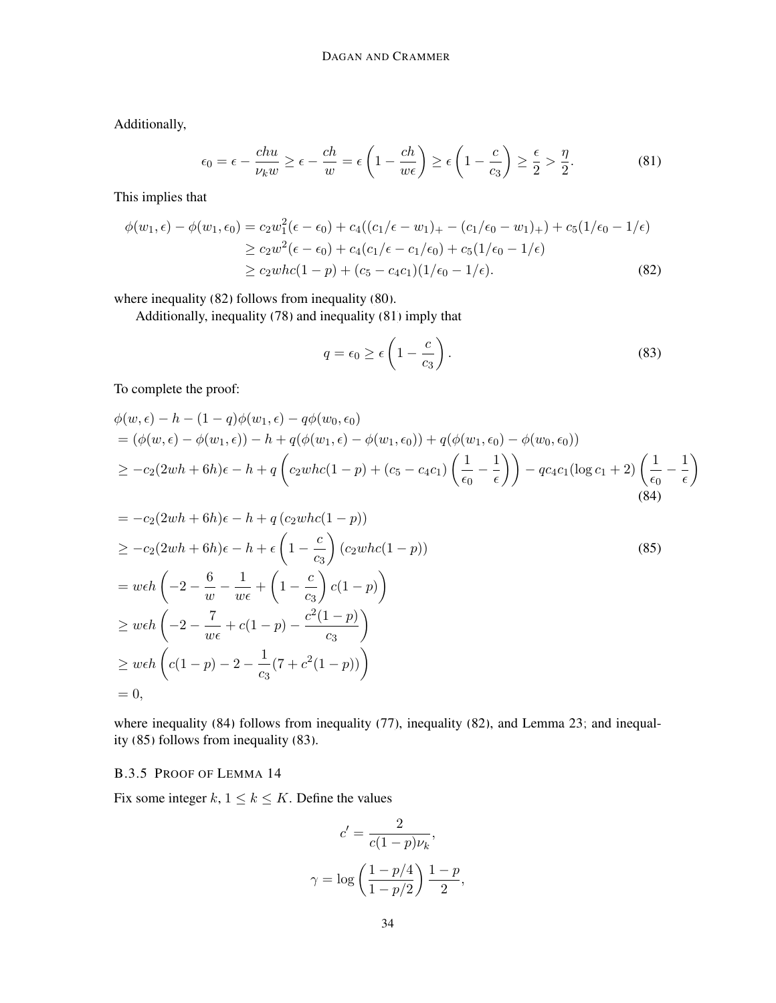Additionally,

<span id="page-33-2"></span>
$$
\epsilon_0 = \epsilon - \frac{chu}{\nu_k w} \ge \epsilon - \frac{ch}{w} = \epsilon \left( 1 - \frac{ch}{w \epsilon} \right) \ge \epsilon \left( 1 - \frac{c}{c_3} \right) \ge \frac{\epsilon}{2} > \frac{\eta}{2}.
$$
 (81)

This implies that

$$
\phi(w_1, \epsilon) - \phi(w_1, \epsilon_0) = c_2 w_1^2 (\epsilon - \epsilon_0) + c_4 ((c_1/\epsilon - w_1)_+ - (c_1/\epsilon_0 - w_1)_+) + c_5 (1/\epsilon_0 - 1/\epsilon)
$$
  
\n
$$
\ge c_2 w^2 (\epsilon - \epsilon_0) + c_4 (c_1/\epsilon - c_1/\epsilon_0) + c_5 (1/\epsilon_0 - 1/\epsilon)
$$
  
\n
$$
\ge c_2 w h c (1 - p) + (c_5 - c_4 c_1) (1/\epsilon_0 - 1/\epsilon).
$$
\n(82)

where inequality [\(82\)](#page-33-1) follows from inequality [\(80\)](#page-32-6).

Additionally, inequality [\(78\)](#page-32-7) and inequality [\(81\)](#page-33-2) imply that

<span id="page-33-5"></span><span id="page-33-4"></span><span id="page-33-3"></span><span id="page-33-1"></span>
$$
q = \epsilon_0 \ge \epsilon \left( 1 - \frac{c}{c_3} \right). \tag{83}
$$

To complete the proof:

$$
\phi(w,\epsilon) - h - (1-q)\phi(w_1,\epsilon) - q\phi(w_0,\epsilon_0) \n= (\phi(w,\epsilon) - \phi(w_1,\epsilon)) - h + q(\phi(w_1,\epsilon) - \phi(w_1,\epsilon_0)) + q(\phi(w_1,\epsilon_0) - \phi(w_0,\epsilon_0)) \n\geq -c_2(2wh + 6h)\epsilon - h + q\left(c_2whc(1-p) + (c_5 - c_4c_1)\left(\frac{1}{\epsilon_0} - \frac{1}{\epsilon}\right)\right) - qc_4c_1(\log c_1 + 2)\left(\frac{1}{\epsilon_0} - \frac{1}{\epsilon}\right)
$$
\n(84)

$$
= -c_2(2wh + 6h)\epsilon - h + q(c_2whc(1 - p))
$$
  
\n
$$
\geq -c_2(2wh + 6h)\epsilon - h + \epsilon \left(1 - \frac{c}{c_3}\right)(c_2whc(1 - p))
$$
  
\n
$$
= weh\left(-2 - \frac{6}{w} - \frac{1}{w\epsilon} + \left(1 - \frac{c}{c_3}\right)c(1 - p)\right)
$$
  
\n
$$
\geq weh\left(-2 - \frac{7}{w\epsilon} + c(1 - p) - \frac{c^2(1 - p)}{c_3}\right)
$$
  
\n
$$
\geq weh\left(c(1 - p) - 2 - \frac{1}{c_3}(7 + c^2(1 - p))\right)
$$
  
\n
$$
= 0,
$$
 (85)

where inequality [\(84\)](#page-33-3) follows from inequality [\(77\)](#page-32-8), inequality [\(82\)](#page-33-1), and Lemma [23;](#page-30-7) and inequality [\(85\)](#page-33-4) follows from inequality [\(83\)](#page-33-5).

# <span id="page-33-0"></span>B.3.5 PROOF OF LEMMA [14](#page-21-1)

Fix some integer  $k, 1 \le k \le K$ . Define the values

$$
c' = \frac{2}{c(1-p)\nu_k},
$$

$$
\gamma = \log\left(\frac{1-p/4}{1-p/2}\right)\frac{1-p}{2},
$$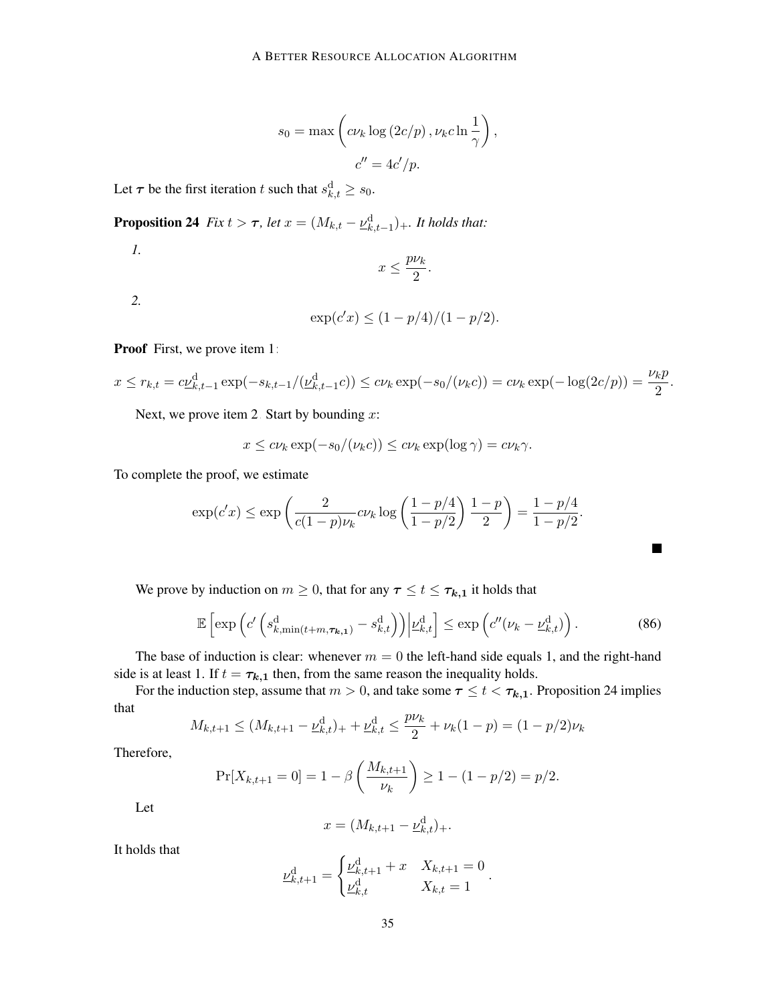$$
s_0 = \max \left( c \nu_k \log (2c/p), \nu_k c \ln \frac{1}{\gamma} \right),
$$
  

$$
c'' = 4c'/p.
$$

Let  $\tau$  be the first iteration t such that  $s_{k,t}^d \geq s_0$ .

<span id="page-34-2"></span>**Proposition 24** *Fix*  $t > \tau$ *, let*  $x = (M_{k,t} - \underline{\nu}_{k,t-1}^d)_+$ *. It holds that:* 

<span id="page-34-0"></span>*1.*

$$
x \le \frac{p\nu_k}{2}.
$$

<span id="page-34-1"></span>*2.*

$$
\exp(c'x) \le (1 - p/4)/(1 - p/2).
$$

Proof First, we prove item [1:](#page-34-0)

$$
x \le r_{k,t} = c\underline{\nu}_{k,t-1}^d \exp(-s_{k,t-1}/(\underline{\nu}_{k,t-1}^d c)) \le c\nu_k \exp(-s_0/(\nu_k c)) = c\nu_k \exp(-\log(2c/p)) = \frac{\nu_k p}{2}.
$$

Next, we prove item [2.](#page-34-1) Start by bounding  $x$ :

$$
x \leq c\nu_k \exp(-s_0/(\nu_k c)) \leq c\nu_k \exp(\log \gamma) = c\nu_k \gamma.
$$

To complete the proof, we estimate

$$
\exp(c'x) \le \exp\left(\frac{2}{c(1-p)\nu_k}c\nu_k \log\left(\frac{1-p/4}{1-p/2}\right)\frac{1-p}{2}\right) = \frac{1-p/4}{1-p/2}.
$$

We prove by induction on  $m \geq 0$ , that for any  $\tau \leq t \leq \tau_{k,1}$  it holds that

$$
\mathbb{E}\left[\exp\left(c'\left(s_{k,\min(t+m,\tau_{k,1})}^{\mathrm{d}}-s_{k,t}^{\mathrm{d}}\right)\right)\middle|\underline{\nu}_{k,t}^{\mathrm{d}}\right]\leq\exp\left(c''(\nu_k-\underline{\nu}_{k,t}^{\mathrm{d}})\right).
$$
 (86)

The base of induction is clear: whenever  $m = 0$  the left-hand side equals 1, and the right-hand side is at least 1. If  $t = \tau_{k,1}$  then, from the same reason the inequality holds.

For the induction step, assume that  $m > 0$ , and take some  $\tau \le t < \tau_{k,1}$ . Proposition [24](#page-34-2) implies that

$$
M_{k,t+1} \le (M_{k,t+1} - \underline{\nu}_{k,t}^d)_{+} + \underline{\nu}_{k,t}^d \le \frac{p\nu_k}{2} + \nu_k (1-p) = (1-p/2)\nu_k
$$

Therefore,

$$
\Pr[X_{k,t+1} = 0] = 1 - \beta \left( \frac{M_{k,t+1}}{\nu_k} \right) \ge 1 - (1 - p/2) = p/2.
$$

Let

$$
x = (M_{k,t+1} - \underline{\nu}_{k,t}^{\mathrm{d}})_{+}.
$$

It holds that

$$
\underline{\nu}_{k,t+1}^{\mathrm{d}} = \begin{cases} \underline{\nu}_{k,t+1}^{\mathrm{d}} + x & X_{k,t+1} = 0 \\ \underline{\nu}_{k,t}^{\mathrm{d}} & X_{k,t} = 1 \end{cases}
$$

.

<span id="page-34-3"></span> $\blacksquare$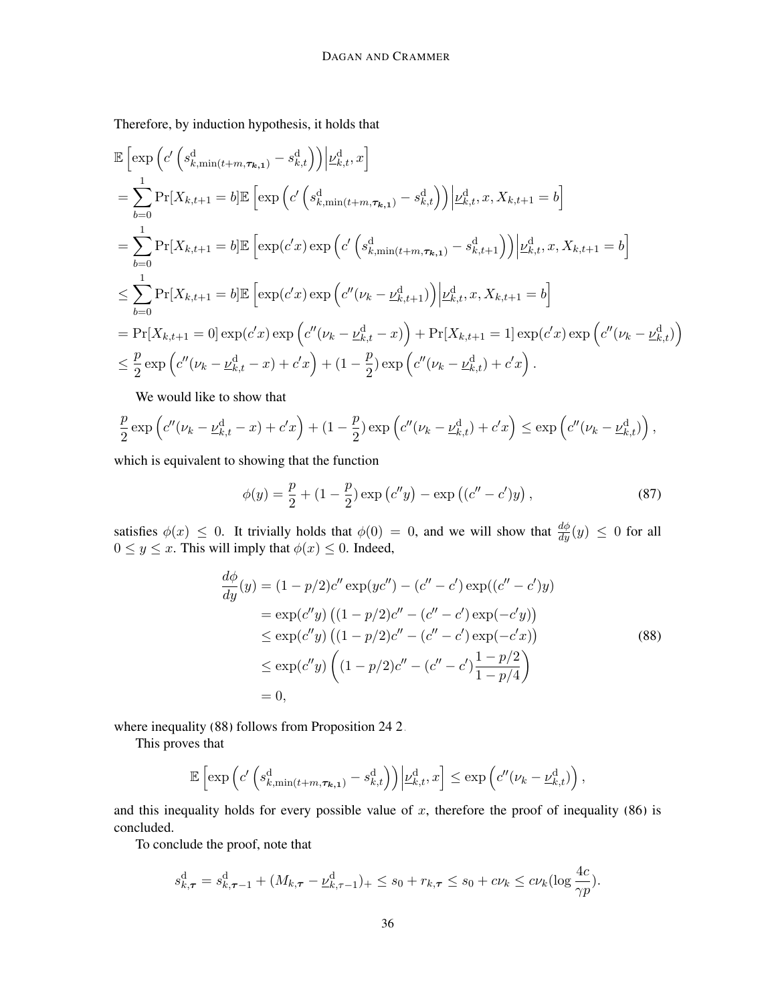Therefore, by induction hypothesis, it holds that

$$
\mathbb{E}\left[\exp\left(c'\left(s_{k,\min(t+m,\tau_{k,1})}^d - s_{k,t}^d\right)\right)\Big|\underline{\nu}_{k,t}^d, x\right] \n= \sum_{b=0}^1 \Pr[X_{k,t+1} = b] \mathbb{E}\left[\exp\left(c'\left(s_{k,\min(t+m,\tau_{k,1})}^d - s_{k,t}^d\right)\right)\Big|\underline{\nu}_{k,t}^d, x, X_{k,t+1} = b\right] \n= \sum_{b=0}^1 \Pr[X_{k,t+1} = b] \mathbb{E}\left[\exp(c'x)\exp\left(c'\left(s_{k,\min(t+m,\tau_{k,1})}^d - s_{k,t+1}^d\right)\right)\Big|\underline{\nu}_{k,t}^d, x, X_{k,t+1} = b\right] \n\leq \sum_{b=0}^1 \Pr[X_{k,t+1} = b] \mathbb{E}\left[\exp(c'x)\exp\left(c''(\nu_k - \underline{\nu}_{k,t+1}^d)\right)\Big|\underline{\nu}_{k,t}^d, x, X_{k,t+1} = b\right] \n= \Pr[X_{k,t+1} = 0] \exp(c'x) \exp\left(c''(\nu_k - \underline{\nu}_{k,t}^d - x)\right) + \Pr[X_{k,t+1} = 1] \exp(c'x) \exp\left(c''(\nu_k - \underline{\nu}_{k,t}^d)\right) \n\leq \frac{p}{2} \exp\left(c''(\nu_k - \underline{\nu}_{k,t}^d - x) + c'x\right) + (1 - \frac{p}{2}) \exp\left(c''(\nu_k - \underline{\nu}_{k,t}^d) + c'x\right).
$$

We would like to show that

$$
\frac{p}{2}\exp\left(c''(\nu_k-\underline{\nu}_{k,t}^{\mathrm{d}}-x)+c'x\right)+(1-\frac{p}{2})\exp\left(c''(\nu_k-\underline{\nu}_{k,t}^{\mathrm{d}})+c'x\right)\leq \exp\left(c''(\nu_k-\underline{\nu}_{k,t}^{\mathrm{d}})\right),
$$

which is equivalent to showing that the function

<span id="page-35-0"></span>
$$
\phi(y) = \frac{p}{2} + (1 - \frac{p}{2}) \exp(c''y) - \exp((c'' - c')y), \qquad (87)
$$

satisfies  $\phi(x) \leq 0$ . It trivially holds that  $\phi(0) = 0$ , and we will show that  $\frac{d\phi}{dy}(y) \leq 0$  for all  $0 \le y \le x$ . This will imply that  $\phi(x) \le 0$ . Indeed,

$$
\frac{d\phi}{dy}(y) = (1 - p/2)c'' \exp(yc'') - (c'' - c') \exp((c'' - c')y)
$$
  
\n
$$
= \exp(c''y) ((1 - p/2)c'' - (c'' - c') \exp(-c'y))
$$
  
\n
$$
\leq \exp(c''y) ((1 - p/2)c'' - (c'' - c') \exp(-c'x))
$$
  
\n
$$
\leq \exp(c''y) ((1 - p/2)c'' - (c'' - c')\frac{1 - p/2}{1 - p/4})
$$
  
\n
$$
= 0,
$$
\n(88)

where inequality [\(88\)](#page-35-0) follows from Proposition [24](#page-34-2)[.2.](#page-34-1)

This proves that

$$
\mathbb{E}\left[\exp\left(c'\left(s_{k,\min(t+m,\tau_{k,1})}^{\mathrm{d}}-s_{k,t}^{\mathrm{d}}\right)\right)\middle|\underline{\nu}_{k,t}^{\mathrm{d}},x\right]\leq \exp\left(c''(\nu_k-\underline{\nu}_{k,t}^{\mathrm{d}})\right),
$$

and this inequality holds for every possible value of  $x$ , therefore the proof of inequality [\(86\)](#page-34-3) is concluded.

To conclude the proof, note that

$$
s_{k,\tau}^{\mathrm{d}} = s_{k,\tau-1}^{\mathrm{d}} + (M_{k,\tau} - \underline{\nu}_{k,\tau-1}^{\mathrm{d}})_{+} \leq s_0 + r_{k,\tau} \leq s_0 + c\nu_k \leq c\nu_k(\log \frac{4c}{\gamma p}).
$$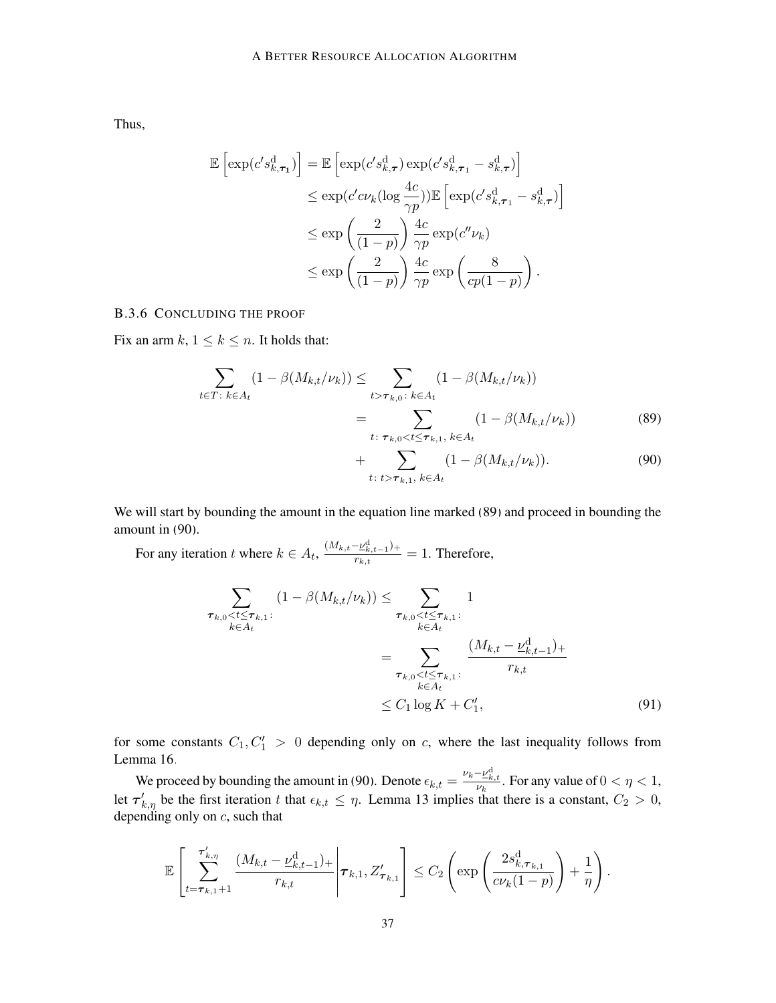Thus,

$$
\mathbb{E}\left[\exp(c's_{k,\tau_1}^d)\right] = \mathbb{E}\left[\exp(c's_{k,\tau}^d)\exp(c's_{k,\tau_1}^d - s_{k,\tau}^d)\right]
$$
  
\n
$$
\leq \exp(c'c\nu_k(\log \frac{4c}{\gamma p}))\mathbb{E}\left[\exp(c's_{k,\tau_1}^d - s_{k,\tau}^d)\right]
$$
  
\n
$$
\leq \exp\left(\frac{2}{(1-p)}\right)\frac{4c}{\gamma p}\exp(c''\nu_k)
$$
  
\n
$$
\leq \exp\left(\frac{2}{(1-p)}\right)\frac{4c}{\gamma p}\exp\left(\frac{8}{cp(1-p)}\right).
$$

<span id="page-36-0"></span>B.3.6 CONCLUDING THE PROOF

Fix an arm  $k$ ,  $1 \leq k \leq n$ . It holds that:

$$
\sum_{t \in T: k \in A_t} (1 - \beta(M_{k,t}/\nu_k)) \le \sum_{t > \tau_{k,0}: k \in A_t} (1 - \beta(M_{k,t}/\nu_k))
$$
\n
$$
= \sum_{t: \tau_{k,0} < t \le \tau_{k,1}, k \in A_t} (1 - \beta(M_{k,t}/\nu_k)) \tag{89}
$$

<span id="page-36-2"></span><span id="page-36-1"></span>+ 
$$
\sum_{t: t > \tau_{k,1}, k \in A_t} (1 - \beta(M_{k,t}/\nu_k)).
$$
 (90)

We will start by bounding the amount in the equation line marked [\(89\)](#page-36-1) and proceed in bounding the amount in [\(90\)](#page-36-2).

For any iteration t where  $k \in A_t$ ,  $\frac{(M_{k,t}-\underline{\nu}_{k,t-1}^d)^2}{r_{k,t}}$  $\frac{E_{k,t-1}}{r_{k,t}} = 1$ . Therefore,

$$
\sum_{\substack{\tau_{k,0} < t \leq \tau_{k,1}: \\ k \in A_t}} (1 - \beta(M_{k,t}/\nu_k)) \leq \sum_{\substack{\tau_{k,0} < t \leq \tau_{k,1}: \\ k \in A_t \\ \tau_{k,0} < t \leq \tau_{k,1}: \\ k \in A_t}} 1
$$
\n
$$
= \sum_{\substack{\tau_{k,0} < t \leq \tau_{k,1}: \\ k \in A_t \\ k \in A_t}} \frac{(M_{k,t} - \underline{\nu}_{k,t-1}^{\mathrm{d}})_+}{r_{k,t}}
$$
\n
$$
\leq C_1 \log K + C'_1,\tag{91}
$$

for some constants  $C_1, C_1' > 0$  depending only on c, where the last inequality follows from Lemma [16.](#page-22-1)

We proceed by bounding the amount in [\(90\)](#page-36-2). Denote  $\epsilon_{k,t} = \frac{\nu_k - \nu_{k,t}^d}{\nu_k}$ . For any value of  $0 < \eta < 1$ , let  $\tau'_{k,\eta}$  be the first iteration t that  $\epsilon_{k,t} \leq \eta$ . Lemma [13](#page-20-0) implies that there is a constant,  $C_2 > 0$ , depending only on  $c$ , such that

$$
\mathbb{E}\left[\sum_{t=\tau_{k,1}+1}^{\tau'_{k,\eta}}\frac{(M_{k,t}-\underline{\nu}_{k,t-1}^{\mathrm{d}})_+}{r_{k,t}}\bigg|\tau_{k,1},Z'_{\tau_{k,1}}\right]\leq C_2\left(\exp\left(\frac{2s_{k,\tau_{k,1}}^{\mathrm{d}}}{c\nu_k(1-p)}\right)+\frac{1}{\eta}\right).
$$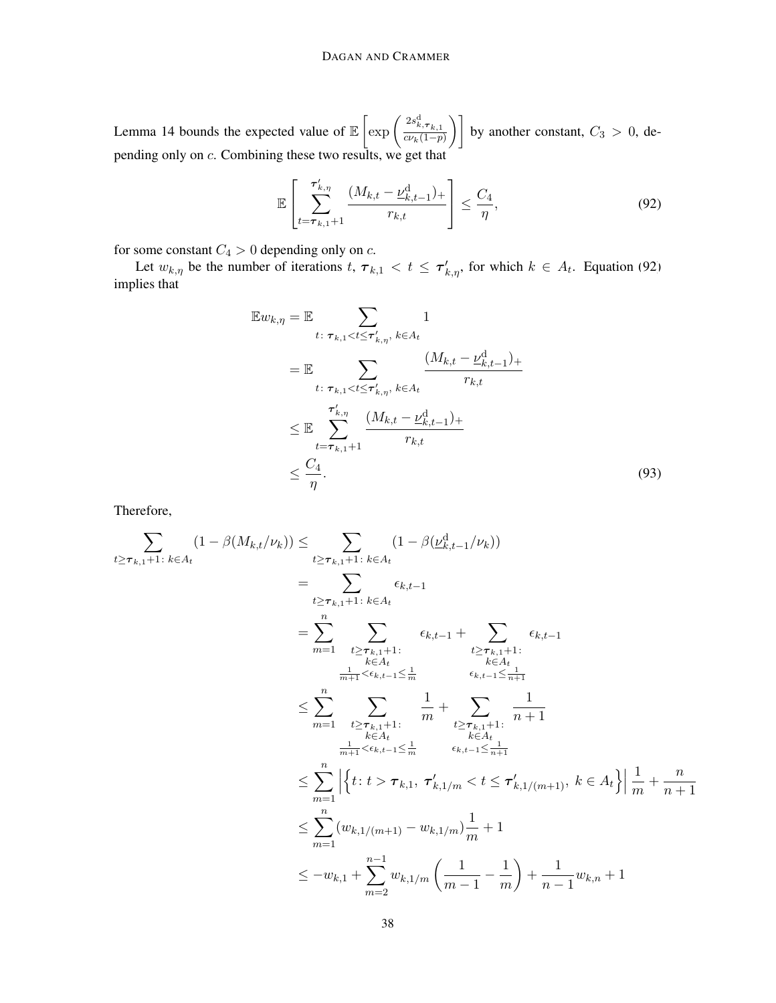Lemma [14](#page-21-1) bounds the expected value of  $\mathbb{E} \left[ \exp \left( \frac{2s_{k,\tau_{k,1}}^d}{c_k(1-n)} \right) \right]$  $\left[\frac{2s_{k,\tau_{k,1}}^d}{c\nu_k(1-p)}\right]$  by another constant,  $C_3 > 0$ , depending only on c. Combining these two results, we get that

<span id="page-37-0"></span>
$$
\mathbb{E}\left[\sum_{t=\tau_{k,1}+1}^{\tau'_{k,\eta}} \frac{(M_{k,t}-\underline{\nu}_{k,t-1}^{\mathrm{d}})_+}{r_{k,t}}\right] \le \frac{C_4}{\eta},\tag{92}
$$

for some constant  $C_4 > 0$  depending only on c.

Let  $w_{k,\eta}$  be the number of iterations  $t, \tau_{k,1} < t \leq \tau'_{k,\eta}$ , for which  $k \in A_t$ . Equation [\(92\)](#page-37-0) implies that

<span id="page-37-1"></span>
$$
\mathbb{E}w_{k,\eta} = \mathbb{E} \sum_{t: \tau_{k,1} < t \leq \tau'_{k,\eta}, \, k \in A_t} 1
$$
\n
$$
= \mathbb{E} \sum_{t: \tau_{k,1} < t \leq \tau'_{k,\eta}, \, k \in A_t} \frac{(M_{k,t} - \underline{\nu}_{k,t-1}^d)_+}{r_{k,t}}
$$
\n
$$
\leq \mathbb{E} \sum_{t=\tau_{k,1}+1}^{\tau'_{k,\eta}} \frac{(M_{k,t} - \underline{\nu}_{k,t-1}^d)_+}{r_{k,t}}
$$
\n
$$
\leq \frac{C_4}{\eta}.
$$
\n(93)

Therefore,

$$
\sum_{t \geq \tau_{k,1}+1:} \sum_{k \in A_t} (1 - \beta(M_{k,t}/\nu_k)) \leq \sum_{t \geq \tau_{k,1}+1:} \sum_{k \in A_t} (1 - \beta(\underline{\nu}_{k,t-1}^d/\nu_k))
$$
\n
$$
= \sum_{t \geq \tau_{k,1}+1:} \sum_{k \in A_t} \epsilon_{k,t-1}
$$
\n
$$
= \sum_{m=1}^n \sum_{\substack{t \geq \tau_{k,1}+1: \\ k \in A_t: \\ k \in A_t: \\ \frac{1}{m+1} < \epsilon_{k,t-1} \leq \frac{1}{m}}} \epsilon_{k,t-1} + \sum_{\substack{t \geq \tau_{k,1}+1: \\ k \in A_t: \\ k \in A_t: \\ k \in A_t: \\ k \in A_t: \\ \frac{1}{m+1} < \epsilon_{k,t-1} \leq \frac{1}{m}}} \epsilon_{k,t-1} \leq \sum_{n=1}^n \sum_{\substack{t \geq \tau_{k,1}+1: \\ k \in A_t: \\ k \in A_t: \\ k \in A_t: \\ k \in A_t: \\ k \in A_t: \\ k \in A_t: \\ k \in A_t}} \frac{1}{n+1}
$$
\n
$$
\leq \sum_{m=1}^n \left| \left\{ t: t > \tau_{k,1}, \tau_{k,1/m}' < t \leq \tau_{k,1/(m+1)}', k \in A_t \right\} \right| \frac{1}{m} + \frac{n}{n+1}
$$
\n
$$
\leq \sum_{m=1}^n (w_{k,1/(m+1)} - w_{k,1/m}) \frac{1}{m} + 1
$$
\n
$$
\leq -w_{k,1} + \sum_{m=2}^{n-1} w_{k,1/m} \left( \frac{1}{m-1} - \frac{1}{m} \right) + \frac{1}{n-1} w_{k,n} + 1
$$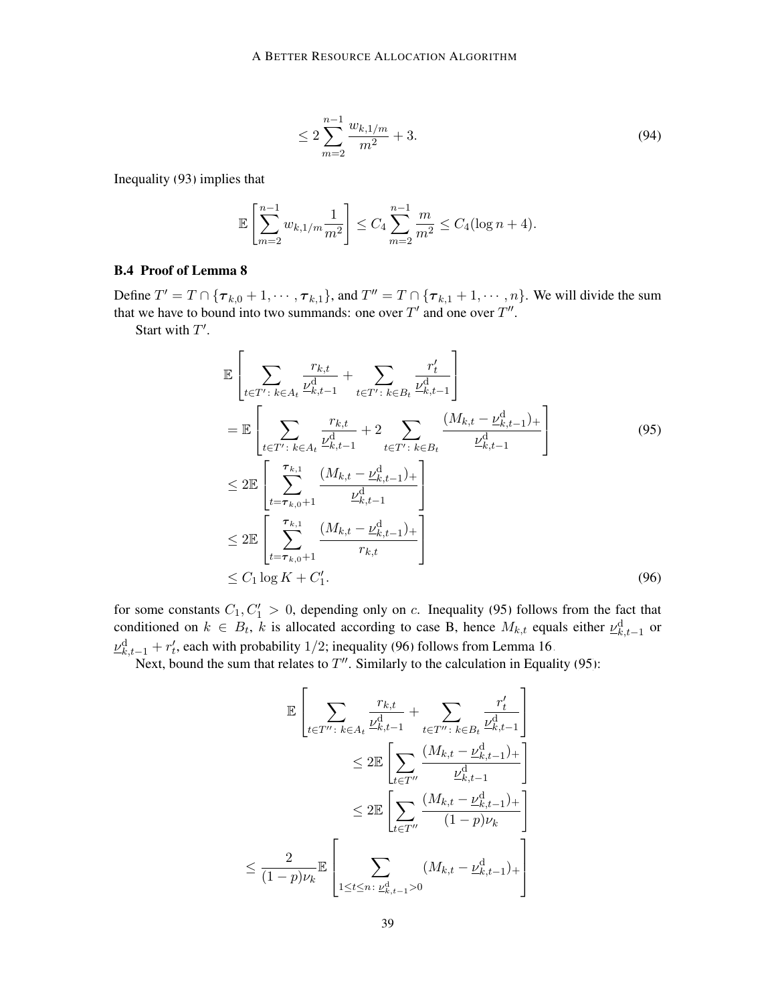$$
\leq 2\sum_{m=2}^{n-1} \frac{w_{k,1/m}}{m^2} + 3. \tag{94}
$$

Inequality [\(93\)](#page-37-1) implies that

$$
\mathbb{E}\left[\sum_{m=2}^{n-1} w_{k,1/m} \frac{1}{m^2}\right] \le C_4 \sum_{m=2}^{n-1} \frac{m}{m^2} \le C_4 (\log n + 4).
$$

# <span id="page-38-0"></span>B.4 Proof of Lemma [8](#page-8-5)

Define  $T' = T \cap {\tau_{k,0} + 1, \dots, \tau_{k,1}}$ , and  $T'' = T \cap {\tau_{k,1} + 1, \dots, n}$ . We will divide the sum that we have to bound into two summands: one over  $T'$  and one over  $T''$ .

Start with  $T'$ .

<span id="page-38-1"></span>
$$
\mathbb{E}\left[\sum_{t\in T':\,k\in A_{t}}\frac{r_{k,t}}{\nu_{k,t-1}^{d}}+\sum_{t\in T':\,k\in B_{t}}\frac{r'_{t}}{\nu_{k,t-1}^{d}}\right]
$$
\n
$$
=\mathbb{E}\left[\sum_{t\in T':\,k\in A_{t}}\frac{r_{k,t}}{\nu_{k,t-1}^{d}}+2\sum_{t\in T':\,k\in B_{t}}\frac{(M_{k,t}-\nu_{k,t-1}^{d})}{\nu_{k,t-1}^{d}}\right]
$$
\n
$$
\leq 2\mathbb{E}\left[\sum_{t=\tau_{k,0}+1}^{\tau_{k,1}}\frac{(M_{k,t}-\nu_{k,t-1}^{d})}{\nu_{k,t-1}^{d}}\right]
$$
\n
$$
\leq 2\mathbb{E}\left[\sum_{t=\tau_{k,0}+1}^{\tau_{k,1}}\frac{(M_{k,t}-\nu_{k,t-1}^{d})}{r_{k,t}}\right]
$$
\n
$$
\leq C_{1}\log K + C'_{1}.
$$
\n(96)

for some constants  $C_1, C_1' > 0$ , depending only on c. Inequality [\(95\)](#page-38-1) follows from the fact that conditioned on  $k \in B_t$ , k is allocated according to case B, hence  $M_{k,t}$  equals either  $\underline{\nu}_{k,t-1}^d$  or  $\underline{\nu}_{k,t-1}^{\text{d}} + r'_t$ , each with probability 1/2; inequality [\(96\)](#page-38-2) follows from Lemma [16.](#page-22-1)

Next, bound the sum that relates to  $T''$ . Similarly to the calculation in Equality [\(95\)](#page-38-1):

<span id="page-38-2"></span>
$$
\mathbb{E}\left[\sum_{t\in T''\colon k\in A_t} \frac{r_{k,t}}{\nu_{k,t-1}^{\text{d}}} + \sum_{t\in T''\colon k\in B_t} \frac{r'_t}{\nu_{k,t-1}^{\text{d}}} \right]
$$
  

$$
\leq 2\mathbb{E}\left[\sum_{t\in T''} \frac{(M_{k,t} - \underline{\nu}_{k,t-1}^{\text{d}})_{+}}{\nu_{k,t-1}^{\text{d}}} \right]
$$
  

$$
\leq 2\mathbb{E}\left[\sum_{t\in T''} \frac{(M_{k,t} - \underline{\nu}_{k,t-1}^{\text{d}})_{+}}{(1 - p)\nu_k} \right]
$$
  

$$
\leq \frac{2}{(1 - p)\nu_k} \mathbb{E}\left[\sum_{1 \leq t \leq n\colon \underline{\nu}_{k,t-1}^{\text{d}} > 0} (M_{k,t} - \underline{\nu}_{k,t-1}^{\text{d}})_{+}\right]
$$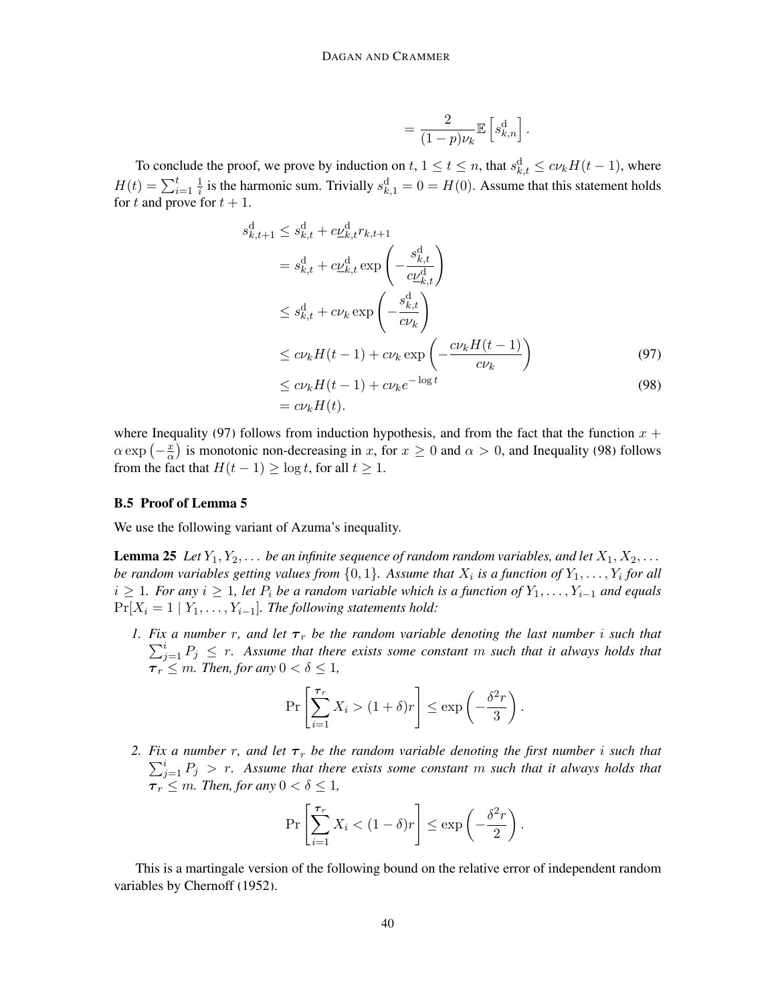<span id="page-39-2"></span><span id="page-39-1"></span>
$$
= \frac{2}{(1-p)\nu_k} \mathbb{E}\left[s_{k,n}^{\mathrm{d}}\right].
$$

To conclude the proof, we prove by induction on  $t, 1 \le t \le n$ , that  $s_{k,t}^d \le cv_kH(t-1)$ , where  $H(t) = \sum_{i=1}^{t} \frac{1}{i}$  $\frac{1}{i}$  is the harmonic sum. Trivially  $s_{k,1}^d = 0 = H(0)$ . Assume that this statement holds for t and prove for  $t + 1$ .

$$
s_{k,t+1}^d \leq s_{k,t}^d + c\underline{\nu}_{k,t}^d r_{k,t+1}
$$
  
\n
$$
= s_{k,t}^d + c\underline{\nu}_{k,t}^d \exp\left(-\frac{s_{k,t}^d}{c\underline{\nu}_{k,t}^d}\right)
$$
  
\n
$$
\leq s_{k,t}^d + c\nu_k \exp\left(-\frac{s_{k,t}^d}{c\nu_k}\right)
$$
  
\n
$$
\leq c\nu_k H(t-1) + c\nu_k \exp\left(-\frac{c\nu_k H(t-1)}{c\nu_k}\right)
$$
  
\n
$$
\leq c\nu_k H(t-1) + c\nu_k e^{-\log t}
$$
 (97)

$$
\leq c\nu_k H(t-1) + c\nu_k e^{-\log t}
$$
  
=  $c\nu_k H(t)$ . (98)

where Inequality [\(97\)](#page-39-1) follows from induction hypothesis, and from the fact that the function  $x +$  $\alpha \exp \left(-\frac{x}{\alpha}\right)$  $\frac{x}{\alpha}$ ) is monotonic non-decreasing in x, for  $x \ge 0$  and  $\alpha > 0$ , and Inequality [\(98\)](#page-39-2) follows from the fact that  $H(t-1) \ge \log t$ , for all  $t \ge 1$ .

#### <span id="page-39-0"></span>B.5 Proof of Lemma [5](#page-7-4)

<span id="page-39-3"></span>We use the following variant of Azuma's inequality.

**Lemma 25** Let  $Y_1, Y_2, \ldots$  be an infinite sequence of random random variables, and let  $X_1, X_2, \ldots$ be random variables getting values from  $\{0,1\}$ . Assume that  $X_i$  is a function of  $Y_1, \ldots, Y_i$  for all  $i \geq 1$ *. For any*  $i \geq 1$ *, let*  $P_i$  *be a random variable which is a function of*  $Y_1, \ldots, Y_{i-1}$  *and equals*  $Pr[X_i = 1 | Y_1, \ldots, Y_{i-1}]$ *. The following statements hold:* 

<span id="page-39-4"></span>*1. Fix a number r, and let*  $\tau_r$  *be the random variable denoting the last number i such that*  $\sum_{j=1}^{i} P_j \leq r$ . Assume that there exists some constant m such that it always holds that  $\tau_r \leq m$ *. Then, for any*  $0 < \delta \leq 1$ ,

$$
\Pr\left[\sum_{i=1}^{\tau_r} X_i > (1+\delta)r\right] \le \exp\left(-\frac{\delta^2r}{3}\right).
$$

<span id="page-39-5"></span>2. *Fix a number r, and let*  $\tau_r$  *be the random variable denoting the first number i such that*  $\sum_{j=1}^{i} P_j$  > r. Assume that there exists some constant m such that it always holds that  $\tau_r \leq m$ *. Then, for any*  $0 < \delta \leq 1$ *,* 

$$
\Pr\left[\sum_{i=1}^{\tau_r} X_i < (1-\delta)r\right] \le \exp\left(-\frac{\delta^2 r}{2}\right).
$$

This is a martingale version of the following bound on the relative error of independent random variables by [Chernoff](#page-12-8) [\(1952\)](#page-12-8).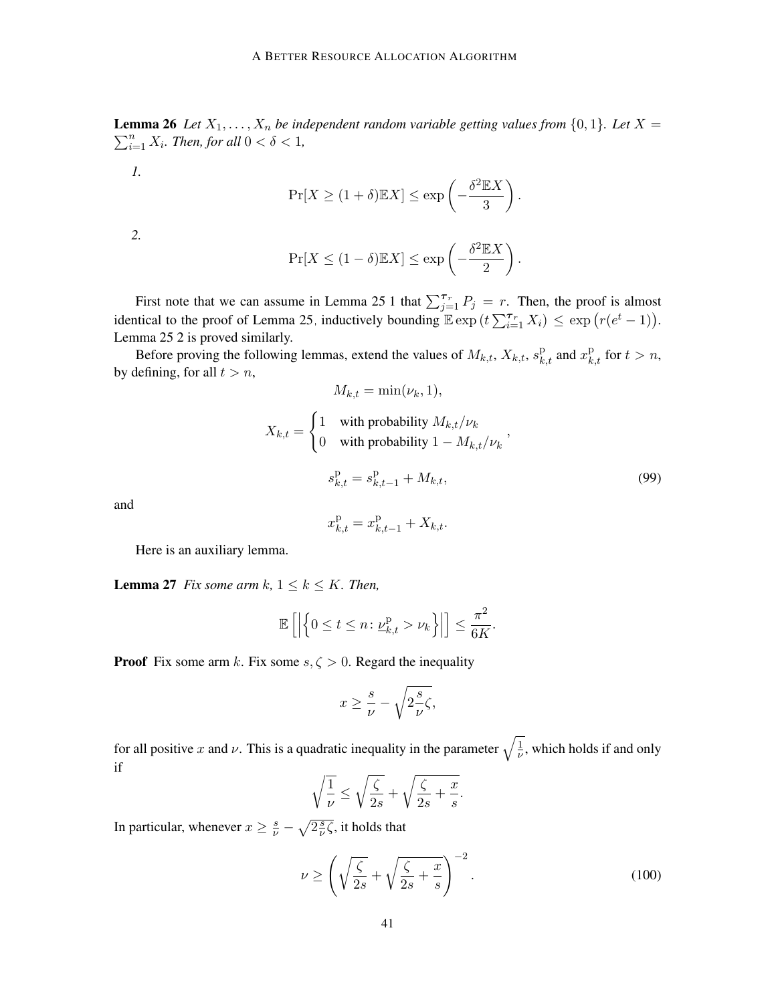$\sum_{i=1}^{n} X_i$ *. Then, for all*  $0 < \delta < 1$ *,* **Lemma 26** Let  $X_1, \ldots, X_n$  be independent random variable getting values from  $\{0, 1\}$ . Let  $X =$ 

*1.*

$$
\Pr[X \ge (1+\delta) \mathbb{E} X] \le \exp\left(-\frac{\delta^2 \mathbb{E} X}{3}\right).
$$

*2.*

$$
\Pr[X \le (1 - \delta) \mathbb{E} X] \le \exp\left(-\frac{\delta^2 \mathbb{E} X}{2}\right)
$$

First note that we can assume in Lemma [25](#page-39-3)[.1](#page-39-4) that  $\sum_{j=1}^{\tau_r} P_j = r$ . Then, the proof is almost identical to the proof of Lemma [25,](#page-39-3) inductively bounding  $\mathbb{E} \exp(t \sum_{i=1}^{\tau_r} X_i) \leq \exp(r(e^t - 1)).$ Lemma [25.](#page-39-3)[2](#page-39-5) is proved similarly.

Before proving the following lemmas, extend the values of  $M_{k,t}$ ,  $X_{k,t}$ ,  $s_{k,t}^{\text{p}}$  and  $x_{k,t}^{\text{p}}$  for  $t > n$ , by defining, for all  $t > n$ ,

$$
M_{k,t} = \min(\nu_k, 1),
$$
  
\n
$$
X_{k,t} = \begin{cases} 1 & \text{with probability } M_{k,t}/\nu_k \\ 0 & \text{with probability } 1 - M_{k,t}/\nu_k \end{cases}
$$
  
\n
$$
s_{k,t}^{\text{p}} = s_{k,t-1}^{\text{p}} + M_{k,t},
$$
\n(99)

.

<span id="page-40-0"></span>and

$$
x_{k,t}^{\mathrm{p}} = x_{k,t-1}^{\mathrm{p}} + X_{k,t}.
$$

Here is an auxiliary lemma.

<span id="page-40-2"></span>**Lemma 27** *Fix some arm k,*  $1 \leq k \leq K$ *. Then,* 

$$
\mathbb{E}\left[\left|\left\{0 \leq t \leq n \colon \underline{\nu}_{k,t}^{\mathrm{p}} > \nu_k\right\}\right|\right] \leq \frac{\pi^2}{6K}.
$$

**Proof** Fix some arm k. Fix some  $s, \zeta > 0$ . Regard the inequality

$$
x\geq \frac{s}{\nu}-\sqrt{2\frac{s}{\nu}\zeta},
$$

for all positive x and v. This is a quadratic inequality in the parameter  $\sqrt{\frac{1}{\mu}}$  $\frac{1}{\nu}$ , which holds if and only if

<span id="page-40-1"></span>
$$
\sqrt{\frac{1}{\nu}} \le \sqrt{\frac{\zeta}{2s}} + \sqrt{\frac{\zeta}{2s} + \frac{x}{s}}.
$$

In particular, whenever  $x \geq \frac{s}{\nu} - \sqrt{2\frac{s}{\nu}}$  $\frac{s}{\nu}$ ζ, it holds that

$$
\nu \ge \left(\sqrt{\frac{\zeta}{2s}} + \sqrt{\frac{\zeta}{2s} + \frac{x}{s}}\right)^{-2}.\tag{100}
$$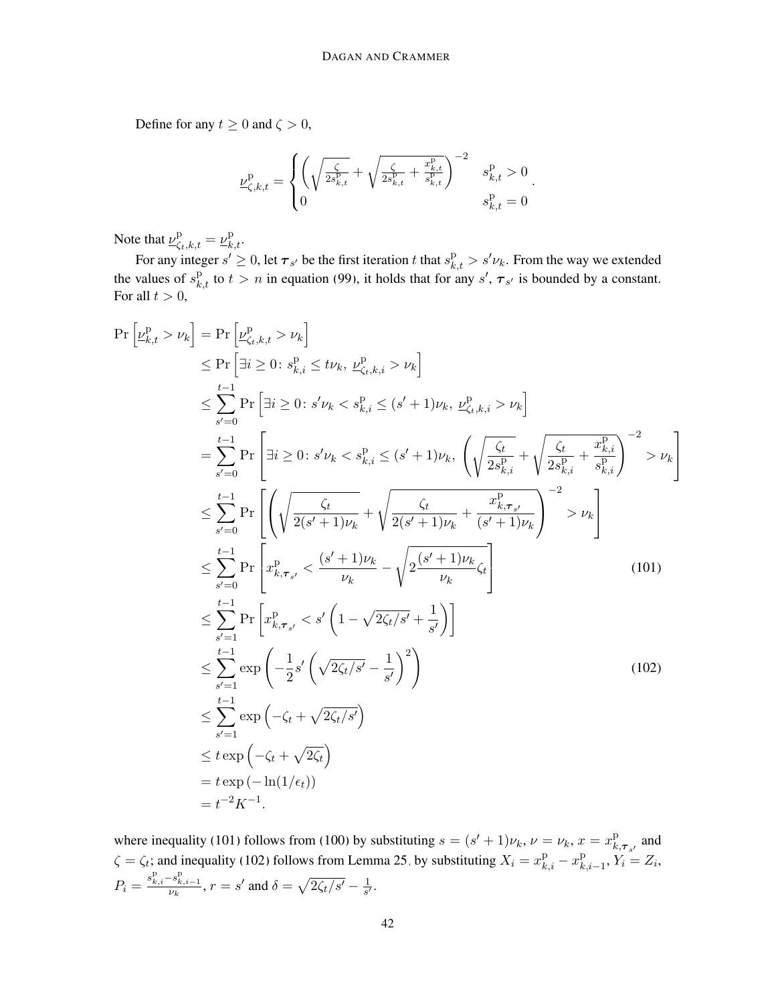Define for any  $t \geq 0$  and  $\zeta > 0$ ,

<span id="page-41-0"></span>
$$
\underline{\nu}_{\zeta,k,t}^{\mathrm{p}} = \begin{cases} \left( \sqrt{\frac{\zeta}{2s_{k,t}^{\mathrm{p}}} + \sqrt{\frac{\zeta}{2s_{k,t}^{\mathrm{p}}} + \frac{x_{k,t}^{\mathrm{p}}}{s_{k,t}^{\mathrm{p}}} } \right)^{-2} & s_{k,t}^{\mathrm{p}} > 0\\ 0 & s_{k,t}^{\mathrm{p}} = 0 \end{cases}.
$$

Note that  $\underline{\nu}_{\zeta_t,k,t}^{\text{p}} = \underline{\nu}_{k,t}^{\text{p}}$ .

For any integer  $s' \ge 0$ , let  $\tau_{s'}$  be the first iteration t that  $s_{k,t}^p > s' \nu_k$ . From the way we extended the values of  $s_{k,t}^{\text{p}}$  to  $t > n$  in equation [\(99\)](#page-40-0), it holds that for any  $s', \tau_{s'}$  is bounded by a constant. For all  $t > 0$ ,

$$
\Pr\left[\nu_{k,t}^{p} > \nu_{k}\right] = \Pr\left[\exists i \geq 0 : s_{k,i}^{p} \leq t\nu_{k}, \nu_{k,t,i}^{p} > \nu_{k}\right] \\
\leq \Pr\left[\exists i \geq 0 : s_{k,i}^{p} \leq t\nu_{k}, \nu_{\zeta_{t},k,i}^{p} > \nu_{k}\right] \\
\leq \sum_{s'=0}^{t-1} \Pr\left[\exists i \geq 0 : s'\nu_{k} < s_{k,i}^{p} \leq (s'+1)\nu_{k}, \nu_{\zeta_{t},k,i}^{p} > \nu_{k}\right] \\
= \sum_{s'=0}^{t-1} \Pr\left[\exists i \geq 0 : s'\nu_{k} < s_{k,i}^{p} \leq (s'+1)\nu_{k}, \left(\sqrt{\frac{\zeta_{t}}{2s_{k,i}^{p}}} + \sqrt{\frac{\zeta_{t}}{2s_{k,i}^{p}}} + \frac{\zeta_{k,i}^{p}}{s_{k,i}^{p}}\right)^{-2} > \nu_{k}\right] \\
\leq \sum_{s'=0}^{t-1} \Pr\left[\left(\sqrt{\frac{\zeta_{t}}{2(s'+1)\nu_{k}}} + \sqrt{\frac{\zeta_{t}}{2(s'+1)\nu_{k}}} + \frac{x_{k,\tau_{s'}}^{p}}{(s'+1)\nu_{k}}\right)^{-2} > \nu_{k}\right] \\
\leq \sum_{s'=0}^{t-1} \Pr\left[x_{k,\tau_{s'}}^{p} < \frac{(s'+1)\nu_{k}}{\nu_{k}} - \sqrt{2\frac{(s'+1)\nu_{k}}{2\nu_{k}}\zeta_{t}}\right] \\
\leq \sum_{s'=1}^{t-1} \Pr\left[x_{k,\tau_{s'}}^{p} < s'\left(1 - \sqrt{2\zeta_{t}/s'} + \frac{1}{s'}\right)\right] \\
\leq \sum_{s'=1}^{t-1} \exp\left(-\frac{\zeta_{t}}{2} + \sqrt{2\zeta_{t}/s'}\right) \\
\leq t \exp\left(-\zeta_{t} + \sqrt{2\zeta_{t}}\right) \\
\leq t \exp(-\Gamma_{k}(1/\epsilon_{t})) \\
= t^{-2}K^{-1}.
$$
\n(102)

<span id="page-41-1"></span>where inequality [\(101\)](#page-41-0) follows from [\(100\)](#page-40-1) by substituting  $s = (s' + 1)\nu_k$ ,  $\nu = \nu_k$ ,  $x = x_k^p$  $_{k,\boldsymbol{\tau}_{s'}}^{\mathrm{p}}$  and  $\zeta = \zeta_t$ ; and inequality [\(102\)](#page-41-1) follows from Lemma [25,](#page-39-3) by substituting  $X_i = x_{k,i}^{\text{p}} - x_k^{\text{p}}$  $_{k,i-1}^{p}, Y_i = Z_i,$  $P_i = \frac{s_{k,i}^{\mathrm{p}} - s_{k,i-1}^{\mathrm{p}}}{\nu_k}, r = s'$  and  $\delta = \sqrt{2\zeta_t/s'} - \frac{1}{s'}$  $\frac{1}{s'}$ .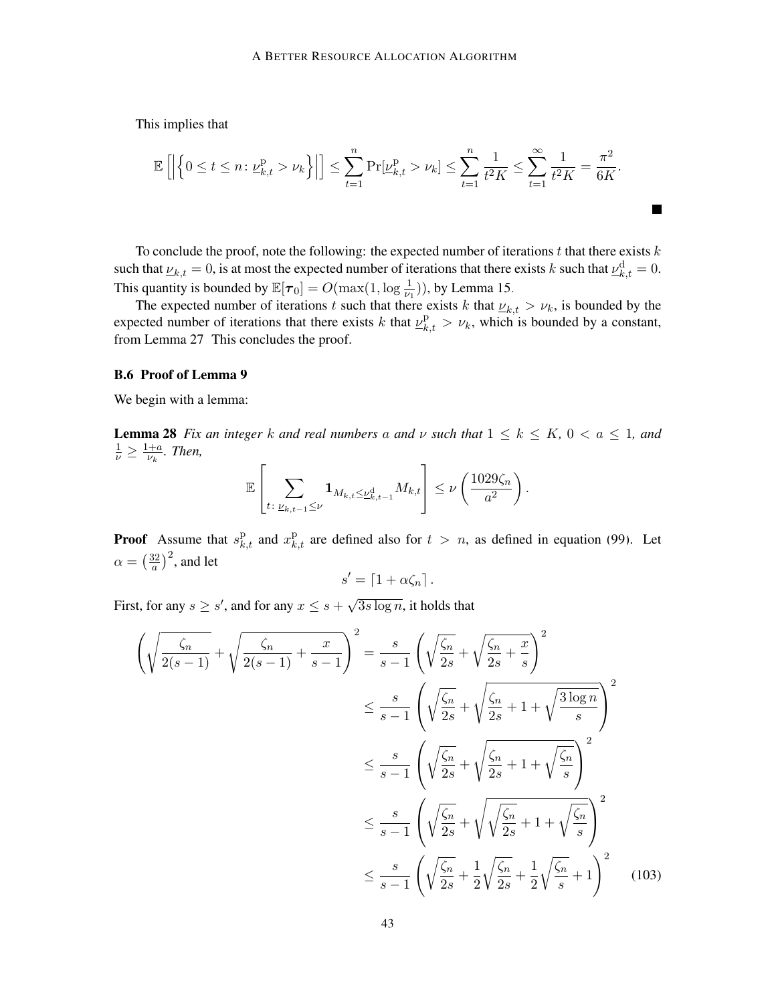This implies that

$$
\mathbb{E}\left[\left|\left\{0\leq t\leq n\colon \underline{\nu}_{k,t}^{\mathrm{p}}> \nu_k\right\}\right|\right]\leq \sum_{t=1}^n \Pr[\underline{\nu}_{k,t}^{\mathrm{p}}> \nu_k]\leq \sum_{t=1}^n \frac{1}{t^2K}\leq \sum_{t=1}^\infty \frac{1}{t^2K}=\frac{\pi^2}{6K}.
$$

 $\blacksquare$ 

To conclude the proof, note the following: the expected number of iterations t that there exists  $k$ such that  $u_{k,t} = 0$ , is at most the expected number of iterations that there exists k such that  $u_{k,t}^d = 0$ . This quantity is bounded by  $\mathbb{E}[\tau_0] = O(\max(1, \log \frac{1}{\nu_1}))$ , by Lemma [15.](#page-21-2)

The expected number of iterations t such that there exists k that  $\nu_{k,t} > \nu_k$ , is bounded by the expected number of iterations that there exists k that  $\underline{\nu}_{k,t}^{\text{p}} > \nu_k$ , which is bounded by a constant, from Lemma [27.](#page-40-2) This concludes the proof.

# <span id="page-42-0"></span>B.6 Proof of Lemma [9](#page-9-3)

<span id="page-42-2"></span>We begin with a lemma:

**Lemma 28** *Fix an integer* k and real numbers a and  $\nu$  such that  $1 \leq k \leq K$ ,  $0 < a \leq 1$ , and  $\frac{1}{\nu} \geq \frac{1+a}{\nu_k}$  $\frac{+a}{\nu_k}$ . Then,

$$
\mathbb{E}\left[\sum_{t\colon \underline{\nu}_{k,t-1}\leq \nu}\mathbf{1}_{M_{k,t}\leq \underline{\nu}_{k,t-1}^{\mathrm{d}}}M_{k,t}\right]\leq \nu\left(\frac{1029\zeta_n}{a^2}\right).
$$

**Proof** Assume that  $s_{k,t}^{\text{p}}$  and  $x_{k,t}^{\text{p}}$  are defined also for  $t > n$ , as defined in equation [\(99\)](#page-40-0). Let  $\alpha = \left(\frac{32}{a}\right)$  $\left(\frac{32}{a}\right)^2$ , and let

<span id="page-42-1"></span>
$$
s' = \lceil 1 + \alpha \zeta_n \rceil.
$$

First, for any  $s \geq s'$ , and for any  $x \leq s +$ √  $\overline{3s \log n}$ , it holds that

$$
\left(\sqrt{\frac{\zeta_n}{2(s-1)}} + \sqrt{\frac{\zeta_n}{2(s-1)}} + \frac{x}{s-1}\right)^2 = \frac{s}{s-1} \left(\sqrt{\frac{\zeta_n}{2s}} + \sqrt{\frac{\zeta_n}{2s} + \frac{x}{s}}\right)^2
$$
  

$$
\leq \frac{s}{s-1} \left(\sqrt{\frac{\zeta_n}{2s}} + \sqrt{\frac{\zeta_n}{2s} + 1 + \sqrt{\frac{3\log n}{s}}}\right)^2
$$
  

$$
\leq \frac{s}{s-1} \left(\sqrt{\frac{\zeta_n}{2s}} + \sqrt{\frac{\zeta_n}{2s} + 1 + \sqrt{\frac{\zeta_n}{s}}}\right)^2
$$
  

$$
\leq \frac{s}{s-1} \left(\sqrt{\frac{\zeta_n}{2s}} + \sqrt{\sqrt{\frac{\zeta_n}{2s}} + 1 + \sqrt{\frac{\zeta_n}{s}}}\right)^2
$$
  

$$
\leq \frac{s}{s-1} \left(\sqrt{\frac{\zeta_n}{2s}} + \frac{1}{2}\sqrt{\frac{\zeta_n}{2s}} + \frac{1}{2}\sqrt{\frac{\zeta_n}{s}} + 1\right)^2
$$
(103)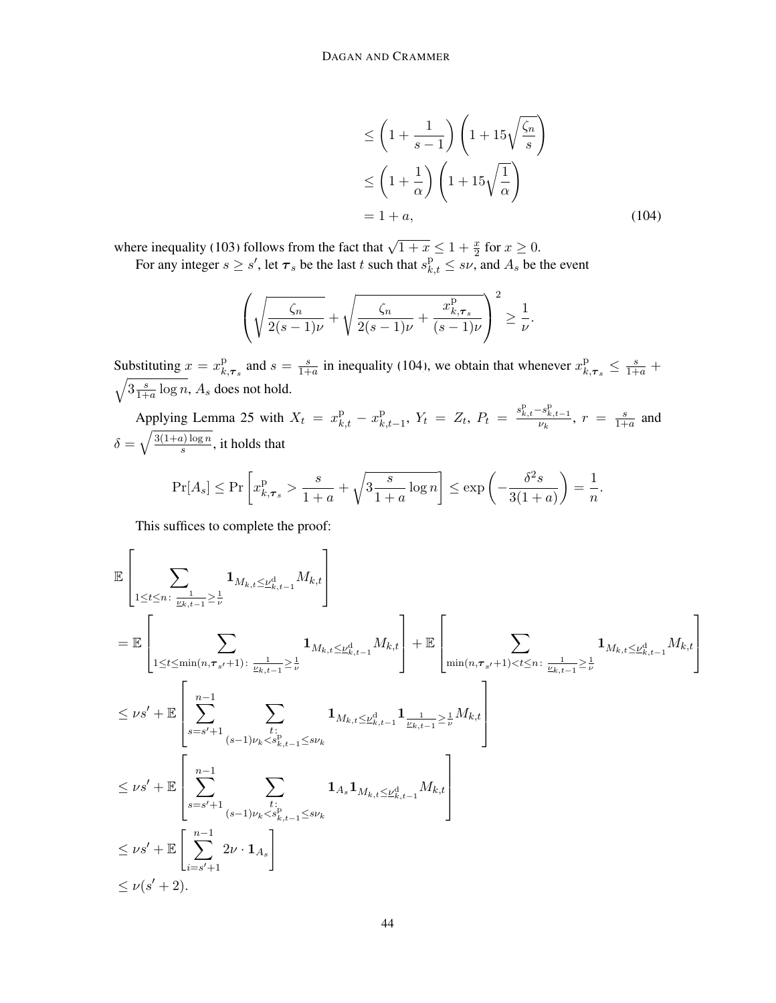<span id="page-43-0"></span>
$$
\leq \left(1 + \frac{1}{s - 1}\right) \left(1 + 15\sqrt{\frac{\zeta_n}{s}}\right)
$$

$$
\leq \left(1 + \frac{1}{\alpha}\right) \left(1 + 15\sqrt{\frac{1}{\alpha}}\right)
$$

$$
= 1 + a,\tag{104}
$$

where inequality [\(103\)](#page-42-1) follows from the fact that  $\sqrt{1+x} \le 1 + \frac{x}{2}$  for  $x \ge 0$ .

For any integer  $s \geq s'$ , let  $\tau_s$  be the last t such that  $s_{k,t}^p \leq s\nu$ , and  $A_s$  be the event

$$
\left(\sqrt{\frac{\zeta_n}{2(s-1)\nu}}+\sqrt{\frac{\zeta_n}{2(s-1)\nu}+\frac{x_{k,\tau_s}^{\mathrm{p}}}{(s-1)\nu}}\right)^2\geq\frac{1}{\nu}.
$$

Substituting  $x = x_k^p$  $R_{k,\tau_s}^{\text{p}}$  and  $s = \frac{s}{1+s}$  $\frac{s}{1+a}$  in inequality [\(104\)](#page-43-0), we obtain that whenever  $x_k^p$  $_{k,\tau_s}^{\mathrm{p}} \leq \frac{s}{1+a} +$  $\sqrt{3\frac{s}{1+}}$  $\frac{s}{1+a} \log n$ ,  $A_s$  does not hold.

Applying Lemma [25](#page-39-3) with  $X_t = x_{k,t}^{\text{p}} - x_k^{\text{p}}$  $\sum_{k,t-1}^{p}$ ,  $Y_t = Z_t$ ,  $P_t = \frac{s_{k,t}^{\mathrm{p}} - s_{k,t-1}^{\mathrm{p}}}{\nu_k}$ ,  $r = \frac{s_{k,t-1}}{1 + \nu_k}$  $\frac{s}{1+a}$  and  $\delta = \sqrt{\frac{3(1+a)\log n}{s}}$  $\frac{u_1 \log n}{s}$ , it holds that

$$
\Pr[A_s] \le \Pr\left[x_{k,\tau_s}^p > \frac{s}{1+a} + \sqrt{3\frac{s}{1+a}\log n}\right] \le \exp\left(-\frac{\delta^2 s}{3(1+a)}\right) = \frac{1}{n}.
$$

This suffices to complete the proof:

$$
\mathbb{E}\left[\sum_{1\leq t\leq n:\ \frac{1}{\underline{\nu}_{k,t-1}}\geq \frac{1}{\nu}}\mathbf{1}_{M_{k,t}\leq \underline{\nu}_{k,t-1}^{d}M_{k,t}}\right]
$$
\n
$$
=\mathbb{E}\left[\sum_{1\leq t\leq \min(n,\tau_{s'}+1):\ \frac{1}{\underline{\nu}_{k,t-1}}\geq \frac{1}{\nu}}\mathbf{1}_{M_{k,t}\leq \underline{\nu}_{k,t-1}^{d}M_{k,t}}\right]+\mathbb{E}\left[\sum_{\min(n,\tau_{s'}+1)\n
$$
\leq \nu s'+\mathbb{E}\left[\sum_{s=s'+1}^{n-1}\sum_{(s-1)\nu_{k}\n
$$
\leq \nu s'+\mathbb{E}\left[\sum_{s=s'+1}^{n-1}\sum_{(s-1)\nu_{k}\n
$$
\leq \nu s'+\mathbb{E}\left[\sum_{i=s'+1}^{n-1}2\nu\cdot\mathbf{1}_{A_{s}}\right]
$$
\n
$$
\leq \nu(s'+2).
$$
$$
$$
$$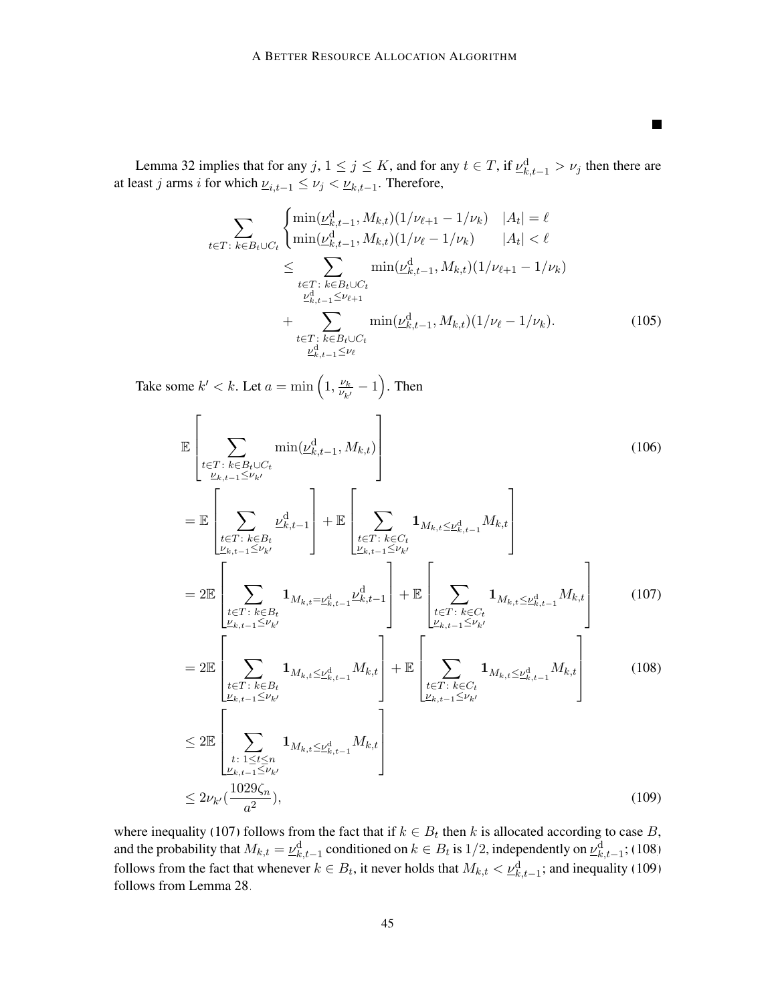<span id="page-44-3"></span><span id="page-44-0"></span>**The Second Second** 

Lemma [32](#page-49-0) implies that for any  $j, 1 \le j \le K$ , and for any  $t \in T$ , if  $\mathcal{L}^{\mathrm{d}}_{k,t-1} > \nu_j$  then there are at least *j* arms *i* for which  $\underline{\nu}_{i,t-1} \le \nu_j < \underline{\nu}_{k,t-1}$ . Therefore,

$$
\sum_{t \in T: \ k \in B_t \cup C_t} \begin{cases} \min(\underline{\nu}_{k,t-1}^d, M_{k,t})(1/\nu_{\ell+1} - 1/\nu_k) & |A_t| = \ell \\ \min(\underline{\nu}_{k,t-1}^d, M_{k,t})(1/\nu_{\ell} - 1/\nu_k) & |A_t| < \ell \end{cases}
$$
\n
$$
\leq \sum_{\substack{t \in T: \ k \in B_t \cup C_t \\ \underline{\nu}_{k,t-1}^d \leq \nu_{\ell+1}}} \min(\underline{\nu}_{k,t-1}^d, M_{k,t})(1/\nu_{\ell+1} - 1/\nu_k)
$$
\n
$$
+ \sum_{\substack{t \in T: \ k \in B_t \cup C_t \\ \underline{\nu}_{k,t-1}^d \leq \nu_{\ell}}} \min(\underline{\nu}_{k,t-1}^d, M_{k,t})(1/\nu_{\ell} - 1/\nu_k). \tag{105}
$$

Take some  $k' < k$ . Let  $a = \min\left(1, \frac{\nu_k}{\nu_k}\right)$  $\frac{\nu_k}{\nu_{k'}} - 1$ ). Then

<span id="page-44-1"></span>
$$
\mathbb{E}\left[\sum_{\substack{t\in T:\ k\in B_t\cup C_t\\ \nu_{k,t-1}\leq \nu_{k'}}}\min(\underline{\nu}_{k,t-1}^d, M_{k,t})\right]
$$
(106)  
\n
$$
= \mathbb{E}\left[\sum_{\substack{t\in T:\ k\in B_t\\ \nu_{k,t-1}\leq \nu_{k'}}}\underline{\nu}_{k,t-1}^d\right] + \mathbb{E}\left[\sum_{\substack{t\in T:\ k\in C_t\\ \nu_{k,t-1}\leq \nu_{k'}}}\mathbf{1}_{M_{k,t}\leq \underline{\nu}_{k,t-1}^d\leq \nu_{k'}}\right]
$$
(106)  
\n
$$
= 2\mathbb{E}\left[\sum_{\substack{t\in T:\ k\in B_t\\ \nu_{k,t-1}\leq \nu_{k'}}}\mathbf{1}_{M_{k,t}=\underline{\nu}_{k,t-1}^d\cdot \underline{\nu}_{k,t-1}^d}\right] + \mathbb{E}\left[\sum_{\substack{t\in T:\ k\in C_t\\ \nu_{k,t-1}\leq \nu_{k'}}}\mathbf{1}_{M_{k,t}\leq \underline{\nu}_{k,t-1}^d\leq \nu_{k'}}\right]
$$
(107)  
\n
$$
= 2\mathbb{E}\left[\sum_{\substack{t\in T:\ k\in B_t\\ \nu_{k,t-1}\leq \nu_{k'}}}\mathbf{1}_{M_{k,t}\leq \underline{\nu}_{k,t-1}^d\cdot M_{k,t}}\right] + \mathbb{E}\left[\sum_{\substack{t\in T:\ k\in C_t\\ \nu_{k,t-1}\leq \nu_{k'}}}\mathbf{1}_{M_{k,t}\leq \underline{\nu}_{k,t-1}^d\leq \nu_{k'}}\right]
$$
(108)  
\n
$$
\leq 2\mathbb{E}\left[\sum_{\substack{t:\ 1\leq t\leq n\\ \nu_{k,t-1}\leq \nu_{k'}}}\mathbf{1}_{M_{k,t}\leq \underline{\nu}_{k,t-1}^d\cdot M_{k,t}}\right]
$$
(109)  
\n
$$
\leq 2\nu_{k'}(\frac{1029\zeta_n}{a^2}),
$$

<span id="page-44-2"></span>where inequality [\(107\)](#page-44-0) follows from the fact that if  $k \in B_t$  then k is allocated according to case B, and the probability that  $M_{k,t} = \underline{\nu}_{k,t-1}^d$  conditioned on  $k \in B_t$  is  $1/2$ , independently on  $\underline{\nu}_{k,t-1}^d$ ; [\(108\)](#page-44-1) follows from the fact that whenever  $k \in B_t$ , it never holds that  $M_{k,t} < \underline{\nu}_{k,t-1}^{\rm d}$ ; and inequality [\(109\)](#page-44-2) follows from Lemma [28.](#page-42-2)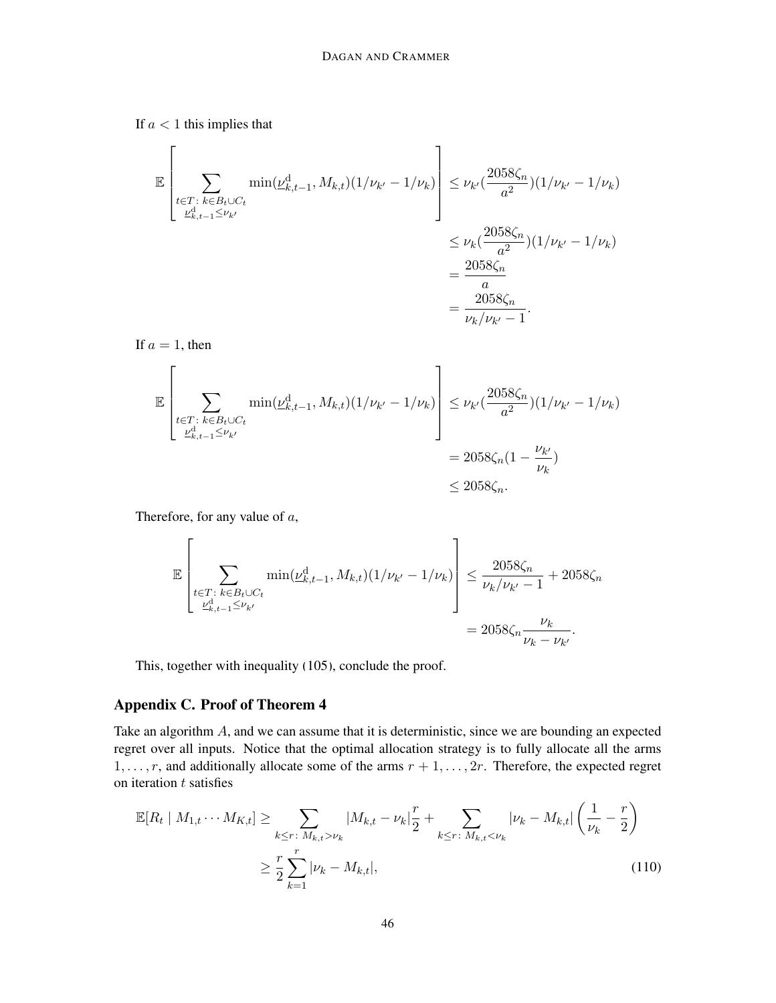If  $a < 1$  this implies that

$$
\mathbb{E}\left[\sum_{\substack{t\in T:\ k\in B_t\cup C_t\\ \nu_{k,t-1}^d \leq \nu_{k'} }} \min(\nu_{k,t-1}^d, M_{k,t})(1/\nu_{k'} - 1/\nu_k)\right] \leq \nu_{k'}(\frac{2058\zeta_n}{a^2})(1/\nu_{k'} - 1/\nu_k) \n= \frac{\nu_k(\frac{2058\zeta_n}{a^2})(1/\nu_{k'} - 1/\nu_k)}{\frac{2058\zeta_n}{a^2}} \n= \frac{\frac{2058\zeta_n}{a}}{\nu_k/\nu_{k'} - 1}.
$$

If  $a = 1$ , then

$$
\mathbb{E}\left[\sum_{\substack{t\in T:\ k\in B_t\cup C_t\\ \nu_{k,t-1}^d \leq \nu_{k'}}} \min(\nu_{k,t-1}^d, M_{k,t})(1/\nu_{k'} - 1/\nu_k)\right] \leq \nu_{k'}(\frac{2058\zeta_n}{a^2})(1/\nu_{k'} - 1/\nu_k) \\
= 2058\zeta_n(1 - \frac{\nu_{k'}}{\nu_k}) \\
\leq 2058\zeta_n.
$$

Therefore, for any value of a,

$$
\mathbb{E}\left[\sum_{\substack{t\in T:\ k\in B_t\cup C_t\\ \nu_{k,t-1}^d\leq \nu_{k'}}}\min(\underline{\nu}_{k,t-1}^d, M_{k,t})(1/\nu_{k'}-1/\nu_k)\right] \leq \frac{2058\zeta_n}{\nu_k/\nu_{k'}-1}+2058\zeta_n
$$

$$
=2058\zeta_n\frac{\nu_k}{\nu_k-\nu_{k'}}.
$$

This, together with inequality [\(105\)](#page-44-3), conclude the proof.

# Appendix C. Proof of Theorem [4](#page-3-0)

Take an algorithm A, and we can assume that it is deterministic, since we are bounding an expected regret over all inputs. Notice that the optimal allocation strategy is to fully allocate all the arms  $1, \ldots, r$ , and additionally allocate some of the arms  $r + 1, \ldots, 2r$ . Therefore, the expected regret on iteration  $t$  satisfies

<span id="page-45-0"></span>
$$
\mathbb{E}[R_t | M_{1,t} \cdots M_{K,t}] \ge \sum_{k \le r \colon M_{k,t} > \nu_k} |M_{k,t} - \nu_k|_{2}^{r} + \sum_{k \le r \colon M_{k,t} < \nu_k} |\nu_k - M_{k,t}| \left(\frac{1}{\nu_k} - \frac{r}{2}\right)
$$
  

$$
\ge \frac{r}{2} \sum_{k=1}^{r} |\nu_k - M_{k,t}|,
$$
 (110)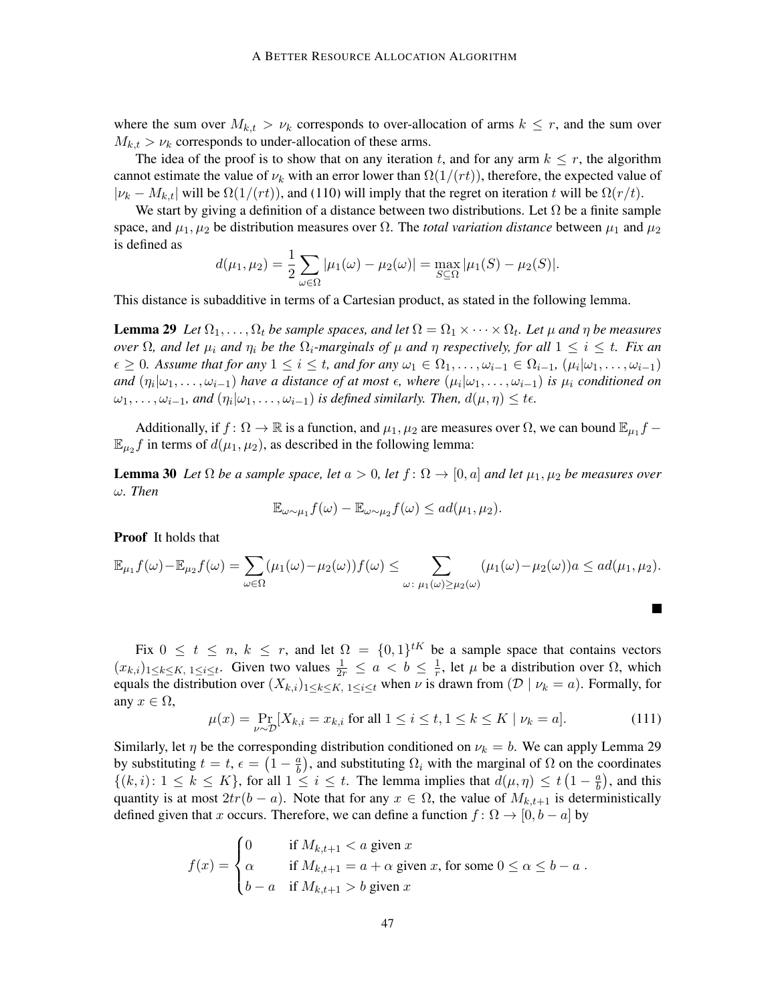where the sum over  $M_{k,t} > \nu_k$  corresponds to over-allocation of arms  $k \leq r$ , and the sum over  $M_{k,t} > \nu_k$  corresponds to under-allocation of these arms.

The idea of the proof is to show that on any iteration t, and for any arm  $k \leq r$ , the algorithm cannot estimate the value of  $\nu_k$  with an error lower than  $\Omega(1/(rt))$ , therefore, the expected value of  $|\nu_k - M_{k,t}|$  will be  $\Omega(1/(rt))$ , and [\(110\)](#page-45-0) will imply that the regret on iteration t will be  $\Omega(r/t)$ .

We start by giving a definition of a distance between two distributions. Let  $\Omega$  be a finite sample space, and  $\mu_1, \mu_2$  be distribution measures over  $\Omega$ . The *total variation distance* between  $\mu_1$  and  $\mu_2$ is defined as

$$
d(\mu_1, \mu_2) = \frac{1}{2} \sum_{\omega \in \Omega} |\mu_1(\omega) - \mu_2(\omega)| = \max_{S \subseteq \Omega} |\mu_1(S) - \mu_2(S)|.
$$

<span id="page-46-0"></span>This distance is subadditive in terms of a Cartesian product, as stated in the following lemma.

**Lemma 29** Let  $\Omega_1, \ldots, \Omega_t$  be sample spaces, and let  $\Omega = \Omega_1 \times \cdots \times \Omega_t$ . Let  $\mu$  and  $\eta$  be measures *over*  $\Omega$ *, and let*  $\mu_i$  *and*  $\eta_i$  *be the*  $\Omega_i$ *-marginals of*  $\mu$  *and*  $\eta$  *respectively, for all*  $1 \leq i \leq t$ *. Fix an*  $\epsilon \geq 0$ . Assume that for any  $1 \leq i \leq t$ , and for any  $\omega_1 \in \Omega_1, \ldots, \omega_{i-1} \in \Omega_{i-1}$ ,  $(\mu_i | \omega_1, \ldots, \omega_{i-1})$ and  $(\eta_i|\omega_1,\ldots,\omega_{i-1})$  have a distance of at most  $\epsilon$ , where  $(\mu_i|\omega_1,\ldots,\omega_{i-1})$  is  $\mu_i$  conditioned on  $\omega_1, \ldots, \omega_{i-1}$ , and  $(\eta_i | \omega_1, \ldots, \omega_{i-1})$  is defined similarly. Then,  $d(\mu, \eta) \leq t \epsilon$ .

Additionally, if  $f: \Omega \to \mathbb{R}$  is a function, and  $\mu_1, \mu_2$  are measures over  $\Omega$ , we can bound  $\mathbb{E}_{\mu_1} f$  $\mathbb{E}_{\mu_2} f$  in terms of  $d(\mu_1, \mu_2)$ , as described in the following lemma:

<span id="page-46-1"></span>**Lemma 30** Let  $\Omega$  be a sample space, let  $a > 0$ , let  $f : \Omega \to [0, a]$  and let  $\mu_1, \mu_2$  be measures over ω*. Then*

$$
\mathbb{E}_{\omega \sim \mu_1} f(\omega) - \mathbb{E}_{\omega \sim \mu_2} f(\omega) \leq ad(\mu_1, \mu_2).
$$

Proof It holds that

$$
\mathbb{E}_{\mu_1} f(\omega) - \mathbb{E}_{\mu_2} f(\omega) = \sum_{\omega \in \Omega} (\mu_1(\omega) - \mu_2(\omega)) f(\omega) \le \sum_{\omega \colon \mu_1(\omega) \ge \mu_2(\omega)} (\mu_1(\omega) - \mu_2(\omega)) a \le ad(\mu_1, \mu_2).
$$

Fix  $0 \leq t \leq n, k \leq r$ , and let  $\Omega = \{0,1\}^{tK}$  be a sample space that contains vectors  $(x_{k,i})_{1 \leq k \leq K, 1 \leq i \leq t}$ . Given two values  $\frac{1}{2r} \leq a < b \leq \frac{1}{r}$  $\frac{1}{r}$ , let  $\mu$  be a distribution over  $\Omega$ , which equals the distribution over  $(X_{k,i})_{1\leq k\leq K, 1\leq i\leq t}$  when  $\nu$  is drawn from  $(\mathcal{D} \mid \nu_k = a)$ . Formally, for any  $x \in \Omega$ ,

$$
\mu(x) = \Pr_{\nu \sim \mathcal{D}}[X_{k,i} = x_{k,i} \text{ for all } 1 \le i \le t, 1 \le k \le K \mid \nu_k = a]. \tag{111}
$$

Similarly, let  $\eta$  be the corresponding distribution conditioned on  $\nu_k = b$ . We can apply Lemma [29](#page-46-0) by substituting  $t = t$ ,  $\epsilon = \left(1 - \frac{a}{b}\right)$  $\frac{a}{b}$ ), and substituting  $\Omega_i$  with the marginal of  $\Omega$  on the coordinates  $\{(k,i): 1 \leq k \leq K\}$ , for all  $1 \leq i \leq t$ . The lemma implies that  $d(\mu, \eta) \leq t \left(1 - \frac{a}{b}\right)$  $\frac{a}{b}$ ), and this quantity is at most  $2tr(b - a)$ . Note that for any  $x \in \Omega$ , the value of  $M_{k,t+1}$  is deterministically defined given that x occurs. Therefore, we can define a function  $f: \Omega \to [0, b - a]$  by

$$
f(x) = \begin{cases} 0 & \text{if } M_{k,t+1} < a \text{ given } x \\ \alpha & \text{if } M_{k,t+1} = a + \alpha \text{ given } x, \text{ for some } 0 \le \alpha \le b - a \\ b - a & \text{if } M_{k,t+1} > b \text{ given } x \end{cases}
$$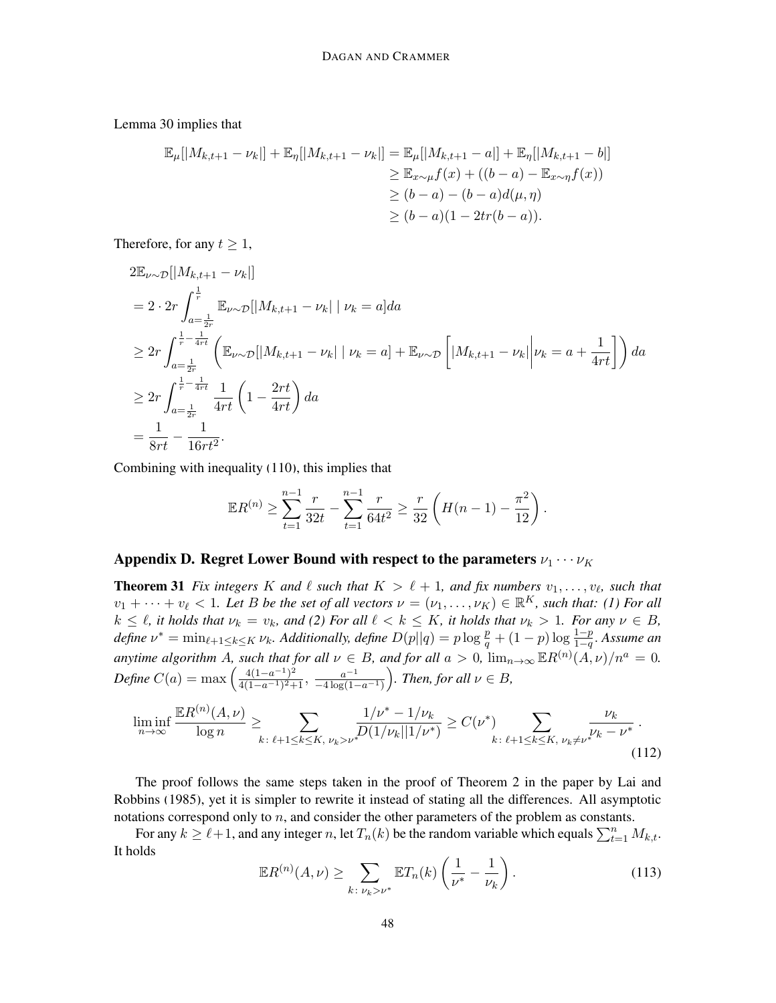Lemma [30](#page-46-1) implies that

$$
\mathbb{E}_{\mu}[|M_{k,t+1} - \nu_{k}|] + \mathbb{E}_{\eta}[|M_{k,t+1} - \nu_{k}|] = \mathbb{E}_{\mu}[|M_{k,t+1} - a|] + \mathbb{E}_{\eta}[|M_{k,t+1} - b|]
$$
  
\n
$$
\geq \mathbb{E}_{x \sim \mu} f(x) + ((b - a) - \mathbb{E}_{x \sim \eta} f(x))
$$
  
\n
$$
\geq (b - a) - (b - a)d(\mu, \eta)
$$
  
\n
$$
\geq (b - a)(1 - 2tr(b - a)).
$$

Therefore, for any  $t \geq 1$ ,

$$
2\mathbb{E}_{\nu\sim\mathcal{D}}[|M_{k,t+1} - \nu_k|]
$$
  
=  $2 \cdot 2r \int_{a=\frac{1}{2r}}^{\frac{1}{r}} \mathbb{E}_{\nu\sim\mathcal{D}}[|M_{k,t+1} - \nu_k| | \nu_k = a] da$   
 $\geq 2r \int_{a=\frac{1}{2r}}^{\frac{1}{r}-\frac{1}{4rt}} \left( \mathbb{E}_{\nu\sim\mathcal{D}}[|M_{k,t+1} - \nu_k| | \nu_k = a] + \mathbb{E}_{\nu\sim\mathcal{D}} \left[ |M_{k,t+1} - \nu_k| | \nu_k = a + \frac{1}{4rt} \right] \right) da$   
 $\geq 2r \int_{a=\frac{1}{2r}}^{\frac{1}{r}-\frac{1}{4rt}} \frac{1}{4rt} \left( 1 - \frac{2rt}{4rt} \right) da$   
 $= \frac{1}{8rt} - \frac{1}{16rt^2}.$ 

Combining with inequality [\(110\)](#page-45-0), this implies that

$$
\mathbb{E}R^{(n)} \geq \sum_{t=1}^{n-1} \frac{r}{32t} - \sum_{t=1}^{n-1} \frac{r}{64t^2} \geq \frac{r}{32} \left( H(n-1) - \frac{\pi^2}{12} \right).
$$

# Appendix D. Regret Lower Bound with respect to the parameters  $\nu_1 \cdots \nu_K$

**Theorem 31** Fix integers K and  $\ell$  such that  $K > \ell + 1$ , and fix numbers  $v_1, \ldots, v_\ell$ , such that  $v_1 + \cdots + v_\ell < 1$ . Let B be the set of all vectors  $\nu = (\nu_1, \ldots, \nu_K) \in \mathbb{R}^K$ , such that: (1) For all  $k \leq \ell$ , it holds that  $\nu_k = v_k$ , and (2) For all  $\ell < k \leq K$ , it holds that  $\nu_k > 1$ . For any  $\nu \in B$ , define  $\nu^* = \min_{\ell+1 \leq k \leq K} \nu_k$ . Additionally, define  $D(p||q) = p \log \frac{p}{q} + (1-p) \log \frac{1-p}{1-q}$ . Assume an *anytime algorithm A, such that for all*  $\nu \in B$ *, and for all*  $a > 0$ ,  $\lim_{n \to \infty} \mathbb{E}R^{(n)}(A, \nu)/n^a = 0$ . *Define*  $C(a) = \max \left( \frac{4(1-a^{-1})^2}{4(1-a^{-1})^2} \right)$  $\frac{4(1-a^{-1})^2}{4(1-a^{-1})^2+1}$ ,  $\frac{a^{-1}}{-4\log(1-a^{-1})}$  $\frac{a^{-1}}{-4\log(1-a^{-1})}$ ). Then, for all  $\nu \in B$ ,

$$
\liminf_{n \to \infty} \frac{\mathbb{E}R^{(n)}(A,\nu)}{\log n} \ge \sum_{k \colon \ell+1 \le k \le K, \ \nu_k > \nu^*} \frac{1/\nu^* - 1/\nu_k}{D(1/\nu_k||1/\nu^*)} \ge C(\nu^*) \sum_{k \colon \ell+1 \le k \le K, \ \nu_k \ne \nu^*} \frac{\nu_k}{\nu_k - \nu^*} \,. \tag{112}
$$

The proof follows the same steps taken in the proof of Theorem 2 in the paper by [Lai and](#page-12-9) [Robbins](#page-12-9) [\(1985\)](#page-12-9), yet it is simpler to rewrite it instead of stating all the differences. All asymptotic notations correspond only to  $n$ , and consider the other parameters of the problem as constants.

<span id="page-47-0"></span>For any  $k \ge \ell + 1$ , and any integer n, let  $T_n(k)$  be the random variable which equals  $\sum_{t=1}^n M_{k,t}$ . It holds

<span id="page-47-1"></span>
$$
\mathbb{E}R^{(n)}(A,\nu) \ge \sum_{k \,:\, \nu_k > \nu^*} \mathbb{E}T_n(k) \left(\frac{1}{\nu^*} - \frac{1}{\nu_k}\right). \tag{113}
$$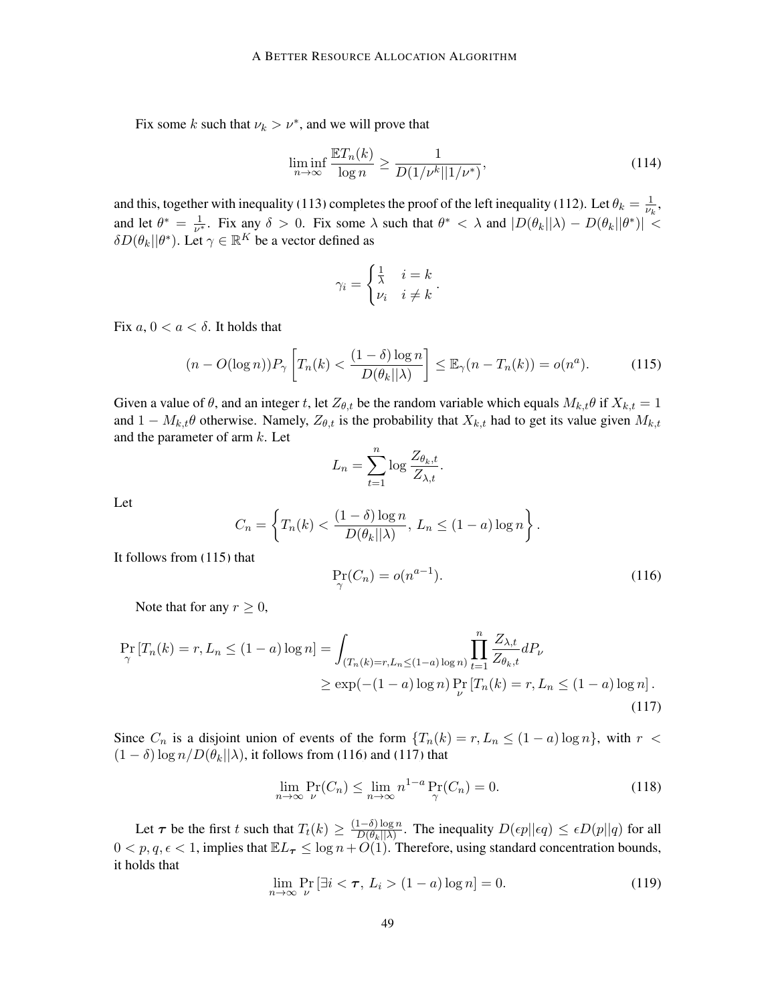Fix some k such that  $\nu_k > \nu^*$ , and we will prove that

<span id="page-48-5"></span>
$$
\liminf_{n \to \infty} \frac{\mathbb{E}T_n(k)}{\log n} \ge \frac{1}{D(1/\nu^k || 1/\nu^*)},\tag{114}
$$

and this, together with inequality [\(113\)](#page-47-0) completes the proof of the left inequality [\(112\)](#page-47-1). Let  $\theta_k = \frac{1}{\nu_k}$  $\frac{1}{\nu_k}$ , and let  $\theta^* = \frac{1}{\nu^*}$  $\frac{1}{\nu^*}$ . Fix any  $\delta > 0$ . Fix some  $\lambda$  such that  $\theta^* < \lambda$  and  $|D(\theta_k||\lambda) - D(\theta_k||\theta^*)| <$  $\delta D(\theta_k || \theta^*)$ . Let  $\gamma \in \mathbb{R}^K$  be a vector defined as

<span id="page-48-0"></span>
$$
\gamma_i = \begin{cases} \frac{1}{\lambda} & i = k \\ \nu_i & i \neq k \end{cases}.
$$

Fix  $a, 0 < a < \delta$ . It holds that

$$
(n - O(\log n))P_{\gamma}\left[T_n(k) < \frac{(1 - \delta)\log n}{D(\theta_k||\lambda)}\right] \le \mathbb{E}_{\gamma}(n - T_n(k)) = o(n^a). \tag{115}
$$

Given a value of  $\theta$ , and an integer t, let  $Z_{\theta,t}$  be the random variable which equals  $M_{k,t}\theta$  if  $X_{k,t} = 1$ and  $1 - M_{k,t}\theta$  otherwise. Namely,  $Z_{\theta,t}$  is the probability that  $X_{k,t}$  had to get its value given  $M_{k,t}$ and the parameter of arm  $k$ . Let

$$
L_n = \sum_{t=1}^n \log \frac{Z_{\theta_k, t}}{Z_{\lambda, t}}.
$$

Let

<span id="page-48-1"></span>
$$
C_n = \left\{ T_n(k) < \frac{(1-\delta)\log n}{D(\theta_k||\lambda)}, \ L_n \le (1-a)\log n \right\}.
$$

It follows from [\(115\)](#page-48-0) that

<span id="page-48-2"></span>
$$
\Pr_{\gamma}(C_n) = o(n^{a-1}).\tag{116}
$$

Note that for any  $r \geq 0$ ,

$$
\Pr_{\gamma} [T_n(k) = r, L_n \le (1 - a) \log n] = \int_{(T_n(k) = r, L_n \le (1 - a) \log n)} \prod_{t=1}^n \frac{Z_{\lambda, t}}{Z_{\theta_k, t}} dP_{\nu}
$$
\n
$$
\ge \exp(-(1 - a) \log n) \Pr_{\nu} [T_n(k) = r, L_n \le (1 - a) \log n]. \tag{117}
$$

Since  $C_n$  is a disjoint union of events of the form  $\{T_n(k) = r, L_n \leq (1 - a) \log n\}$ , with  $r <$  $(1 - \delta) \log n/D(\theta_k || \lambda)$ , it follows from [\(116\)](#page-48-1) and [\(117\)](#page-48-2) that

<span id="page-48-3"></span>
$$
\lim_{n \to \infty} \Pr_{\nu}(C_n) \le \lim_{n \to \infty} n^{1-a} \Pr_{\gamma}(C_n) = 0.
$$
\n(118)

<span id="page-48-4"></span>Let  $\tau$  be the first t such that  $T_t(k) \geq \frac{(1-\delta)\log n}{D(\theta_k) |\lambda|}$  $\frac{1-\sigma\log n}{D(\theta_k||\lambda)}$ . The inequality  $D(\epsilon p||\epsilon q) \leq \epsilon D(p||q)$  for all  $0 < p, q, \epsilon < 1$ , implies that  $\mathbb{E}L_{\tau} \leq \log n + O(1)$ . Therefore, using standard concentration bounds, it holds that

$$
\lim_{n \to \infty} \Pr_{\nu} \left[ \exists i < \tau, \ L_i > (1 - a) \log n \right] = 0. \tag{119}
$$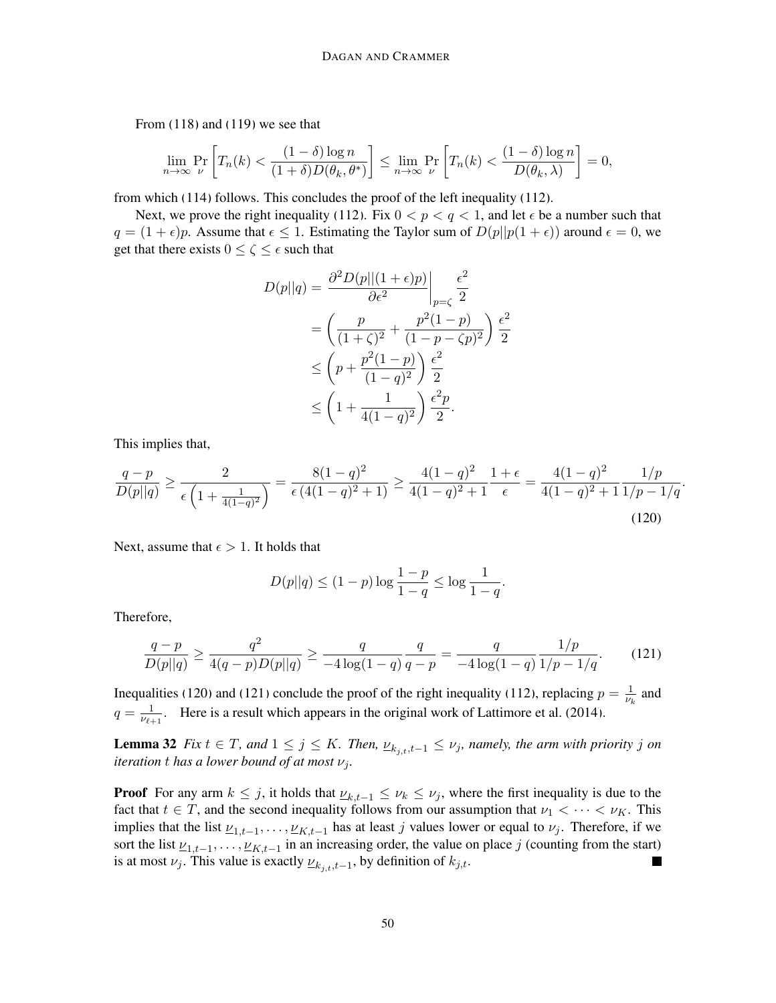From [\(118\)](#page-48-3) and [\(119\)](#page-48-4) we see that

$$
\lim_{n \to \infty} \Pr_{\nu} \left[ T_n(k) < \frac{(1 - \delta) \log n}{(1 + \delta) D(\theta_k, \theta^*)} \right] \leq \lim_{n \to \infty} \Pr_{\nu} \left[ T_n(k) < \frac{(1 - \delta) \log n}{D(\theta_k, \lambda)} \right] = 0,
$$

from which [\(114\)](#page-48-5) follows. This concludes the proof of the left inequality [\(112\)](#page-47-1).

Next, we prove the right inequality [\(112\)](#page-47-1). Fix  $0 < p < q < 1$ , and let  $\epsilon$  be a number such that  $q = (1 + \epsilon)p$ . Assume that  $\epsilon \leq 1$ . Estimating the Taylor sum of  $D(p||p(1 + \epsilon))$  around  $\epsilon = 0$ , we get that there exists  $0 \le \zeta \le \epsilon$  such that

$$
D(p||q) = \frac{\partial^2 D(p||(1+\epsilon)p)}{\partial \epsilon^2} \Big|_{p=\zeta} \frac{\epsilon^2}{2}
$$
  
=  $\left(\frac{p}{(1+\zeta)^2} + \frac{p^2(1-p)}{(1-p-\zeta p)^2}\right) \frac{\epsilon^2}{2}$   
 $\le \left(p + \frac{p^2(1-p)}{(1-q)^2}\right) \frac{\epsilon^2}{2}$   
 $\le \left(1 + \frac{1}{4(1-q)^2}\right) \frac{\epsilon^2 p}{2}.$ 

This implies that,

$$
\frac{q-p}{D(p||q)} \ge \frac{2}{\epsilon \left(1 + \frac{1}{4(1-q)^2}\right)} = \frac{8(1-q)^2}{\epsilon \left(4(1-q)^2 + 1\right)} \ge \frac{4(1-q)^2}{4(1-q)^2 + 1} \frac{1+\epsilon}{\epsilon} = \frac{4(1-q)^2}{4(1-q)^2 + 1} \frac{1/p}{1/p - 1/q}.
$$
\n(120)

Next, assume that  $\epsilon > 1$ . It holds that

<span id="page-49-2"></span><span id="page-49-1"></span>
$$
D(p||q) \le (1-p)\log\frac{1-p}{1-q} \le \log\frac{1}{1-q}.
$$

Therefore,

$$
\frac{q-p}{D(p||q)} \ge \frac{q^2}{4(q-p)D(p||q)} \ge \frac{q}{-4\log(1-q)}\frac{q}{q-p} = \frac{q}{-4\log(1-q)}\frac{1/p}{1/p-1/q}.\tag{121}
$$

Inequalities [\(120\)](#page-49-1) and [\(121\)](#page-49-2) conclude the proof of the right inequality [\(112\)](#page-47-1), replacing  $p = \frac{1}{w}$  $\frac{1}{\nu_k}$  and  $q=\frac{1}{\mu}$  $\frac{1}{\nu_{\ell+1}}$ . Here is a result which appears in the original work of [Lattimore et al.](#page-12-0) [\(2014\)](#page-12-0).

<span id="page-49-0"></span>**Lemma 32** *Fix*  $t \in T$ *, and*  $1 \leq j \leq K$ *. Then,*  $\underline{\nu}_{k_{j,t},t-1} \leq \nu_j$ *, namely, the arm with priority j on iteration t has a lower bound of at most*  $\nu_i$ *.* 

**Proof** For any arm  $k \leq j$ , it holds that  $\underline{\nu}_{k,t-1} \leq \nu_k \leq \nu_j$ , where the first inequality is due to the fact that  $t \in T$ , and the second inequality follows from our assumption that  $\nu_1 < \cdots < \nu_K$ . This implies that the list  $\underline{\nu}_{1,t-1}, \dots, \underline{\nu}_{K,t-1}$  has at least j values lower or equal to  $\nu_j$ . Therefore, if we sort the list  $\underline{\nu}_{1,t-1}, \ldots, \underline{\nu}_{K,t-1}$  in an increasing order, the value on place j (counting from the start) is at most  $\nu_j$ . This value is exactly  $\underline{\nu}_{k_j,t,t-1}$ , by definition of  $k_{j,t}$ .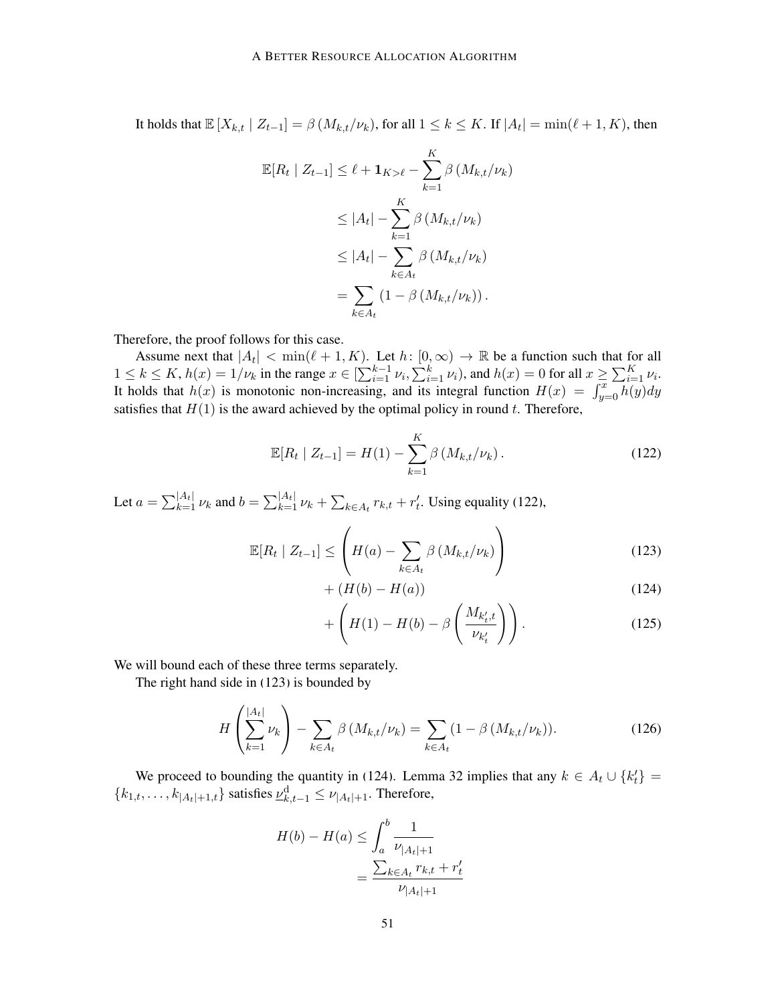It holds that  $\mathbb{E}[X_{k,t} | Z_{t-1}] = \beta(M_{k,t}/\nu_k)$ , for all  $1 \leq k \leq K$ . If  $|A_t| = \min(\ell + 1, K)$ , then

$$
\mathbb{E}[R_t | Z_{t-1}] \leq \ell + \mathbf{1}_{K > \ell} - \sum_{k=1}^K \beta(M_{k,t}/\nu_k)
$$
  
\n
$$
\leq |A_t| - \sum_{k=1}^K \beta(M_{k,t}/\nu_k)
$$
  
\n
$$
\leq |A_t| - \sum_{k \in A_t} \beta(M_{k,t}/\nu_k)
$$
  
\n
$$
= \sum_{k \in A_t} (1 - \beta(M_{k,t}/\nu_k)).
$$

Therefore, the proof follows for this case.

Assume next that  $|A_t| < \min(\ell + 1, K)$ . Let  $h: [0, \infty) \to \mathbb{R}$  be a function such that for all  $1 \leq k \leq K$ ,  $h(x) = 1/\nu_k$  in the range  $x \in \left[\sum_{i=1}^{k-1} \nu_i, \sum_{i=1}^k \nu_i\right)$ , and  $h(x) = 0$  for all  $x \geq \sum_{i=1}^K \nu_i$ . It holds that  $h(x)$  is monotonic non-increasing, and its integral function  $H(x) = \int_{y=0}^{x} \overline{h(y)} dy$ satisfies that  $H(1)$  is the award achieved by the optimal policy in round t. Therefore,

<span id="page-50-0"></span>
$$
\mathbb{E}[R_t | Z_{t-1}] = H(1) - \sum_{k=1}^{K} \beta \left( M_{k,t} / \nu_k \right). \tag{122}
$$

Let  $a = \sum_{k=1}^{|A_t|} \nu_k$  and  $b = \sum_{k=1}^{|A_t|} \nu_k + \sum_{k \in A_t} r_{k,t} + r'_t$ . Using equality [\(122\)](#page-50-0),

$$
\mathbb{E}[R_t \mid Z_{t-1}] \leq \left( H(a) - \sum_{k \in A_t} \beta \left( M_{k,t} / \nu_k \right) \right) \tag{123}
$$

<span id="page-50-2"></span><span id="page-50-1"></span>
$$
+ (H(b) - H(a)) \t\t(124)
$$

<span id="page-50-4"></span><span id="page-50-3"></span>
$$
+\left(H(1)-H(b)-\beta\left(\frac{M_{k'_t,t}}{\nu_{k'_t}}\right)\right). \tag{125}
$$

We will bound each of these three terms separately.

The right hand side in [\(123\)](#page-50-1) is bounded by

$$
H\left(\sum_{k=1}^{|A_t|} \nu_k\right) - \sum_{k \in A_t} \beta\left(M_{k,t}/\nu_k\right) = \sum_{k \in A_t} (1 - \beta\left(M_{k,t}/\nu_k\right)).
$$
 (126)

We proceed to bounding the quantity in [\(124\)](#page-50-2). Lemma [32](#page-49-0) implies that any  $k \in A_t \cup \{k'_t\}$  ${k_{1,t}, \ldots, k_{|A_t|+1,t}}$  satisfies  $\underline{\nu}_{k,t-1}^d \leq \nu_{|A_t|+1}$ . Therefore,

$$
H(b) - H(a) \le \int_a^b \frac{1}{\nu_{|A_t|+1}} = \frac{\sum_{k \in A_t} r_{k,t} + r'_t}{\nu_{|A_t|+1}}
$$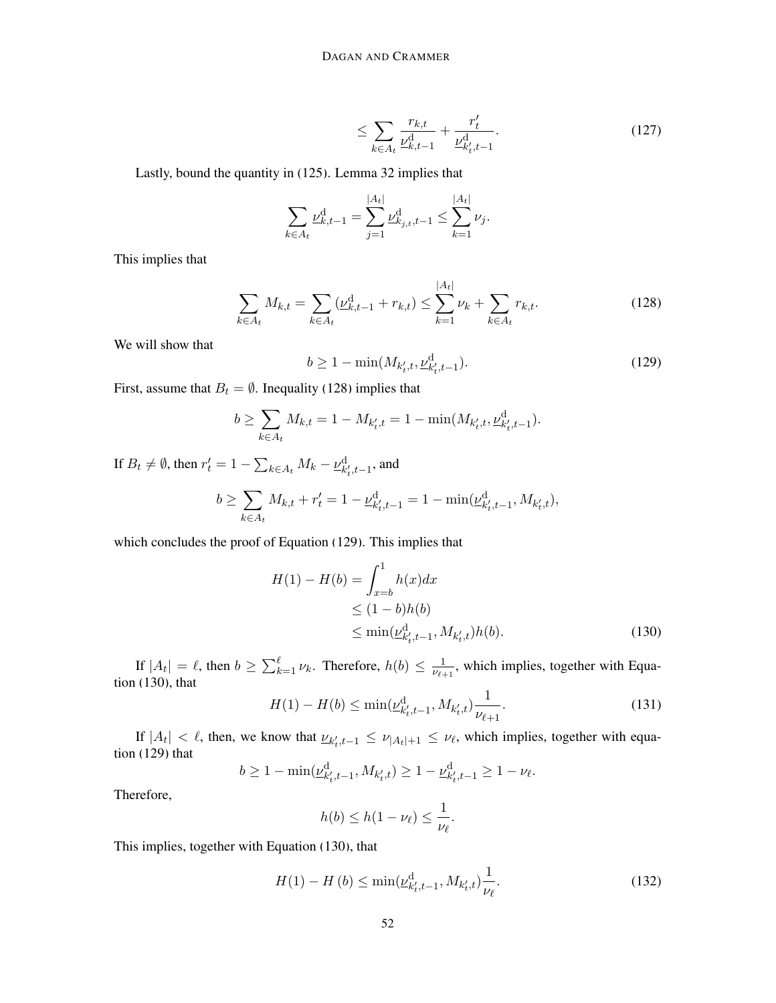<span id="page-51-5"></span>
$$
\leq \sum_{k \in A_t} \frac{r_{k,t}}{\underline{\nu}_{k,t-1}^d} + \frac{r'_t}{\underline{\nu}_{k',t-1}^d}.
$$
\n(127)

Lastly, bound the quantity in [\(125\)](#page-50-3). Lemma [32](#page-49-0) implies that

$$
\sum_{k \in A_t} \underline{\nu}_{k,t-1}^{\mathbf{d}} = \sum_{j=1}^{|A_t|} \underline{\nu}_{k,j,t,t-1}^{\mathbf{d}} \le \sum_{k=1}^{|A_t|} \nu_j.
$$

This implies that

<span id="page-51-1"></span><span id="page-51-0"></span>
$$
\sum_{k \in A_t} M_{k,t} = \sum_{k \in A_t} (\underline{\nu}_{k,t-1}^{\mathrm{d}} + r_{k,t}) \le \sum_{k=1}^{|A_t|} \nu_k + \sum_{k \in A_t} r_{k,t}.
$$
 (128)

We will show that

$$
b \ge 1 - \min(M_{k'_t, t}, \underline{\nu}_{k'_t, t-1}^d). \tag{129}
$$

First, assume that  $B_t = \emptyset$ . Inequality [\(128\)](#page-51-0) implies that

$$
b \ge \sum_{k \in A_t} M_{k,t} = 1 - M_{k'_t,t} = 1 - \min(M_{k'_t,t}, \underline{\nu}_{k'_t,t-1}^d).
$$

If  $B_t \neq \emptyset$ , then  $r'_t = 1 - \sum_{k \in A_t} M_k - \underline{\nu}_{k'_t, t-1}^d$ , and

$$
b \ge \sum_{k \in A_t} M_{k,t} + r'_t = 1 - \underline{\nu}_{k'_t,t-1}^{\rm d} = 1 - \min(\underline{\nu}_{k'_t,t-1}^{\rm d},M_{k'_t,t}),
$$

which concludes the proof of Equation [\(129\)](#page-51-1). This implies that

<span id="page-51-2"></span>
$$
H(1) - H(b) = \int_{x=b}^{1} h(x)dx
$$
  
\n
$$
\leq (1-b)h(b)
$$
  
\n
$$
\leq \min(\underline{\nu}_{k_t', t-1}^d, M_{k_t', t})h(b).
$$
 (130)

If  $|A_t| = \ell$ , then  $b \ge \sum_{k=1}^{\ell} \nu_k$ . Therefore,  $h(b) \le \frac{1}{\nu_{\ell+1}}$  $\frac{1}{\nu_{\ell+1}}$ , which implies, together with Equation [\(130\)](#page-51-2), that

<span id="page-51-3"></span>
$$
H(1) - H(b) \le \min(\underline{\nu}_{k_t', t-1}^d, M_{k_t', t}) \frac{1}{\nu_{\ell+1}}.
$$
\n(131)

If  $|A_t| < l$ , then, we know that  $\underline{\nu}_{k'_t,t-1} \leq \nu_{|A_t|+1} \leq \nu_{\ell}$ , which implies, together with equation [\(129\)](#page-51-1) that

$$
b \ge 1 - \min(\underline{\nu}_{k'_t, t-1}^{\mathrm{d}}, M_{k'_t, t}) \ge 1 - \underline{\nu}_{k'_t, t-1}^{\mathrm{d}} \ge 1 - \nu_{\ell}.
$$

Therefore,

<span id="page-51-4"></span>
$$
h(b) \le h(1 - \nu_{\ell}) \le \frac{1}{\nu_{\ell}}.
$$

This implies, together with Equation [\(130\)](#page-51-2), that

$$
H(1) - H(b) \le \min(\underline{\nu}_{k'_t, t-1}^d, M_{k'_t, t}) \frac{1}{\nu_{\ell}}.
$$
\n(132)